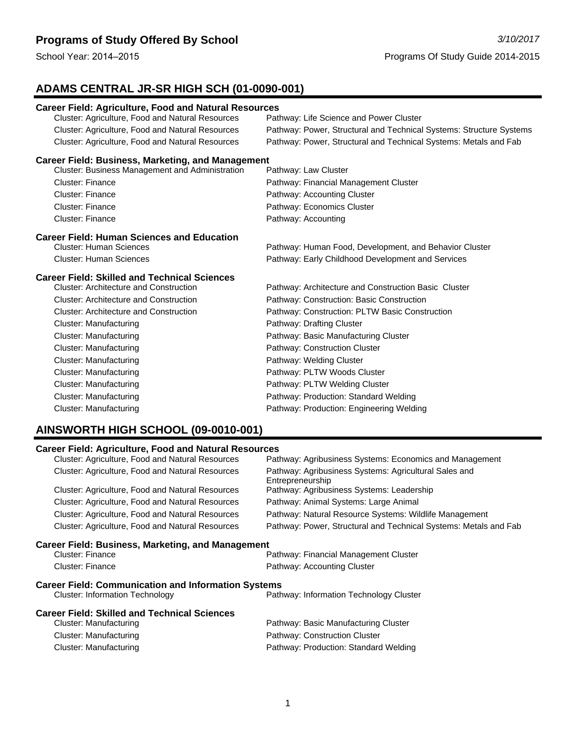# **ADAMS CENTRAL JR-SR HIGH SCH (01-0090-001)**

| <b>Career Field: Agriculture, Food and Natural Resources</b> |                                                                     |  |
|--------------------------------------------------------------|---------------------------------------------------------------------|--|
| Cluster: Agriculture, Food and Natural Resources             | Pathway: Life Science and Power Cluster                             |  |
| Cluster: Agriculture, Food and Natural Resources             | Pathway: Power, Structural and Technical Systems: Structure Systems |  |
| Cluster: Agriculture, Food and Natural Resources             | Pathway: Power, Structural and Technical Systems: Metals and Fab    |  |
| <b>Career Field: Business, Marketing, and Management</b>     |                                                                     |  |
| <b>Cluster: Business Management and Administration</b>       | Pathway: Law Cluster                                                |  |
| Cluster: Finance                                             | Pathway: Financial Management Cluster                               |  |
| <b>Cluster: Finance</b>                                      | Pathway: Accounting Cluster                                         |  |
| <b>Cluster: Finance</b>                                      | Pathway: Economics Cluster                                          |  |
| <b>Cluster: Finance</b>                                      | Pathway: Accounting                                                 |  |
| <b>Career Field: Human Sciences and Education</b>            |                                                                     |  |
| <b>Cluster: Human Sciences</b>                               | Pathway: Human Food, Development, and Behavior Cluster              |  |
| <b>Cluster: Human Sciences</b>                               | Pathway: Early Childhood Development and Services                   |  |
| <b>Career Field: Skilled and Technical Sciences</b>          |                                                                     |  |
| <b>Cluster: Architecture and Construction</b>                | Pathway: Architecture and Construction Basic Cluster                |  |
| <b>Cluster: Architecture and Construction</b>                | Pathway: Construction: Basic Construction                           |  |
| <b>Cluster: Architecture and Construction</b>                | Pathway: Construction: PLTW Basic Construction                      |  |
| Cluster: Manufacturing                                       | Pathway: Drafting Cluster                                           |  |
| Cluster: Manufacturing                                       | Pathway: Basic Manufacturing Cluster                                |  |
| Cluster: Manufacturing                                       | Pathway: Construction Cluster                                       |  |
| Cluster: Manufacturing                                       | Pathway: Welding Cluster                                            |  |
| <b>Cluster: Manufacturing</b>                                | Pathway: PLTW Woods Cluster                                         |  |
| <b>Cluster: Manufacturing</b>                                | Pathway: PLTW Welding Cluster                                       |  |
| Cluster: Manufacturing                                       | Pathway: Production: Standard Welding                               |  |
| <b>Cluster: Manufacturing</b>                                | Pathway: Production: Engineering Welding                            |  |

# **AINSWORTH HIGH SCHOOL (09-0010-001)**

# **Career Field: Agriculture, Food and Natural Resources**

| Cluster: Agriculture, Food and Natural Resources           | Pathway: Agribusiness Systems: Economics and Management                   |
|------------------------------------------------------------|---------------------------------------------------------------------------|
| Cluster: Agriculture, Food and Natural Resources           | Pathway: Agribusiness Systems: Agricultural Sales and<br>Entrepreneurship |
| Cluster: Agriculture, Food and Natural Resources           | Pathway: Agribusiness Systems: Leadership                                 |
| Cluster: Agriculture, Food and Natural Resources           | Pathway: Animal Systems: Large Animal                                     |
| Cluster: Agriculture, Food and Natural Resources           | Pathway: Natural Resource Systems: Wildlife Management                    |
| Cluster: Agriculture, Food and Natural Resources           | Pathway: Power, Structural and Technical Systems: Metals and Fab          |
| Career Field: Business, Marketing, and Management          |                                                                           |
| Cluster: Finance                                           | Pathway: Financial Management Cluster                                     |
| <b>Cluster: Finance</b>                                    | Pathway: Accounting Cluster                                               |
| <b>Career Field: Communication and Information Systems</b> |                                                                           |
| <b>Cluster: Information Technology</b>                     | Pathway: Information Technology Cluster                                   |
| Career Field: Skilled and Technical Sciences               |                                                                           |
| Cluster: Manufacturing                                     | Pathway: Basic Manufacturing Cluster                                      |
| Cluster: Manufacturing                                     | Pathway: Construction Cluster                                             |
| Cluster: Manufacturing                                     | Pathway: Production: Standard Welding                                     |
|                                                            |                                                                           |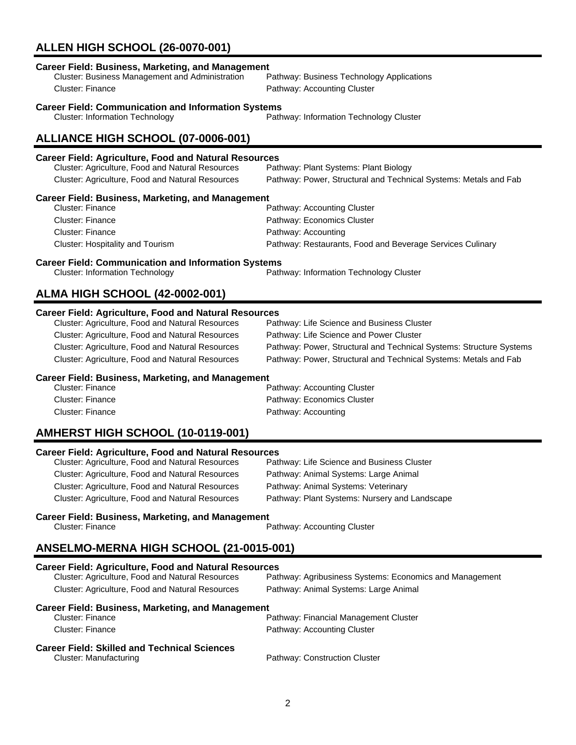# **ALLEN HIGH SCHOOL (26-0070-001)**

| <b>Career Field: Communication and Information Systems</b><br><b>Cluster: Information Technology</b> | Pathway: Information Technology Cluster                             |  |
|------------------------------------------------------------------------------------------------------|---------------------------------------------------------------------|--|
| ALLIANCE HIGH SCHOOL (07-0006-001)                                                                   |                                                                     |  |
| <b>Career Field: Agriculture, Food and Natural Resources</b>                                         |                                                                     |  |
| Cluster: Agriculture, Food and Natural Resources                                                     | Pathway: Plant Systems: Plant Biology                               |  |
| Cluster: Agriculture, Food and Natural Resources                                                     | Pathway: Power, Structural and Technical Systems: Metals and Fab    |  |
| <b>Career Field: Business, Marketing, and Management</b>                                             |                                                                     |  |
| Cluster: Finance                                                                                     | Pathway: Accounting Cluster                                         |  |
| <b>Cluster: Finance</b>                                                                              | Pathway: Economics Cluster                                          |  |
| <b>Cluster: Finance</b>                                                                              | Pathway: Accounting                                                 |  |
| Cluster: Hospitality and Tourism                                                                     | Pathway: Restaurants, Food and Beverage Services Culinary           |  |
| <b>Career Field: Communication and Information Systems</b>                                           |                                                                     |  |
| <b>Cluster: Information Technology</b><br>Pathway: Information Technology Cluster                    |                                                                     |  |
|                                                                                                      |                                                                     |  |
| <b>ALMA HIGH SCHOOL (42-0002-001)</b>                                                                |                                                                     |  |
| <b>Career Field: Agriculture, Food and Natural Resources</b>                                         |                                                                     |  |
| Cluster: Agriculture, Food and Natural Resources                                                     | Pathway: Life Science and Business Cluster                          |  |
| Cluster: Agriculture, Food and Natural Resources                                                     | Pathway: Life Science and Power Cluster                             |  |
| Cluster: Agriculture, Food and Natural Resources                                                     | Pathway: Power, Structural and Technical Systems: Structure Systems |  |
| Cluster: Agriculture, Food and Natural Resources                                                     | Pathway: Power, Structural and Technical Systems: Metals and Fab    |  |
| <b>Career Field: Business, Marketing, and Management</b>                                             |                                                                     |  |
| Cluetor: Einoneo                                                                                     | Dothway: Accounting Cluetor                                         |  |

| Cluster: Finance | Pathway: Accounting Cluster |
|------------------|-----------------------------|
| Cluster: Finance | Pathway: Economics Cluster  |
| Cluster: Finance | Pathway: Accounting         |

# **AMHERST HIGH SCHOOL (10-0119-001)**

| <b>Career Field: Agriculture, Food and Natural Resources</b> |                                               |  |
|--------------------------------------------------------------|-----------------------------------------------|--|
| Cluster: Agriculture, Food and Natural Resources             | Pathway: Life Science and Business Cluster    |  |
| Cluster: Agriculture, Food and Natural Resources             | Pathway: Animal Systems: Large Animal         |  |
| Cluster: Agriculture, Food and Natural Resources             | Pathway: Animal Systems: Veterinary           |  |
| Cluster: Agriculture, Food and Natural Resources             | Pathway: Plant Systems: Nursery and Landscape |  |

# **Career Field: Business, Marketing, and Management**

Pathway: Accounting Cluster

# **ANSELMO-MERNA HIGH SCHOOL (21-0015-001)**

| <b>Career Field: Agriculture, Food and Natural Resources</b> |                                                         |  |
|--------------------------------------------------------------|---------------------------------------------------------|--|
| Cluster: Agriculture, Food and Natural Resources             | Pathway: Agribusiness Systems: Economics and Management |  |
| Cluster: Agriculture, Food and Natural Resources             | Pathway: Animal Systems: Large Animal                   |  |
| Career Field: Business, Marketing, and Management            |                                                         |  |
| Cluster: Finance                                             | Pathway: Financial Management Cluster                   |  |
| Cluster: Finance                                             | Pathway: Accounting Cluster                             |  |
| <b>Career Field: Skilled and Technical Sciences</b>          |                                                         |  |
| Cluster: Manufacturing                                       | Pathway: Construction Cluster                           |  |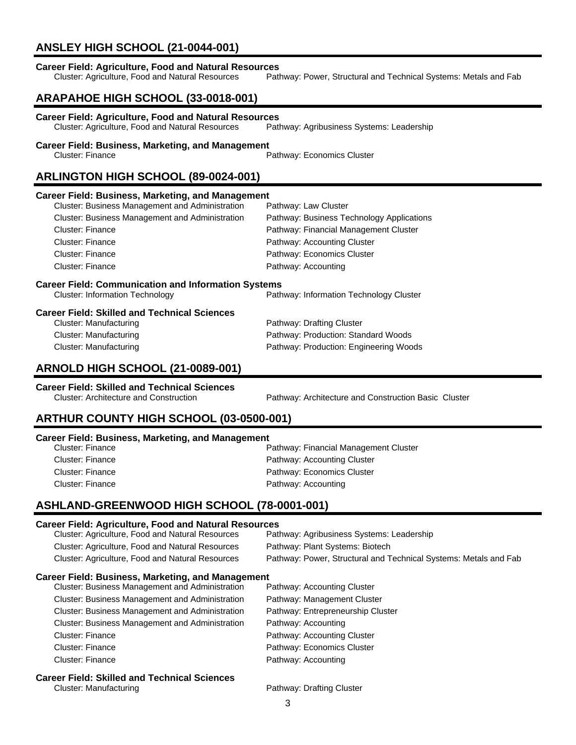# **ANSLEY HIGH SCHOOL (21-0044-001)**

| <b>Career Field: Agriculture, Food and Natural Resources</b><br>Cluster: Agriculture, Food and Natural Resources | Pathway: Power, Structural and Technical Systems: Metals and Fab |  |  |
|------------------------------------------------------------------------------------------------------------------|------------------------------------------------------------------|--|--|
| ARAPAHOE HIGH SCHOOL (33-0018-001)                                                                               |                                                                  |  |  |
| <b>Career Field: Agriculture, Food and Natural Resources</b><br>Cluster: Agriculture, Food and Natural Resources | Pathway: Agribusiness Systems: Leadership                        |  |  |
| <b>Career Field: Business, Marketing, and Management</b><br><b>Cluster: Finance</b>                              | Pathway: Economics Cluster                                       |  |  |
|                                                                                                                  | ARLINGTON HIGH SCHOOL (89-0024-001)                              |  |  |
| <b>Career Field: Business, Marketing, and Management</b>                                                         |                                                                  |  |  |
| Cluster: Business Management and Administration                                                                  | Pathway: Law Cluster                                             |  |  |
| Cluster: Business Management and Administration                                                                  | Pathway: Business Technology Applications                        |  |  |
| Cluster: Finance                                                                                                 | Pathway: Financial Management Cluster                            |  |  |
| <b>Cluster: Finance</b>                                                                                          | Pathway: Accounting Cluster                                      |  |  |
| Cluster: Finance                                                                                                 | Pathway: Economics Cluster                                       |  |  |
| <b>Cluster: Finance</b>                                                                                          | Pathway: Accounting                                              |  |  |
| <b>Career Field: Communication and Information Systems</b>                                                       |                                                                  |  |  |
| <b>Cluster: Information Technology</b>                                                                           | Pathway: Information Technology Cluster                          |  |  |
| <b>Career Field: Skilled and Technical Sciences</b>                                                              |                                                                  |  |  |
| <b>Cluster: Manufacturing</b>                                                                                    | Pathway: Drafting Cluster                                        |  |  |
| Cluster: Manufacturing                                                                                           | Pathway: Production: Standard Woods                              |  |  |
| <b>Cluster: Manufacturing</b>                                                                                    | Pathway: Production: Engineering Woods                           |  |  |
| ARNOLD HIGH SCHOOL (21-0089-001)                                                                                 |                                                                  |  |  |
|                                                                                                                  |                                                                  |  |  |

**Career Field: Skilled and Technical Sciences**

Pathway: Architecture and Construction Basic Cluster

# **ARTHUR COUNTY HIGH SCHOOL (03-0500-001)**

### **Career Field: Business, Marketing, and Management**

| Cluster: Finance | Pathway: Financial Management Cluster |
|------------------|---------------------------------------|
| Cluster: Finance | Pathway: Accounting Cluster           |
| Cluster: Finance | Pathway: Economics Cluster            |
| Cluster: Finance | Pathway: Accounting                   |

# **ASHLAND-GREENWOOD HIGH SCHOOL (78-0001-001)**

### **Career Field: Agriculture, Food and Natural Resources**

| Cluster: Agriculture, Food and Natural Resources         | Pathway: Agribusiness Systems: Leadership                        |
|----------------------------------------------------------|------------------------------------------------------------------|
| Cluster: Agriculture, Food and Natural Resources         | Pathway: Plant Systems: Biotech                                  |
| Cluster: Agriculture, Food and Natural Resources         | Pathway: Power, Structural and Technical Systems: Metals and Fab |
| <b>Career Field: Business, Marketing, and Management</b> |                                                                  |
| <b>Cluster: Business Management and Administration</b>   | Pathway: Accounting Cluster                                      |
| <b>Cluster: Business Management and Administration</b>   | Pathway: Management Cluster                                      |
| <b>Cluster: Business Management and Administration</b>   | Pathway: Entrepreneurship Cluster                                |
| <b>Cluster: Business Management and Administration</b>   | Pathway: Accounting                                              |
| Cluster: Finance                                         | Pathway: Accounting Cluster                                      |
| Cluster: Finance                                         | Pathway: Economics Cluster                                       |
| Cluster: Finance                                         | Pathway: Accounting                                              |
| <b>Career Field: Skilled and Technical Sciences</b>      |                                                                  |

**Career Field: Skilled and Technical Sciences**

Pathway: Drafting Cluster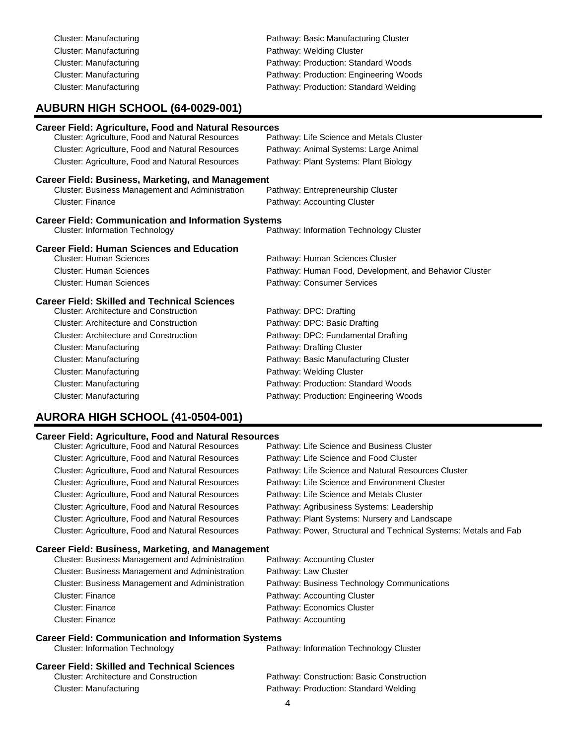| Cluster: Manufacturing | Pathway: Basic Manufacturing Cluster   |
|------------------------|----------------------------------------|
| Cluster: Manufacturing | Pathway: Welding Cluster               |
| Cluster: Manufacturing | Pathway: Production: Standard Woods    |
| Cluster: Manufacturing | Pathway: Production: Engineering Woods |
| Cluster: Manufacturing | Pathway: Production: Standard Welding  |
|                        |                                        |

# **AUBURN HIGH SCHOOL (64-0029-001)**

| <b>Career Field: Agriculture, Food and Natural Resources</b> |                                                        |
|--------------------------------------------------------------|--------------------------------------------------------|
| Cluster: Agriculture, Food and Natural Resources             | Pathway: Life Science and Metals Cluster               |
| Cluster: Agriculture, Food and Natural Resources             | Pathway: Animal Systems: Large Animal                  |
| Cluster: Agriculture, Food and Natural Resources             | Pathway: Plant Systems: Plant Biology                  |
| <b>Career Field: Business, Marketing, and Management</b>     |                                                        |
| Cluster: Business Management and Administration              | Pathway: Entrepreneurship Cluster                      |
| <b>Cluster: Finance</b>                                      | Pathway: Accounting Cluster                            |
| <b>Career Field: Communication and Information Systems</b>   |                                                        |
| <b>Cluster: Information Technology</b>                       | Pathway: Information Technology Cluster                |
| <b>Career Field: Human Sciences and Education</b>            |                                                        |
| <b>Cluster: Human Sciences</b>                               | Pathway: Human Sciences Cluster                        |
| Cluster: Human Sciences                                      | Pathway: Human Food, Development, and Behavior Cluster |
| <b>Cluster: Human Sciences</b>                               | Pathway: Consumer Services                             |
| <b>Career Field: Skilled and Technical Sciences</b>          |                                                        |
| <b>Cluster: Architecture and Construction</b>                | Pathway: DPC: Drafting                                 |
| <b>Cluster: Architecture and Construction</b>                | Pathway: DPC: Basic Drafting                           |
| <b>Cluster: Architecture and Construction</b>                | Pathway: DPC: Fundamental Drafting                     |
| Cluster: Manufacturing                                       | Pathway: Drafting Cluster                              |
| Cluster: Manufacturing                                       | Pathway: Basic Manufacturing Cluster                   |
| Cluster: Manufacturing                                       | Pathway: Welding Cluster                               |
| Cluster: Manufacturing                                       | Pathway: Production: Standard Woods                    |
| Cluster: Manufacturing                                       | Pathway: Production: Engineering Woods                 |

# **AURORA HIGH SCHOOL (41-0504-001)**

### **Career Field: Agriculture, Food and Natural Resources**

| Cluster: Agriculture, Food and Natural Resources | Pathway: Life Science and Business Cluster                       |
|--------------------------------------------------|------------------------------------------------------------------|
| Cluster: Agriculture, Food and Natural Resources | Pathway: Life Science and Food Cluster                           |
| Cluster: Agriculture, Food and Natural Resources | Pathway: Life Science and Natural Resources Cluster              |
| Cluster: Agriculture, Food and Natural Resources | Pathway: Life Science and Environment Cluster                    |
| Cluster: Agriculture, Food and Natural Resources | Pathway: Life Science and Metals Cluster                         |
| Cluster: Agriculture, Food and Natural Resources | Pathway: Agribusiness Systems: Leadership                        |
| Cluster: Agriculture, Food and Natural Resources | Pathway: Plant Systems: Nursery and Landscape                    |
| Cluster: Agriculture, Food and Natural Resources | Pathway: Power, Structural and Technical Systems: Metals and Fab |
|                                                  |                                                                  |

### **Career Field: Business, Marketing, and Management**

| <b>Cluster: Business Management and Administration</b> | Pathway: Accounting Cluster                 |
|--------------------------------------------------------|---------------------------------------------|
| <b>Cluster: Business Management and Administration</b> | Pathway: Law Cluster                        |
| <b>Cluster: Business Management and Administration</b> | Pathway: Business Technology Communications |
| Cluster: Finance                                       | Pathway: Accounting Cluster                 |
| Cluster: Finance                                       | Pathway: Economics Cluster                  |
| <b>Cluster: Finance</b>                                | Pathway: Accounting                         |

# **Career Field: Communication and Information Systems**<br>Cluster: Information Technology

Pathway: Information Technology Cluster

# **Career Field: Skilled and Technical Sciences**

Pathway: Construction: Basic Construction Cluster: Manufacturing example and pathway: Production: Standard Welding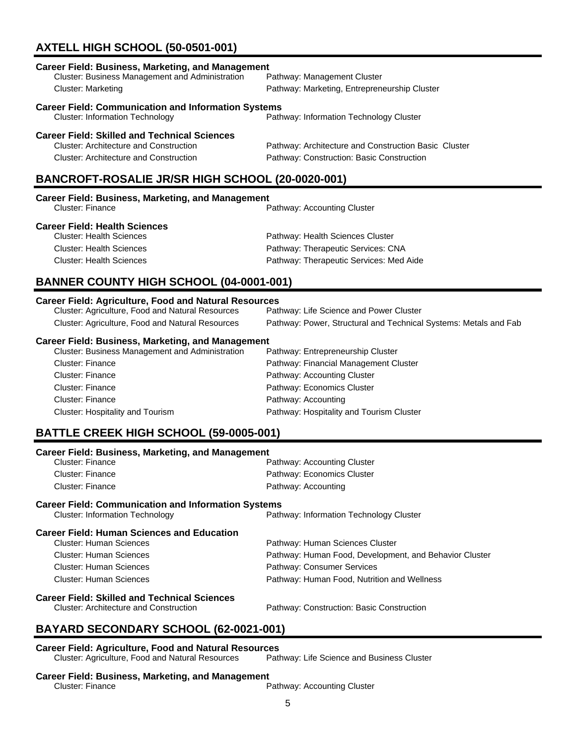# **AXTELL HIGH SCHOOL (50-0501-001)**

| <b>Career Field: Business, Marketing, and Management</b>                                                                                              |                                              |  |
|-------------------------------------------------------------------------------------------------------------------------------------------------------|----------------------------------------------|--|
| Cluster: Business Management and Administration                                                                                                       | Pathway: Management Cluster                  |  |
| Cluster: Marketing                                                                                                                                    | Pathway: Marketing, Entrepreneurship Cluster |  |
| <b>Career Field: Communication and Information Systems</b><br><b>Cluster: Information Technology</b>                                                  | Pathway: Information Technology Cluster      |  |
| <b>Career Field: Skilled and Technical Sciences</b><br>Cluster: Architecture and Construction<br>Pathway: Architecture and Construction Basic Cluster |                                              |  |
| <b>Cluster: Architecture and Construction</b>                                                                                                         | Pathway: Construction: Basic Construction    |  |
| BANCROFT-ROSALIE JR/SR HIGH SCHOOL (20-0020-001)                                                                                                      |                                              |  |

| <b>Career Field: Business, Marketing, and Management</b> |                                         |  |
|----------------------------------------------------------|-----------------------------------------|--|
| Cluster: Finance                                         | Pathway: Accounting Cluster             |  |
| <b>Career Field: Health Sciences</b>                     |                                         |  |
| <b>Cluster: Health Sciences</b>                          | Pathway: Health Sciences Cluster        |  |
| <b>Cluster: Health Sciences</b>                          | Pathway: Therapeutic Services: CNA      |  |
| <b>Cluster: Health Sciences</b>                          | Pathway: Therapeutic Services: Med Aide |  |

# **BANNER COUNTY HIGH SCHOOL (04-0001-001)**

### **Career Field: Agriculture, Food and Natural Resources**

| Cluster: Agriculture, Food and Natural Resources | Pathway: Life Science and Power Cluster                          |
|--------------------------------------------------|------------------------------------------------------------------|
| Cluster: Agriculture, Food and Natural Resources | Pathway: Power, Structural and Technical Systems: Metals and Fab |

### **Career Field: Business, Marketing, and Management**

| <b>Cluster: Business Management and Administration</b> | Pathway: Entrepreneurship Cluster        |
|--------------------------------------------------------|------------------------------------------|
| <b>Cluster: Finance</b>                                | Pathway: Financial Management Cluster    |
| <b>Cluster: Finance</b>                                | Pathway: Accounting Cluster              |
| <b>Cluster: Finance</b>                                | Pathway: Economics Cluster               |
| <b>Cluster: Finance</b>                                | Pathway: Accounting                      |
| Cluster: Hospitality and Tourism                       | Pathway: Hospitality and Tourism Cluster |
|                                                        |                                          |

# **BATTLE CREEK HIGH SCHOOL (59-0005-001)**

| <b>Career Field: Business, Marketing, and Management</b>   |                                                        |  |
|------------------------------------------------------------|--------------------------------------------------------|--|
| Cluster: Finance                                           | Pathway: Accounting Cluster                            |  |
| Cluster: Finance                                           | Pathway: Economics Cluster                             |  |
| Cluster: Finance                                           | Pathway: Accounting                                    |  |
| <b>Career Field: Communication and Information Systems</b> |                                                        |  |
| <b>Cluster: Information Technology</b>                     | Pathway: Information Technology Cluster                |  |
| <b>Career Field: Human Sciences and Education</b>          |                                                        |  |
| Cluster: Human Sciences                                    | Pathway: Human Sciences Cluster                        |  |
| Cluster: Human Sciences                                    | Pathway: Human Food, Development, and Behavior Cluster |  |
| Cluster: Human Sciences                                    | Pathway: Consumer Services                             |  |
| Cluster: Human Sciences                                    | Pathway: Human Food, Nutrition and Wellness            |  |
| <b>Career Field: Skilled and Technical Sciences</b>        |                                                        |  |

Cluster: Architecture and Construction Pathway: Construction: Basic Construction

# **BAYARD SECONDARY SCHOOL (62-0021-001)**

## **Career Field: Agriculture, Food and Natural Resources**

Cluster: Agriculture, Food and Natural Resources Pathway: Life Science and Business Cluster

## **Career Field: Business, Marketing, and Management**

Cluster: Finance Pathway: Accounting Cluster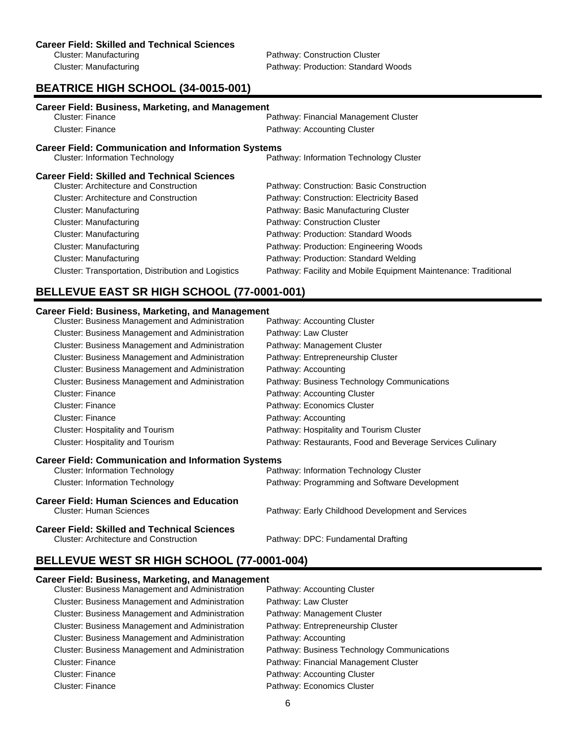Cluster: Manufacturing **Pathway: Construction Cluster** Cluster: Manufacturing example and pathway: Production: Standard Woods

# **BEATRICE HIGH SCHOOL (34-0015-001)**

| <b>Career Field: Business, Marketing, and Management</b><br>Cluster: Finance |                                                                 |  |
|------------------------------------------------------------------------------|-----------------------------------------------------------------|--|
|                                                                              | Pathway: Financial Management Cluster                           |  |
| <b>Cluster: Finance</b>                                                      | Pathway: Accounting Cluster                                     |  |
| <b>Career Field: Communication and Information Systems</b>                   |                                                                 |  |
| <b>Cluster: Information Technology</b>                                       | Pathway: Information Technology Cluster                         |  |
| <b>Career Field: Skilled and Technical Sciences</b>                          |                                                                 |  |
| Cluster: Architecture and Construction                                       | Pathway: Construction: Basic Construction                       |  |
| Cluster: Architecture and Construction                                       | Pathway: Construction: Electricity Based                        |  |
| Cluster: Manufacturing                                                       | Pathway: Basic Manufacturing Cluster                            |  |
| Cluster: Manufacturing                                                       | Pathway: Construction Cluster                                   |  |
| Cluster: Manufacturing                                                       | Pathway: Production: Standard Woods                             |  |
| Cluster: Manufacturing                                                       | Pathway: Production: Engineering Woods                          |  |
| Cluster: Manufacturing                                                       | Pathway: Production: Standard Welding                           |  |
| Cluster: Transportation, Distribution and Logistics                          | Pathway: Facility and Mobile Equipment Maintenance: Traditional |  |

# **BELLEVUE EAST SR HIGH SCHOOL (77-0001-001)**

### **Career Field: Business, Marketing, and Management**

| Cluster: Business Management and Administration            | Pathway: Accounting Cluster                               |
|------------------------------------------------------------|-----------------------------------------------------------|
| <b>Cluster: Business Management and Administration</b>     | Pathway: Law Cluster                                      |
| <b>Cluster: Business Management and Administration</b>     | Pathway: Management Cluster                               |
| <b>Cluster: Business Management and Administration</b>     | Pathway: Entrepreneurship Cluster                         |
| Cluster: Business Management and Administration            | Pathway: Accounting                                       |
| <b>Cluster: Business Management and Administration</b>     | Pathway: Business Technology Communications               |
| Cluster: Finance                                           | Pathway: Accounting Cluster                               |
| <b>Cluster: Finance</b>                                    | Pathway: Economics Cluster                                |
| Cluster: Finance                                           | Pathway: Accounting                                       |
| <b>Cluster: Hospitality and Tourism</b>                    | Pathway: Hospitality and Tourism Cluster                  |
| Cluster: Hospitality and Tourism                           | Pathway: Restaurants, Food and Beverage Services Culinary |
| <b>Career Field: Communication and Information Systems</b> |                                                           |

| <b>Cluster: Human Sciences</b>             | Pathway: Early Childhood Development and Services |
|--------------------------------------------|---------------------------------------------------|
| Career Field: Human Sciences and Education |                                                   |
| <b>Cluster: Information Technology</b>     | Pathway: Programming and Software Development     |
| <b>Cluster: Information Technology</b>     | Pathway: Information Technology Cluster           |

**Career Field: Skilled and Technical Sciences**

Pathway: DPC: Fundamental Drafting

# **BELLEVUE WEST SR HIGH SCHOOL (77-0001-004)**

### **Career Field: Business, Marketing, and Management**

| <b>Cluster: Business Management and Administration</b> | Pathway: Accounting Cluster                 |
|--------------------------------------------------------|---------------------------------------------|
| Cluster: Business Management and Administration        | Pathway: Law Cluster                        |
| <b>Cluster: Business Management and Administration</b> | Pathway: Management Cluster                 |
| Cluster: Business Management and Administration        | Pathway: Entrepreneurship Cluster           |
| Cluster: Business Management and Administration        | Pathway: Accounting                         |
| <b>Cluster: Business Management and Administration</b> | Pathway: Business Technology Communications |
| <b>Cluster: Finance</b>                                | Pathway: Financial Management Cluster       |
| <b>Cluster: Finance</b>                                | Pathway: Accounting Cluster                 |
| <b>Cluster: Finance</b>                                | Pathway: Economics Cluster                  |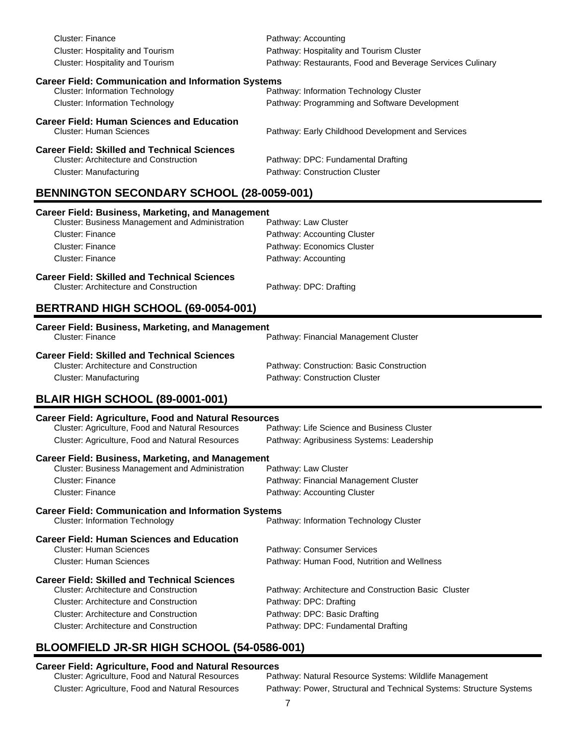| <b>Cluster: Finance</b><br>Cluster: Hospitality and Tourism                                                 | Pathway: Accounting<br>Pathway: Hospitality and Tourism Cluster                         |  |
|-------------------------------------------------------------------------------------------------------------|-----------------------------------------------------------------------------------------|--|
| <b>Cluster: Hospitality and Tourism</b>                                                                     | Pathway: Restaurants, Food and Beverage Services Culinary                               |  |
| <b>Career Field: Communication and Information Systems</b><br><b>Cluster: Information Technology</b>        | Pathway: Information Technology Cluster                                                 |  |
| <b>Cluster: Information Technology</b>                                                                      | Pathway: Programming and Software Development                                           |  |
| <b>Career Field: Human Sciences and Education</b>                                                           |                                                                                         |  |
| <b>Cluster: Human Sciences</b>                                                                              | Pathway: Early Childhood Development and Services                                       |  |
| <b>Career Field: Skilled and Technical Sciences</b><br><b>Cluster: Architecture and Construction</b>        |                                                                                         |  |
| <b>Cluster: Manufacturing</b>                                                                               | Pathway: DPC: Fundamental Drafting<br>Pathway: Construction Cluster                     |  |
| <b>BENNINGTON SECONDARY SCHOOL (28-0059-001)</b>                                                            |                                                                                         |  |
|                                                                                                             |                                                                                         |  |
| <b>Career Field: Business, Marketing, and Management</b><br>Cluster: Business Management and Administration | Pathway: Law Cluster                                                                    |  |
| Cluster: Finance                                                                                            | Pathway: Accounting Cluster                                                             |  |
| Cluster: Finance                                                                                            | Pathway: Economics Cluster                                                              |  |
| <b>Cluster: Finance</b>                                                                                     | Pathway: Accounting                                                                     |  |
| <b>Career Field: Skilled and Technical Sciences</b>                                                         |                                                                                         |  |
| <b>Cluster: Architecture and Construction</b>                                                               | Pathway: DPC: Drafting                                                                  |  |
| BERTRAND HIGH SCHOOL (69-0054-001)                                                                          |                                                                                         |  |
| <b>Career Field: Business, Marketing, and Management</b>                                                    |                                                                                         |  |
| Cluster: Finance                                                                                            | Pathway: Financial Management Cluster                                                   |  |
| <b>Career Field: Skilled and Technical Sciences</b>                                                         |                                                                                         |  |
| <b>Cluster: Architecture and Construction</b>                                                               | Pathway: Construction: Basic Construction<br>Pathway: Construction Cluster              |  |
| <b>Cluster: Manufacturing</b>                                                                               |                                                                                         |  |
| <b>BLAIR HIGH SCHOOL (89-0001-001)</b>                                                                      |                                                                                         |  |
| <b>Career Field: Agriculture, Food and Natural Resources</b>                                                |                                                                                         |  |
| Cluster: Agriculture, Food and Natural Resources<br>Cluster: Agriculture, Food and Natural Resources        | Pathway: Life Science and Business Cluster<br>Pathway: Agribusiness Systems: Leadership |  |
|                                                                                                             |                                                                                         |  |
| <b>Career Field: Business, Marketing, and Management</b><br>Cluster: Business Management and Administration |                                                                                         |  |
| <b>Cluster: Finance</b>                                                                                     | Pathway: Law Cluster<br>Pathway: Financial Management Cluster                           |  |
| <b>Cluster: Finance</b>                                                                                     | Pathway: Accounting Cluster                                                             |  |
|                                                                                                             |                                                                                         |  |
| <b>Career Field: Communication and Information Systems</b><br><b>Cluster: Information Technology</b>        | Pathway: Information Technology Cluster                                                 |  |
| <b>Career Field: Human Sciences and Education</b>                                                           |                                                                                         |  |
| <b>Cluster: Human Sciences</b>                                                                              | Pathway: Consumer Services                                                              |  |
| <b>Cluster: Human Sciences</b>                                                                              | Pathway: Human Food, Nutrition and Wellness                                             |  |
| <b>Career Field: Skilled and Technical Sciences</b>                                                         |                                                                                         |  |
| <b>Cluster: Architecture and Construction</b>                                                               | Pathway: Architecture and Construction Basic Cluster                                    |  |
| <b>Cluster: Architecture and Construction</b>                                                               | Pathway: DPC: Drafting                                                                  |  |
| <b>Cluster: Architecture and Construction</b>                                                               | Pathway: DPC: Basic Drafting                                                            |  |
| <b>Cluster: Architecture and Construction</b>                                                               | Pathway: DPC: Fundamental Drafting                                                      |  |
| COMFIFI D ID OD HIQH COHOOL (EA AFAC AAA)                                                                   |                                                                                         |  |

## **BLOOMFIELD JR-SR HIGH SCHOOL (54-0586-001)**

# **Career Field: Agriculture, Food and Natural Resources**

Pathway: Natural Resource Systems: Wildlife Management Cluster: Agriculture, Food and Natural Resources Pathway: Power, Structural and Technical Systems: Structure Systems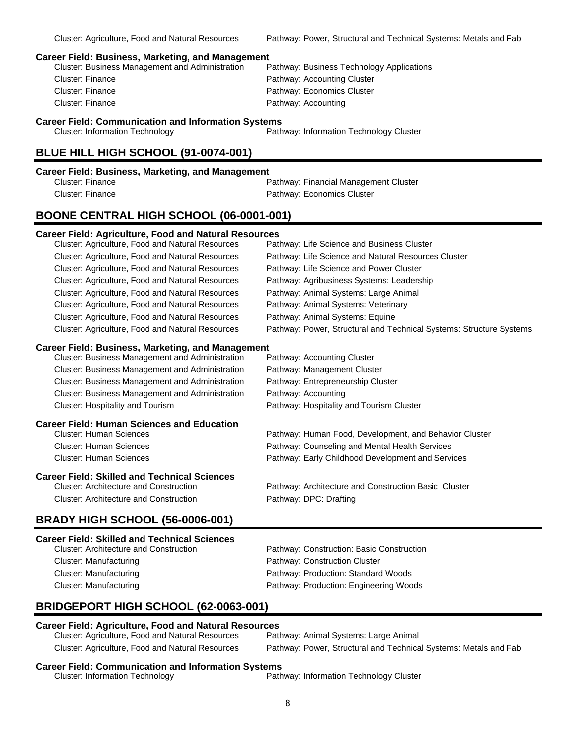### **Career Field: Business, Marketing, and Management**

| <b>Cluster: Business Management and Administration</b> | Pathway: Business Technology Applications |
|--------------------------------------------------------|-------------------------------------------|
| Cluster: Finance                                       | Pathway: Accounting Cluster               |
| Cluster: Finance                                       | Pathway: Economics Cluster                |
| Cluster: Finance                                       | Pathway: Accounting                       |
|                                                        |                                           |

**Career Field: Communication and Information Systems**

Cluster: Information Technology Pathway: Information Technology Cluster

### **BLUE HILL HIGH SCHOOL (91-0074-001)**

Cluster: Finance **Pathway: Financial Management Cluster** Pathway: Financial Management Cluster Cluster: Finance Pathway: Economics Cluster

### **BOONE CENTRAL HIGH SCHOOL (06-0001-001)**

### **Career Field: Agriculture, Food and Natural Resources**

| Cluster: Agriculture, Food and Natural Resources | Pathway: Life Science and Business Cluster                          |
|--------------------------------------------------|---------------------------------------------------------------------|
| Cluster: Agriculture, Food and Natural Resources | Pathway: Life Science and Natural Resources Cluster                 |
| Cluster: Agriculture, Food and Natural Resources | Pathway: Life Science and Power Cluster                             |
| Cluster: Agriculture, Food and Natural Resources | Pathway: Agribusiness Systems: Leadership                           |
| Cluster: Agriculture, Food and Natural Resources | Pathway: Animal Systems: Large Animal                               |
| Cluster: Agriculture, Food and Natural Resources | Pathway: Animal Systems: Veterinary                                 |
| Cluster: Agriculture, Food and Natural Resources | Pathway: Animal Systems: Equine                                     |
| Cluster: Agriculture, Food and Natural Resources | Pathway: Power, Structural and Technical Systems: Structure Systems |

### **Career Field: Business, Marketing, and Management**

Cluster: Business Management and Administration Pathway: Accounting Cluster Cluster: Business Management and Administration Pathway: Management Cluster Cluster: Business Management and Administration Pathway: Entrepreneurship Cluster Cluster: Business Management and Administration Pathway: Accounting Cluster: Hospitality and Tourism Pathway: Hospitality and Tourism Cluster

# **Career Field: Human Sciences and Education**

Pathway: Human Food, Development, and Behavior Cluster Cluster: Human Sciences Pathway: Counseling and Mental Health Services Cluster: Human Sciences Pathway: Early Childhood Development and Services

### **Career Field: Skilled and Technical Sciences**

Cluster: Architecture and Construction Pathway: Architecture and Construction Basic Cluster Cluster: Architecture and Construction Pathway: DPC: Drafting

### **BRADY HIGH SCHOOL (56-0006-001) Career Field: Skilled and Technical Sciences**

| Gareer Field: Skilled and Technical Sciences  |                                           |
|-----------------------------------------------|-------------------------------------------|
| <b>Cluster: Architecture and Construction</b> | Pathway: Construction: Basic Construction |
| Cluster: Manufacturing                        | Pathway: Construction Cluster             |
| Cluster: Manufacturing                        | Pathway: Production: Standard Woods       |
| Cluster: Manufacturing                        | Pathway: Production: Engineering Woods    |
|                                               |                                           |

# **BRIDGEPORT HIGH SCHOOL (62-0063-001)**

# **Career Field: Agriculture, Food and Natural Resources**

Cluster: Agriculture, Food and Natural Resources Cluster: Agriculture, Food and Natural Resources Pathway: Power, Structural and Technical Systems: Metals and Fab

### **Career Field: Communication and Information Systems**

Cluster: Information Technology Pathway: Information Technology Cluster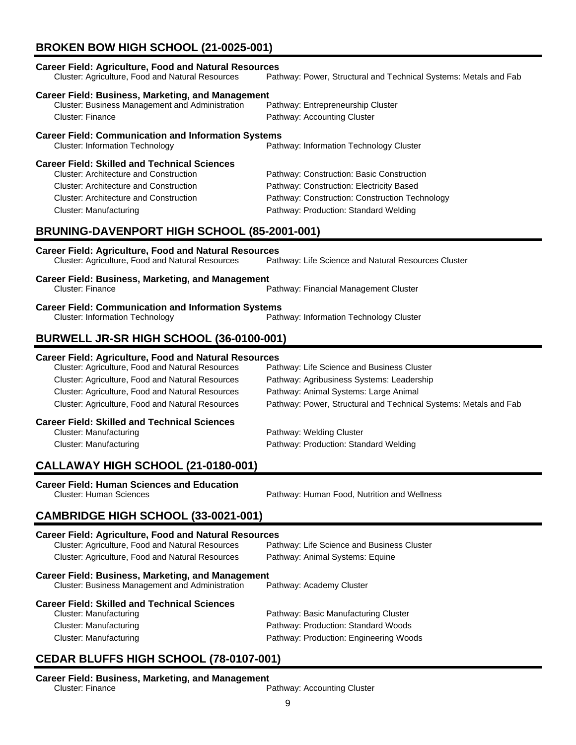# **BROKEN BOW HIGH SCHOOL (21-0025-001)**

| <b>Career Field: Agriculture, Food and Natural Resources</b><br>Cluster: Agriculture, Food and Natural Resources                                                                                                                                                                       | Pathway: Power, Structural and Technical Systems: Metals and Fab                                                                                                                                     |  |
|----------------------------------------------------------------------------------------------------------------------------------------------------------------------------------------------------------------------------------------------------------------------------------------|------------------------------------------------------------------------------------------------------------------------------------------------------------------------------------------------------|--|
| <b>Career Field: Business, Marketing, and Management</b><br>Cluster: Business Management and Administration<br><b>Cluster: Finance</b>                                                                                                                                                 | Pathway: Entrepreneurship Cluster<br>Pathway: Accounting Cluster                                                                                                                                     |  |
| <b>Career Field: Communication and Information Systems</b><br><b>Cluster: Information Technology</b>                                                                                                                                                                                   | Pathway: Information Technology Cluster                                                                                                                                                              |  |
| <b>Career Field: Skilled and Technical Sciences</b><br><b>Cluster: Architecture and Construction</b><br><b>Cluster: Architecture and Construction</b><br><b>Cluster: Architecture and Construction</b><br><b>Cluster: Manufacturing</b><br>BRUNING-DAVENPORT HIGH SCHOOL (85-2001-001) | Pathway: Construction: Basic Construction<br>Pathway: Construction: Electricity Based<br>Pathway: Construction: Construction Technology<br>Pathway: Production: Standard Welding                     |  |
| <b>Career Field: Agriculture, Food and Natural Resources</b><br>Cluster: Agriculture, Food and Natural Resources                                                                                                                                                                       | Pathway: Life Science and Natural Resources Cluster                                                                                                                                                  |  |
| <b>Career Field: Business, Marketing, and Management</b><br><b>Cluster: Finance</b>                                                                                                                                                                                                    | Pathway: Financial Management Cluster                                                                                                                                                                |  |
| <b>Career Field: Communication and Information Systems</b><br><b>Cluster: Information Technology</b>                                                                                                                                                                                   | Pathway: Information Technology Cluster                                                                                                                                                              |  |
| BURWELL JR-SR HIGH SCHOOL (36-0100-001)                                                                                                                                                                                                                                                |                                                                                                                                                                                                      |  |
| <b>Career Field: Agriculture, Food and Natural Resources</b><br>Cluster: Agriculture, Food and Natural Resources<br>Cluster: Agriculture, Food and Natural Resources<br>Cluster: Agriculture, Food and Natural Resources<br>Cluster: Agriculture, Food and Natural Resources           | Pathway: Life Science and Business Cluster<br>Pathway: Agribusiness Systems: Leadership<br>Pathway: Animal Systems: Large Animal<br>Pathway: Power, Structural and Technical Systems: Metals and Fab |  |
| <b>Career Field: Skilled and Technical Sciences</b><br><b>Cluster: Manufacturing</b><br><b>Cluster: Manufacturing</b>                                                                                                                                                                  | Pathway: Welding Cluster<br>Pathway: Production: Standard Welding                                                                                                                                    |  |
| CALLAWAY HIGH SCHOOL (21-0180-001)                                                                                                                                                                                                                                                     |                                                                                                                                                                                                      |  |
| <b>Career Field: Human Sciences and Education</b><br><b>Cluster: Human Sciences</b>                                                                                                                                                                                                    | Pathway: Human Food, Nutrition and Wellness                                                                                                                                                          |  |
| <b>CAMBRIDGE HIGH SCHOOL (33-0021-001)</b>                                                                                                                                                                                                                                             |                                                                                                                                                                                                      |  |
| <b>Career Field: Agriculture, Food and Natural Resources</b><br>Cluster: Agriculture, Food and Natural Resources<br>Cluster: Agriculture, Food and Natural Resources                                                                                                                   | Pathway: Life Science and Business Cluster<br>Pathway: Animal Systems: Equine                                                                                                                        |  |
| <b>Career Field: Business, Marketing, and Management</b><br>Cluster: Business Management and Administration                                                                                                                                                                            | Pathway: Academy Cluster                                                                                                                                                                             |  |
| <b>Career Field: Skilled and Technical Sciences</b><br><b>Cluster: Manufacturing</b><br><b>Cluster: Manufacturing</b><br><b>Cluster: Manufacturing</b>                                                                                                                                 | Pathway: Basic Manufacturing Cluster<br>Pathway: Production: Standard Woods<br>Pathway: Production: Engineering Woods                                                                                |  |
| CEDAR RUIFES HIGH SCHOOL (78-0107-001)                                                                                                                                                                                                                                                 |                                                                                                                                                                                                      |  |

# **CEDAR BLUFFS HIGH SCHOOL (78-0107-001)**

# **Career Field: Business, Marketing, and Management**

Pathway: Accounting Cluster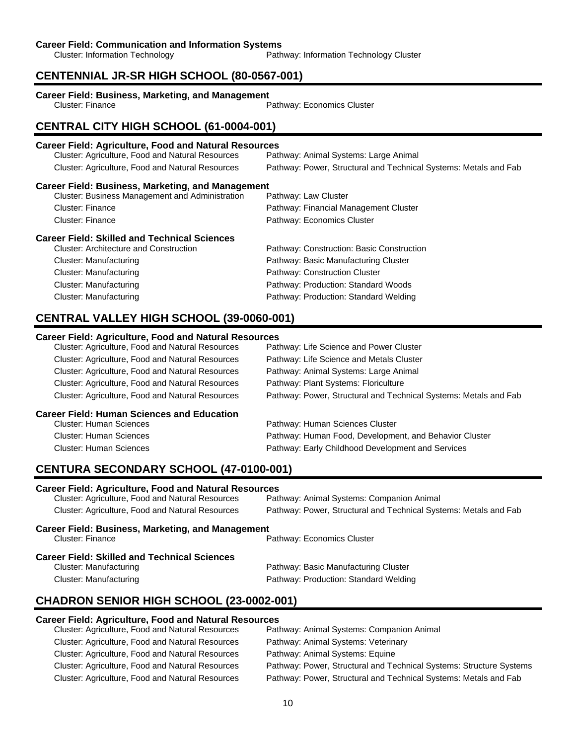### **Career Field: Communication and Information Systems**

Cluster: Information Technology Pathway: Information Technology Cluster

### **CENTENNIAL JR-SR HIGH SCHOOL (80-0567-001)**

# **Career Field: Business, Marketing, and Management**

Pathway: Economics Cluster

### **CENTRAL CITY HIGH SCHOOL (61-0004-001)**

## **Career Field: Agriculture, Food and Natural Resources** Cluster: Agriculture, Food and Natural Resources Cluster: Agriculture, Food and Natural Resources Pathway: Power, Structural and Technical Systems: Metals and Fab **Career Field: Business, Marketing, and Management** Cluster: Business Management and Administration Pathway: Law Cluster Cluster: Finance Pathway: Financial Management Cluster Cluster: Finance **Pathway: Economics Cluster Career Field: Skilled and Technical Sciences** Pathway: Construction: Basic Construction Cluster: Manufacturing Pathway: Basic Manufacturing Cluster Cluster: Manufacturing example and the Pathway: Construction Cluster Cluster: Manufacturing Pathway: Production: Standard Woods Cluster: Manufacturing Pathway: Production: Standard Welding

## **CENTRAL VALLEY HIGH SCHOOL (39-0060-001)**

### **Career Field: Agriculture, Food and Natural Resources**

| Cluster: Agriculture, Food and Natural Resources        | Pathway: Life Science and Power Cluster                          |
|---------------------------------------------------------|------------------------------------------------------------------|
| Cluster: Agriculture, Food and Natural Resources        | Pathway: Life Science and Metals Cluster                         |
| Cluster: Agriculture, Food and Natural Resources        | Pathway: Animal Systems: Large Animal                            |
| <b>Cluster: Agriculture, Food and Natural Resources</b> | Pathway: Plant Systems: Floriculture                             |
| Cluster: Agriculture, Food and Natural Resources        | Pathway: Power, Structural and Technical Systems: Metals and Fab |
| <b>Career Field: Human Sciences and Education</b>       |                                                                  |
| <b>Cluster: Human Sciences</b>                          | Pathway: Human Sciences Cluster                                  |
| <b>Cluster: Human Sciences</b>                          | Pathway: Human Food, Development, and Behavior Cluster           |
| <b>Cluster: Human Sciences</b>                          | Pathway: Early Childhood Development and Services                |

### **CENTURA SECONDARY SCHOOL (47-0100-001)**

### **Career Field: Agriculture, Food and Natural Resources**

| Cluster: Agriculture, Food and Natural Resources  | Pathway: Animal Systems: Companion Animal                        |  |
|---------------------------------------------------|------------------------------------------------------------------|--|
| Cluster: Agriculture, Food and Natural Resources  | Pathway: Power, Structural and Technical Systems: Metals and Fab |  |
| Career Field: Business, Marketing, and Management |                                                                  |  |
| Cluster: Finance                                  | Pathway: Economics Cluster                                       |  |

### **Career Field: Skilled and Technical Sciences**

| Cluster: Manufacturing | Pathway: Basic Manufacturing Cluster  |
|------------------------|---------------------------------------|
| Cluster: Manufacturing | Pathway: Production: Standard Welding |

## **CHADRON SENIOR HIGH SCHOOL (23-0002-001)**

### **Career Field: Agriculture, Food and Natural Resources**

| Pathway: Animal Systems: Companion Animal                           |
|---------------------------------------------------------------------|
| Pathway: Animal Systems: Veterinary                                 |
| Pathway: Animal Systems: Equine                                     |
| Pathway: Power, Structural and Technical Systems: Structure Systems |
| Pathway: Power, Structural and Technical Systems: Metals and Fab    |
|                                                                     |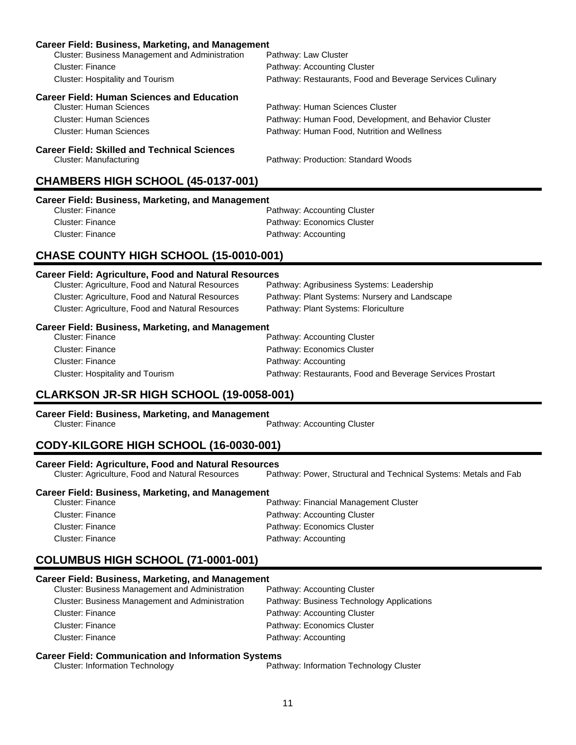| <b>Career Field: Business, Marketing, and Management</b>     |                                                           |  |  |
|--------------------------------------------------------------|-----------------------------------------------------------|--|--|
| Cluster: Business Management and Administration              | Pathway: Law Cluster                                      |  |  |
| Cluster: Finance                                             | Pathway: Accounting Cluster                               |  |  |
| Cluster: Hospitality and Tourism                             | Pathway: Restaurants, Food and Beverage Services Culinary |  |  |
| <b>Career Field: Human Sciences and Education</b>            |                                                           |  |  |
| <b>Cluster: Human Sciences</b>                               | Pathway: Human Sciences Cluster                           |  |  |
| <b>Cluster: Human Sciences</b>                               | Pathway: Human Food, Development, and Behavior Cluster    |  |  |
| <b>Cluster: Human Sciences</b>                               | Pathway: Human Food, Nutrition and Wellness               |  |  |
| <b>Career Field: Skilled and Technical Sciences</b>          |                                                           |  |  |
| <b>Cluster: Manufacturing</b>                                | Pathway: Production: Standard Woods                       |  |  |
|                                                              | CHAMBERS HIGH SCHOOL (45-0137-001)                        |  |  |
| <b>Career Field: Business, Marketing, and Management</b>     |                                                           |  |  |
| <b>Cluster: Finance</b>                                      | Pathway: Accounting Cluster                               |  |  |
| <b>Cluster: Finance</b>                                      | Pathway: Economics Cluster                                |  |  |
| <b>Cluster: Finance</b>                                      | Pathway: Accounting                                       |  |  |
| CHASE COUNTY HIGH SCHOOL (15-0010-001)                       |                                                           |  |  |
| <b>Career Field: Agriculture, Food and Natural Resources</b> |                                                           |  |  |
| Cluster: Agriculture, Food and Natural Resources             | Pathway: Agribusiness Systems: Leadership                 |  |  |
| Cluster: Agriculture, Food and Natural Resources             | Pathway: Plant Systems: Nursery and Landscape             |  |  |
| Cluster: Agriculture, Food and Natural Resources             | Pathway: Plant Systems: Floriculture                      |  |  |
| <b>Career Field: Business, Marketing, and Management</b>     |                                                           |  |  |
| <b>Cluster: Finance</b>                                      | Pathway: Accounting Cluster                               |  |  |
| Cluster: Finance                                             | Pathway: Economics Cluster                                |  |  |
|                                                              |                                                           |  |  |

## **CLARKSON JR-SR HIGH SCHOOL (19-0058-001)**

# **Career Field: Business, Marketing, and Management**

Pathway: Accounting Cluster

## **CODY-KILGORE HIGH SCHOOL (16-0030-001)**

**Career Field: Agriculture, Food and Natural Resources** Pathway: Power, Structural and Technical Systems: Metals and Fab

Cluster: Hospitality and Tourism Pathway: Restaurants, Food and Beverage Services Prostart

### **Career Field: Business, Marketing, and Management**

| Cluster: Finance | Pathway: Financial Management Cluster |
|------------------|---------------------------------------|
| Cluster: Finance | Pathway: Accounting Cluster           |
| Cluster: Finance | Pathway: Economics Cluster            |
| Cluster: Finance | Pathway: Accounting                   |

# **COLUMBUS HIGH SCHOOL (71-0001-001)**

### **Career Field: Business, Marketing, and Management**

| <b>Cluster: Business Management and Administration</b> | Pathway: Accounting Cluster               |
|--------------------------------------------------------|-------------------------------------------|
| <b>Cluster: Business Management and Administration</b> | Pathway: Business Technology Applications |
| Cluster: Finance                                       | Pathway: Accounting Cluster               |
| Cluster: Finance                                       | Pathway: Economics Cluster                |
| Cluster: Finance                                       | Pathway: Accounting                       |

# **Career Field: Communication and Information Systems**<br>Path Cluster: Information Technology

Pathway: Information Technology Cluster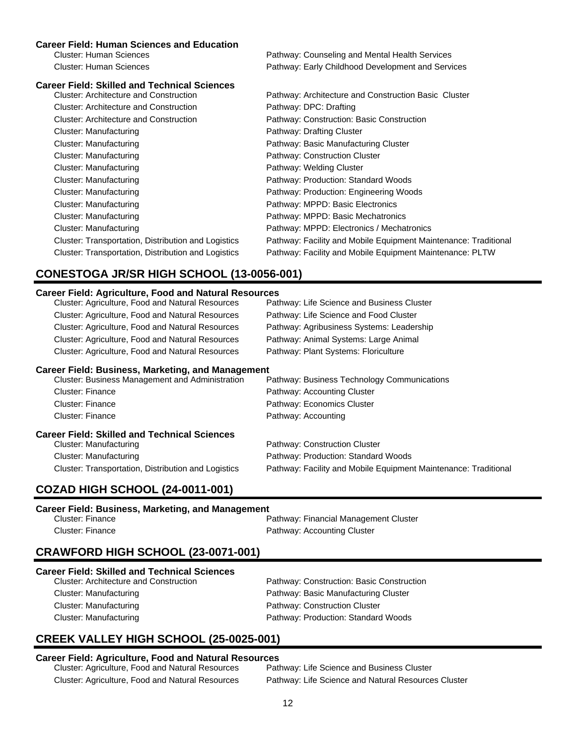### **Career Field: Human Sciences and Education**

Cluster: Human Sciences Pathway: Counseling and Mental Health Services Cluster: Human Sciences Pathway: Early Childhood Development and Services

| <b>Career Field: Skilled and Technical Sciences</b> |                                                                 |
|-----------------------------------------------------|-----------------------------------------------------------------|
| Cluster: Architecture and Construction              | Pathway: Architecture and Construction Basic Cluster            |
| Cluster: Architecture and Construction              | Pathway: DPC: Drafting                                          |
| <b>Cluster: Architecture and Construction</b>       | Pathway: Construction: Basic Construction                       |
| Cluster: Manufacturing                              | Pathway: Drafting Cluster                                       |
| Cluster: Manufacturing                              | Pathway: Basic Manufacturing Cluster                            |
| Cluster: Manufacturing                              | Pathway: Construction Cluster                                   |
| Cluster: Manufacturing                              | Pathway: Welding Cluster                                        |
| Cluster: Manufacturing                              | Pathway: Production: Standard Woods                             |
| Cluster: Manufacturing                              | Pathway: Production: Engineering Woods                          |
| Cluster: Manufacturing                              | Pathway: MPPD: Basic Electronics                                |
| Cluster: Manufacturing                              | Pathway: MPPD: Basic Mechatronics                               |
| Cluster: Manufacturing                              | Pathway: MPPD: Electronics / Mechatronics                       |
| Cluster: Transportation, Distribution and Logistics | Pathway: Facility and Mobile Equipment Maintenance: Traditional |
| Cluster: Transportation, Distribution and Logistics | Pathway: Facility and Mobile Equipment Maintenance: PLTW        |

# **CONESTOGA JR/SR HIGH SCHOOL (13-0056-001)**

### **Career Field: Agriculture, Food and Natural Resources**

| Cluster: Agriculture, Food and Natural Resources | Pathway: Life Science and Business Cluster |
|--------------------------------------------------|--------------------------------------------|
| Cluster: Agriculture, Food and Natural Resources | Pathway: Life Science and Food Cluster     |
| Cluster: Agriculture, Food and Natural Resources | Pathway: Agribusiness Systems: Leadership  |
| Cluster: Agriculture, Food and Natural Resources | Pathway: Animal Systems: Large Animal      |
| Cluster: Agriculture, Food and Natural Resources | Pathway: Plant Systems: Floriculture       |
|                                                  |                                            |

### **Career Field: Business, Marketing, and Management**

| Cluster: Business Management and Administration     | Pathway: Business Technology Communications                     |
|-----------------------------------------------------|-----------------------------------------------------------------|
| <b>Cluster: Finance</b>                             | Pathway: Accounting Cluster                                     |
| Cluster: Finance                                    | Pathway: Economics Cluster                                      |
| <b>Cluster: Finance</b>                             | Pathway: Accounting                                             |
| Career Field: Skilled and Technical Sciences        |                                                                 |
| Cluster: Manufacturing                              | Pathway: Construction Cluster                                   |
| Cluster: Manufacturing                              | Pathway: Production: Standard Woods                             |
| Cluster: Transportation, Distribution and Logistics | Pathway: Facility and Mobile Equipment Maintenance: Traditional |

## **COZAD HIGH SCHOOL (24-0011-001)**

### **Career Field: Business, Marketing, and Management**

| Cluster: Finance | Pathway: Financial Management Cluster |
|------------------|---------------------------------------|
| Cluster: Finance | Pathway: Accounting Cluster           |

### **CRAWFORD HIGH SCHOOL (23-0071-001)**

| <b>Career Field: Skilled and Technical Sciences</b> |                                           |
|-----------------------------------------------------|-------------------------------------------|
| <b>Cluster: Architecture and Construction</b>       | Pathway: Construction: Basic Construction |
| Cluster: Manufacturing                              | Pathway: Basic Manufacturing Cluster      |
| Cluster: Manufacturing                              | Pathway: Construction Cluster             |
| Cluster: Manufacturing                              | Pathway: Production: Standard Woods       |

# **CREEK VALLEY HIGH SCHOOL (25-0025-001)**

### **Career Field: Agriculture, Food and Natural Resources**

Cluster: Agriculture, Food and Natural Resources Pathway: Life Science and Business Cluster Cluster: Agriculture, Food and Natural Resources Pathway: Life Science and Natural Resources Cluster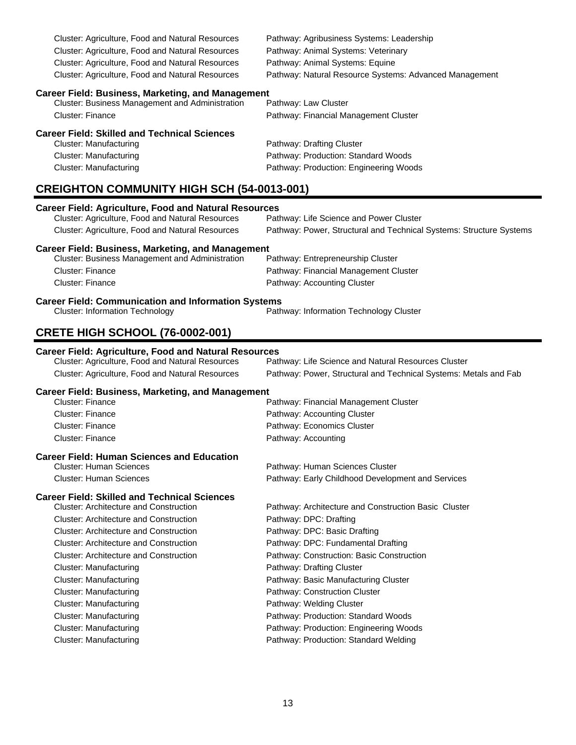Cluster: Agriculture, Food and Natural Resources Pathway: Agribusiness Systems: Leadership Cluster: Agriculture, Food and Natural Resources Pathway: Animal Systems: Veterinary Cluster: Agriculture, Food and Natural Resources Pathway: Animal Systems: Equine

Cluster: Agriculture, Food and Natural Resources Pathway: Natural Resource Systems: Advanced Management

### **Career Field: Business, Marketing, and Management**

Cluster: Business Management and Administration Pathway: Law Cluster Cluster: Finance **Pathway: Financial Management Cluster** Pathway: Financial Management Cluster

### **Career Field: Skilled and Technical Sciences**

| Cluster: Manufacturing | Pathway: Drafting Cluster              |
|------------------------|----------------------------------------|
| Cluster: Manufacturing | Pathway: Production: Standard Woods    |
| Cluster: Manufacturing | Pathway: Production: Engineering Woods |

## **CREIGHTON COMMUNITY HIGH SCH (54-0013-001)**

| <b>Career Field: Agriculture, Food and Natural Resources</b><br>Cluster: Agriculture, Food and Natural Resources<br>Pathway: Life Science and Power Cluster |                                                                     |  |
|-------------------------------------------------------------------------------------------------------------------------------------------------------------|---------------------------------------------------------------------|--|
| Cluster: Agriculture, Food and Natural Resources                                                                                                            | Pathway: Power, Structural and Technical Systems: Structure Systems |  |
| <b>Career Field: Business, Marketing, and Management</b><br>Cluster: Business Management and Administration                                                 | Pathway: Entrepreneurship Cluster                                   |  |
| <b>Cluster: Finance</b>                                                                                                                                     | Pathway: Financial Management Cluster                               |  |
| <b>Cluster: Finance</b>                                                                                                                                     | Pathway: Accounting Cluster                                         |  |
| <b>Career Field: Communication and Information Systems</b>                                                                                                  |                                                                     |  |
| <b>Cluster: Information Technology</b>                                                                                                                      | Pathway: Information Technology Cluster                             |  |
| <b>CRETE HIGH SCHOOL (76-0002-001)</b>                                                                                                                      |                                                                     |  |
| <b>Career Field: Agriculture, Food and Natural Resources</b>                                                                                                |                                                                     |  |
| Cluster: Agriculture, Food and Natural Resources                                                                                                            | Pathway: Life Science and Natural Resources Cluster                 |  |
| Cluster: Agriculture, Food and Natural Resources                                                                                                            | Pathway: Power, Structural and Technical Systems: Metals and Fab    |  |
| <b>Career Field: Business, Marketing, and Management</b>                                                                                                    |                                                                     |  |
| Cluster: Finance                                                                                                                                            | Pathway: Financial Management Cluster                               |  |
| <b>Cluster: Finance</b>                                                                                                                                     | Pathway: Accounting Cluster                                         |  |
| <b>Cluster: Finance</b>                                                                                                                                     | Pathway: Economics Cluster                                          |  |
| <b>Cluster: Finance</b>                                                                                                                                     | Pathway: Accounting                                                 |  |
| <b>Career Field: Human Sciences and Education</b>                                                                                                           |                                                                     |  |
| <b>Cluster: Human Sciences</b>                                                                                                                              | Pathway: Human Sciences Cluster                                     |  |
| <b>Cluster: Human Sciences</b>                                                                                                                              | Pathway: Early Childhood Development and Services                   |  |
| <b>Career Field: Skilled and Technical Sciences</b>                                                                                                         |                                                                     |  |
| <b>Cluster: Architecture and Construction</b>                                                                                                               | Pathway: Architecture and Construction Basic Cluster                |  |
| <b>Cluster: Architecture and Construction</b>                                                                                                               | Pathway: DPC: Drafting                                              |  |
| <b>Cluster: Architecture and Construction</b>                                                                                                               | Pathway: DPC: Basic Drafting                                        |  |
| <b>Cluster: Architecture and Construction</b>                                                                                                               | Pathway: DPC: Fundamental Drafting                                  |  |
| <b>Cluster: Architecture and Construction</b>                                                                                                               | Pathway: Construction: Basic Construction                           |  |
| Cluster: Manufacturing                                                                                                                                      | Pathway: Drafting Cluster                                           |  |

Cluster: Manufacturing example and the Pathway: Basic Manufacturing Cluster

Cluster: Manufacturing example and the Pathway: Production: Standard Woods Cluster: Manufacturing example and the Pathway: Production: Engineering Woods Cluster: Manufacturing **Pathway: Production: Standard Welding** 

Cluster: Manufacturing example and pathway: Construction Cluster Cluster: Manufacturing **Pathway: Welding Cluster** Pathway: Welding Cluster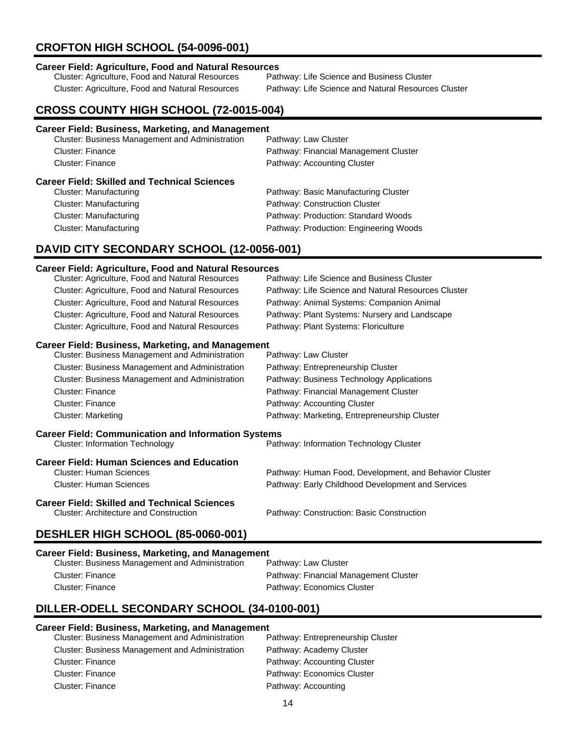# **CROFTON HIGH SCHOOL (54-0096-001)**

# **Career Field: Agriculture, Food and Natural Resources**

Cluster: Agriculture, Food and Natural Resources

Cluster: Agriculture, Food and Natural Resources Pathway: Life Science and Natural Resources Cluster

# **CROSS COUNTY HIGH SCHOOL (72-0015-004)**

| <b>Career Field: Business, Marketing, and Management</b>                      |                                        |
|-------------------------------------------------------------------------------|----------------------------------------|
| Cluster: Business Management and Administration                               | Pathway: Law Cluster                   |
| Cluster: Finance                                                              | Pathway: Financial Management Cluster  |
| Cluster: Finance                                                              | Pathway: Accounting Cluster            |
| <b>Career Field: Skilled and Technical Sciences</b><br>Cluster: Manufacturing | Pathway: Basic Manufacturing Cluster   |
| Cluster: Manufacturing                                                        | Pathway: Construction Cluster          |
| Cluster: Manufacturing                                                        | Pathway: Production: Standard Woods    |
| Cluster: Manufacturing                                                        | Pathway: Production: Engineering Woods |
|                                                                               |                                        |

## **DAVID CITY SECONDARY SCHOOL (12-0056-001)**

### **Career Field: Agriculture, Food and Natural Resources**

| Cluster: Agriculture, Food and Natural Resources           | Pathway: Life Science and Business Cluster             |
|------------------------------------------------------------|--------------------------------------------------------|
| Cluster: Agriculture, Food and Natural Resources           | Pathway: Life Science and Natural Resources Cluster    |
| Cluster: Agriculture, Food and Natural Resources           | Pathway: Animal Systems: Companion Animal              |
| Cluster: Agriculture, Food and Natural Resources           | Pathway: Plant Systems: Nursery and Landscape          |
| Cluster: Agriculture, Food and Natural Resources           | Pathway: Plant Systems: Floriculture                   |
| <b>Career Field: Business, Marketing, and Management</b>   |                                                        |
| Cluster: Business Management and Administration            | Pathway: Law Cluster                                   |
| Cluster: Business Management and Administration            | Pathway: Entrepreneurship Cluster                      |
| Cluster: Business Management and Administration            | Pathway: Business Technology Applications              |
| <b>Cluster: Finance</b>                                    | Pathway: Financial Management Cluster                  |
| Cluster: Finance                                           | Pathway: Accounting Cluster                            |
| <b>Cluster: Marketing</b>                                  | Pathway: Marketing, Entrepreneurship Cluster           |
| <b>Career Field: Communication and Information Systems</b> |                                                        |
| <b>Cluster: Information Technology</b>                     | Pathway: Information Technology Cluster                |
| <b>Career Field: Human Sciences and Education</b>          |                                                        |
| <b>Cluster: Human Sciences</b>                             | Pathway: Human Food, Development, and Behavior Cluster |
| <b>Cluster: Human Sciences</b>                             | Pathway: Early Childhood Development and Services      |
| <b>Career Field: Skilled and Technical Sciences</b>        |                                                        |
| <b>Cluster: Architecture and Construction</b>              | Pathway: Construction: Basic Construction              |
| DECHLED HIGH COHOOL (OF ANCO ANA)                          |                                                        |

## **DESHLER HIGH SCHOOL (85-0060-001)**

| Career Field: Business, Marketing, and Management      |                                       |
|--------------------------------------------------------|---------------------------------------|
| <b>Cluster: Business Management and Administration</b> | Pathway: Law Cluster                  |
| Cluster: Finance                                       | Pathway: Financial Management Cluster |
| Cluster: Finance                                       | Pathway: Economics Cluster            |

# **DILLER-ODELL SECONDARY SCHOOL (34-0100-001)**

### **Career Field: Business, Marketing, and Management**

| <b>Cluster: Business Management and Administration</b> | Pathway: Entrepreneurship Cluster |
|--------------------------------------------------------|-----------------------------------|
| <b>Cluster: Business Management and Administration</b> | Pathway: Academy Cluster          |
| Cluster: Finance                                       | Pathway: Accounting Cluster       |
| <b>Cluster: Finance</b>                                | Pathway: Economics Cluster        |
| Cluster: Finance                                       | Pathway: Accounting               |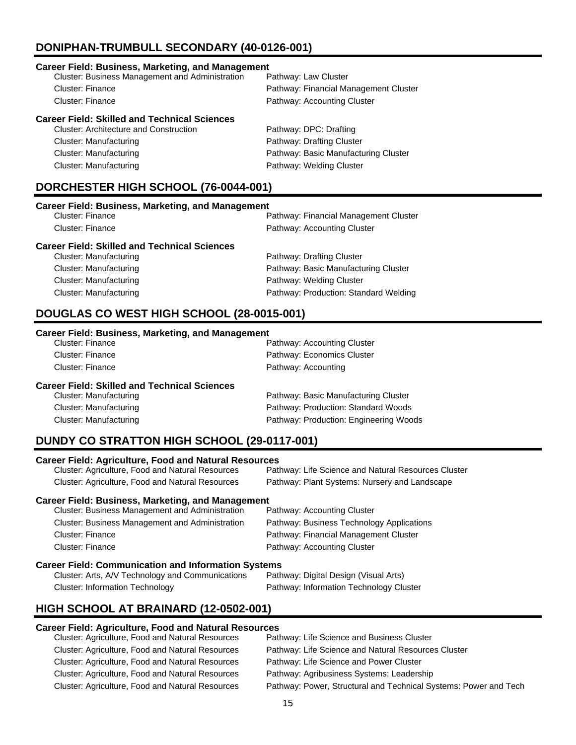# **DONIPHAN-TRUMBULL SECONDARY (40-0126-001)**

### **Career Field: Business, Marketing, and Management** Cluster: Business Management and Administration Cluster: Finance Pathway: Financial Management Cluster Cluster: Finance **Pathway: Accounting Cluster** Pathway: Accounting Cluster **Career Field: Skilled and Technical Sciences** Cluster: Architecture and Construction Pathway: DPC: Drafting Cluster: Manufacturing **Pathway: Drafting Cluster** Pathway: Drafting Cluster Cluster: Manufacturing Pathway: Basic Manufacturing Cluster Cluster: Manufacturing example and the Pathway: Welding Cluster

# **DORCHESTER HIGH SCHOOL (76-0044-001)**

| Career Field: Business, Marketing, and Management   |                                       |
|-----------------------------------------------------|---------------------------------------|
| Cluster: Finance                                    | Pathway: Financial Management Cluster |
| Cluster: Finance                                    | Pathway: Accounting Cluster           |
| <b>Career Field: Skilled and Technical Sciences</b> |                                       |
| Cluster: Manufacturing                              | Pathway: Drafting Cluster             |
| Cluster: Manufacturing                              | Pathway: Basic Manufacturing Cluster  |

Cluster: Manufacturing Pathway: Production: Standard Welding

Cluster: Manufacturing Pathway: Welding Cluster

# **DOUGLAS CO WEST HIGH SCHOOL (28-0015-001)**

### **Career Field: Business, Marketing, and Management**

| <b>Cluster: Finance</b>                             | Pathway: Accounting Cluster            |
|-----------------------------------------------------|----------------------------------------|
| <b>Cluster: Finance</b>                             | Pathway: Economics Cluster             |
| Cluster: Finance                                    | Pathway: Accounting                    |
| <b>Career Field: Skilled and Technical Sciences</b> |                                        |
| Cluster: Manufacturing                              | Pathway: Basic Manufacturing Cluster   |
| Cluster: Manufacturing                              | Pathway: Production: Standard Woods    |
| Cluster: Manufacturing                              | Pathway: Production: Engineering Woods |

# **DUNDY CO STRATTON HIGH SCHOOL (29-0117-001)**

# **Career Field: Agriculture, Food and Natural Resources**

| Cluster: Agriculture, Food and Natural Resources | Pathway: Life Science and Natural Resources Cluster |
|--------------------------------------------------|-----------------------------------------------------|
| Cluster: Agriculture, Food and Natural Resources | Pathway: Plant Systems: Nursery and Landscape       |

### **Career Field: Business, Marketing, and Management**

| Cluster: Business Management and Administration | Pathway: Accounting Cluster               |
|-------------------------------------------------|-------------------------------------------|
| Cluster: Business Management and Administration | Pathway: Business Technology Applications |
| Cluster: Finance                                | Pathway: Financial Management Cluster     |
| Cluster: Finance                                | Pathway: Accounting Cluster               |
|                                                 |                                           |

# **Career Field: Communication and Information Systems**<br>Cluster: Arts, A/V Technology and Communications Pathway: Digital Design (Visual Arts)

Cluster: Arts, A/V Technology and Communications Cluster: Information Technology Pathway: Information Technology Cluster

# **HIGH SCHOOL AT BRAINARD (12-0502-001)**

### **Career Field: Agriculture, Food and Natural Resources**

Cluster: Agriculture, Food and Natural Resources Pathway: Life Science and Power Cluster Cluster: Agriculture, Food and Natural Resources Pathway: Agribusiness Systems: Leadership

Cluster: Agriculture, Food and Natural Resources Pathway: Life Science and Business Cluster Cluster: Agriculture, Food and Natural Resources Pathway: Life Science and Natural Resources Cluster Cluster: Agriculture, Food and Natural Resources Pathway: Power, Structural and Technical Systems: Power and Tech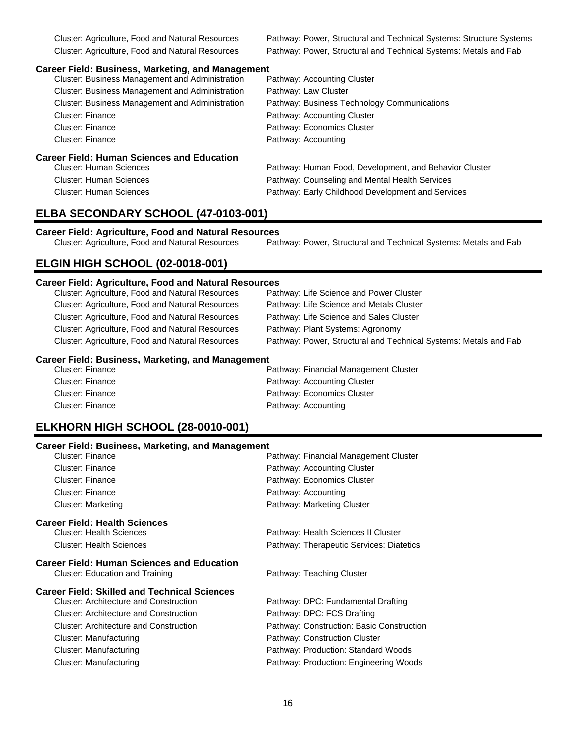Cluster: Agriculture, Food and Natural Resources Pathway: Power, Structural and Technical Systems: Structure Systems Cluster: Agriculture, Food and Natural Resources Pathway: Power, Structural and Technical Systems: Metals and Fab

### **Career Field: Business, Marketing, and Management**

| <b>Cluster: Business Management and Administration</b> | Pathway: Accounting Cluster                            |
|--------------------------------------------------------|--------------------------------------------------------|
| Cluster: Business Management and Administration        | Pathway: Law Cluster                                   |
| Cluster: Business Management and Administration        | Pathway: Business Technology Communications            |
| Cluster: Finance                                       | Pathway: Accounting Cluster                            |
| <b>Cluster: Finance</b>                                | Pathway: Economics Cluster                             |
| Cluster: Finance                                       | Pathway: Accounting                                    |
| <b>Career Field: Human Sciences and Education</b>      |                                                        |
| Cluster: Human Sciences                                | Pathway: Human Food, Development, and Behavior Cluster |
| <b>Cluster: Human Sciences</b>                         | Pathway: Counseling and Mental Health Services         |
| <b>Cluster: Human Sciences</b>                         | Pathway: Early Childhood Development and Services      |
|                                                        |                                                        |

## **ELBA SECONDARY SCHOOL (47-0103-001)**

# **Career Field: Agriculture, Food and Natural Resources**

Pathway: Power, Structural and Technical Systems: Metals and Fab

## **ELGIN HIGH SCHOOL (02-0018-001)**

### **Career Field: Agriculture, Food and Natural Resources**

| Cluster: Agriculture, Food and Natural Resources                             | Pathway: Life Science and Power Cluster                          |
|------------------------------------------------------------------------------|------------------------------------------------------------------|
| Cluster: Agriculture, Food and Natural Resources                             | Pathway: Life Science and Metals Cluster                         |
| <b>Cluster: Agriculture, Food and Natural Resources</b>                      | Pathway: Life Science and Sales Cluster                          |
| Cluster: Agriculture, Food and Natural Resources                             | Pathway: Plant Systems: Agronomy                                 |
| Cluster: Agriculture, Food and Natural Resources                             | Pathway: Power, Structural and Technical Systems: Metals and Fab |
| <b>Career Field: Business, Marketing, and Management</b><br>Cluetor: Einanco | <b>Dothway: Einangial Management Clueter</b>                     |

| Cluster: Finance | Pathway: Financial Management Cluster |
|------------------|---------------------------------------|
| Cluster: Finance | Pathway: Accounting Cluster           |
| Cluster: Finance | Pathway: Economics Cluster            |
| Cluster: Finance | Pathway: Accounting                   |

## **ELKHORN HIGH SCHOOL (28-0010-001)**

| <b>Career Field: Business, Marketing, and Management</b> |                                           |
|----------------------------------------------------------|-------------------------------------------|
| Cluster: Finance                                         | Pathway: Financial Management Cluster     |
| Cluster: Finance                                         | Pathway: Accounting Cluster               |
| <b>Cluster: Finance</b>                                  | Pathway: Economics Cluster                |
| Cluster: Finance                                         | Pathway: Accounting                       |
| <b>Cluster: Marketing</b>                                | Pathway: Marketing Cluster                |
| <b>Career Field: Health Sciences</b>                     |                                           |
| <b>Cluster: Health Sciences</b>                          | Pathway: Health Sciences II Cluster       |
| <b>Cluster: Health Sciences</b>                          | Pathway: Therapeutic Services: Diatetics  |
| <b>Career Field: Human Sciences and Education</b>        |                                           |
| Cluster: Education and Training                          | Pathway: Teaching Cluster                 |
| <b>Career Field: Skilled and Technical Sciences</b>      |                                           |
| Cluster: Architecture and Construction                   | Pathway: DPC: Fundamental Drafting        |
| Cluster: Architecture and Construction                   | Pathway: DPC: FCS Drafting                |
| Cluster: Architecture and Construction                   | Pathway: Construction: Basic Construction |
| Cluster: Manufacturing                                   | Pathway: Construction Cluster             |
| Cluster: Manufacturing                                   | Pathway: Production: Standard Woods       |
| Cluster: Manufacturing                                   | Pathway: Production: Engineering Woods    |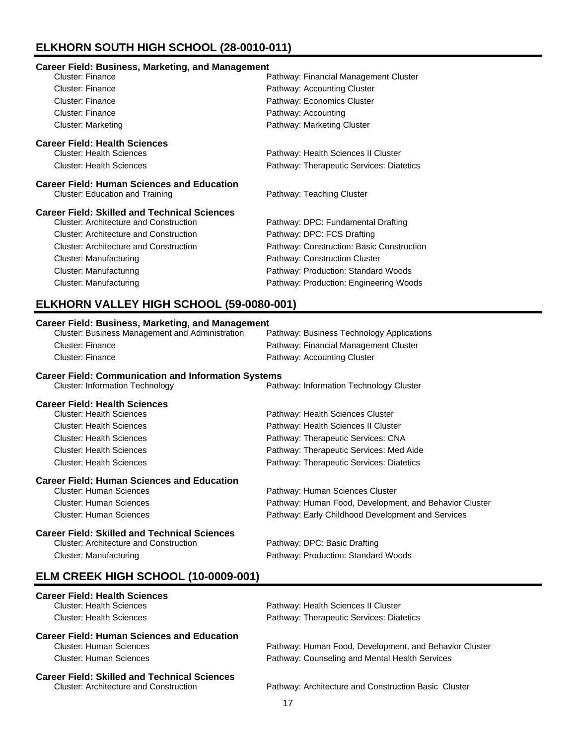# **ELKHORN SOUTH HIGH SCHOOL (28-0010-011)**

### **Career Field: Business, Marketing, and Management**

| Cluster: Finance                                    | Pathway: Financial Management Cluster     |
|-----------------------------------------------------|-------------------------------------------|
| Cluster: Finance                                    | Pathway: Accounting Cluster               |
| Cluster: Finance                                    | Pathway: Economics Cluster                |
| Cluster: Finance                                    | Pathway: Accounting                       |
| <b>Cluster: Marketing</b>                           | Pathway: Marketing Cluster                |
| <b>Career Field: Health Sciences</b>                |                                           |
| <b>Cluster: Health Sciences</b>                     | Pathway: Health Sciences II Cluster       |
| <b>Cluster: Health Sciences</b>                     | Pathway: Therapeutic Services: Diatetics  |
| <b>Career Field: Human Sciences and Education</b>   |                                           |
| Cluster: Education and Training                     | Pathway: Teaching Cluster                 |
| <b>Career Field: Skilled and Technical Sciences</b> |                                           |
| <b>Cluster: Architecture and Construction</b>       | Pathway: DPC: Fundamental Drafting        |
| Cluster: Architecture and Construction              | Pathway: DPC: FCS Drafting                |
| Cluster: Architecture and Construction              | Pathway: Construction: Basic Construction |
| Cluster: Manufacturing                              | Pathway: Construction Cluster             |
| <b>Cluster: Manufacturing</b>                       | Pathway: Production: Standard Woods       |
| Cluster: Manufacturing                              | Pathway: Production: Engineering Woods    |

# **ELKHORN VALLEY HIGH SCHOOL (59-0080-001)**

| <b>Career Field: Business, Marketing, and Management</b><br>Cluster: Business Management and Administration | Pathway: Business Technology Applications              |  |
|-------------------------------------------------------------------------------------------------------------|--------------------------------------------------------|--|
| <b>Cluster: Finance</b>                                                                                     | Pathway: Financial Management Cluster                  |  |
| <b>Cluster: Finance</b>                                                                                     | Pathway: Accounting Cluster                            |  |
| <b>Career Field: Communication and Information Systems</b>                                                  |                                                        |  |
| <b>Cluster: Information Technology</b>                                                                      | Pathway: Information Technology Cluster                |  |
| <b>Career Field: Health Sciences</b>                                                                        |                                                        |  |
| <b>Cluster: Health Sciences</b>                                                                             | Pathway: Health Sciences Cluster                       |  |
| <b>Cluster: Health Sciences</b>                                                                             | Pathway: Health Sciences II Cluster                    |  |
| <b>Cluster: Health Sciences</b>                                                                             | Pathway: Therapeutic Services: CNA                     |  |
| <b>Cluster: Health Sciences</b>                                                                             | Pathway: Therapeutic Services: Med Aide                |  |
| <b>Cluster: Health Sciences</b>                                                                             | Pathway: Therapeutic Services: Diatetics               |  |
| <b>Career Field: Human Sciences and Education</b>                                                           |                                                        |  |
| <b>Cluster: Human Sciences</b>                                                                              | Pathway: Human Sciences Cluster                        |  |
| <b>Cluster: Human Sciences</b>                                                                              | Pathway: Human Food, Development, and Behavior Cluster |  |
| <b>Cluster: Human Sciences</b>                                                                              | Pathway: Early Childhood Development and Services      |  |
| <b>Career Field: Skilled and Technical Sciences</b>                                                         |                                                        |  |
| <b>Cluster: Architecture and Construction</b>                                                               | Pathway: DPC: Basic Drafting                           |  |
| <b>Cluster: Manufacturing</b>                                                                               | Pathway: Production: Standard Woods                    |  |
| ELM CREEK HIGH SCHOOL (10-0009-001)                                                                         |                                                        |  |
| <b>Career Field: Health Sciences</b>                                                                        |                                                        |  |
| <b>Cluster: Health Sciences</b>                                                                             | Pathway: Health Sciences II Cluster                    |  |
| <b>Cluster: Health Sciences</b>                                                                             | Pathway: Therapeutic Services: Diatetics               |  |
| <b>Career Field: Human Sciences and Education</b>                                                           |                                                        |  |
| <b>Cluster: Human Sciences</b>                                                                              | Pathway: Human Food, Development, and Behavior Cluster |  |
| <b>Cluster: Human Sciences</b>                                                                              | Pathway: Counseling and Mental Health Services         |  |
| <b>Career Field: Skilled and Technical Sciences</b>                                                         |                                                        |  |
| <b>Cluster: Architecture and Construction</b>                                                               | Pathway: Architecture and Construction Basic Cluster   |  |
|                                                                                                             | 17                                                     |  |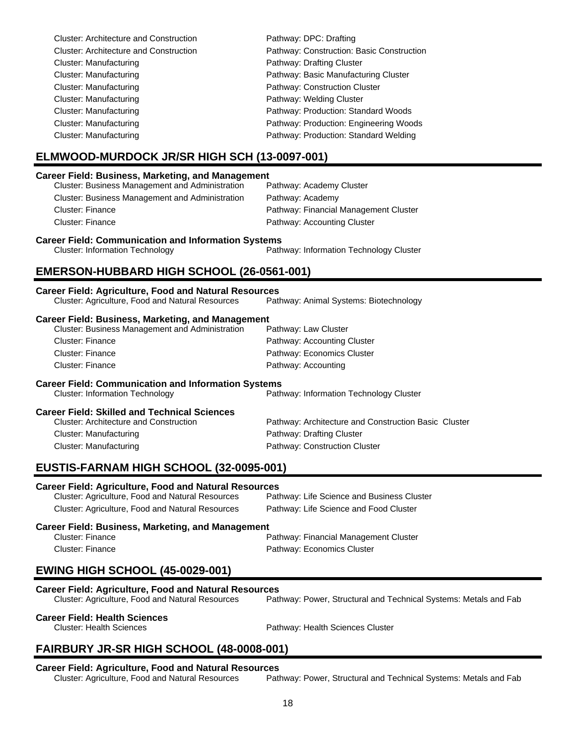| <b>Cluster: Architecture and Construction</b> | Pathway: DPC: Drafting                    |
|-----------------------------------------------|-------------------------------------------|
| <b>Cluster: Architecture and Construction</b> | Pathway: Construction: Basic Construction |
| <b>Cluster: Manufacturing</b>                 | Pathway: Drafting Cluster                 |
| Cluster: Manufacturing                        | Pathway: Basic Manufacturing Cluster      |
| Cluster: Manufacturing                        | Pathway: Construction Cluster             |
| Cluster: Manufacturing                        | Pathway: Welding Cluster                  |
| Cluster: Manufacturing                        | Pathway: Production: Standard Woods       |
| Cluster: Manufacturing                        | Pathway: Production: Engineering Woods    |
| Cluster: Manufacturing                        | Pathway: Production: Standard Welding     |

# **ELMWOOD-MURDOCK JR/SR HIGH SCH (13-0097-001)**

### **Career Field: Business, Marketing, and Management**

| <b>Cluster: Business Management and Administration</b> | Pathway: Academy Cluster              |
|--------------------------------------------------------|---------------------------------------|
| Cluster: Business Management and Administration        | Pathway: Academy                      |
| Cluster: Finance                                       | Pathway: Financial Management Cluster |
| Cluster: Finance                                       | Pathway: Accounting Cluster           |
|                                                        |                                       |

### **Career Field: Communication and Information Systems**

Cluster: Information Technology Pathway: Information Technology Cluster

## **EMERSON-HUBBARD HIGH SCHOOL (26-0561-001)**

| <b>Career Field: Agriculture, Food and Natural Resources</b> |                                                      |
|--------------------------------------------------------------|------------------------------------------------------|
| <b>Cluster: Agriculture, Food and Natural Resources</b>      | Pathway: Animal Systems: Biotechnology               |
| <b>Career Field: Business, Marketing, and Management</b>     |                                                      |
| <b>Cluster: Business Management and Administration</b>       | Pathway: Law Cluster                                 |
| <b>Cluster: Finance</b>                                      | Pathway: Accounting Cluster                          |
| Cluster: Finance                                             | Pathway: Economics Cluster                           |
| Cluster: Finance                                             | Pathway: Accounting                                  |
| <b>Career Field: Communication and Information Systems</b>   |                                                      |
| <b>Cluster: Information Technology</b>                       | Pathway: Information Technology Cluster              |
| <b>Career Field: Skilled and Technical Sciences</b>          |                                                      |
| <b>Cluster: Architecture and Construction</b>                | Pathway: Architecture and Construction Basic Cluster |
| Cluster: Manufacturing                                       | Pathway: Drafting Cluster                            |
| Cluster: Manufacturing                                       | Pathway: Construction Cluster                        |

# **EUSTIS-FARNAM HIGH SCHOOL (32-0095-001)**

### **Career Field: Agriculture, Food and Natural Resources**

| Cluster: Agriculture, Food and Natural Resources | Pathway: Life Science and Business Cluster |
|--------------------------------------------------|--------------------------------------------|
| Cluster: Agriculture, Food and Natural Resources | Pathway: Life Science and Food Cluster     |

**Career Field: Business, Marketing, and Management**<br>Cluster: Finance

Pathway: Financial Management Cluster Cluster: Finance **Pathway: Economics Cluster** 

## **EWING HIGH SCHOOL (45-0029-001)**

| <b>Career Field: Agriculture, Food and Natural Resources</b> |                                                                  |
|--------------------------------------------------------------|------------------------------------------------------------------|
| Cluster: Agriculture, Food and Natural Resources             | Pathway: Power, Structural and Technical Systems: Metals and Fab |

### **Career Field: Health Sciences**

Cluster: Health Sciences Pathway: Health Sciences Cluster

# **FAIRBURY JR-SR HIGH SCHOOL (48-0008-001)**

# **Career Field: Agriculture, Food and Natural Resources**

Pathway: Power, Structural and Technical Systems: Metals and Fab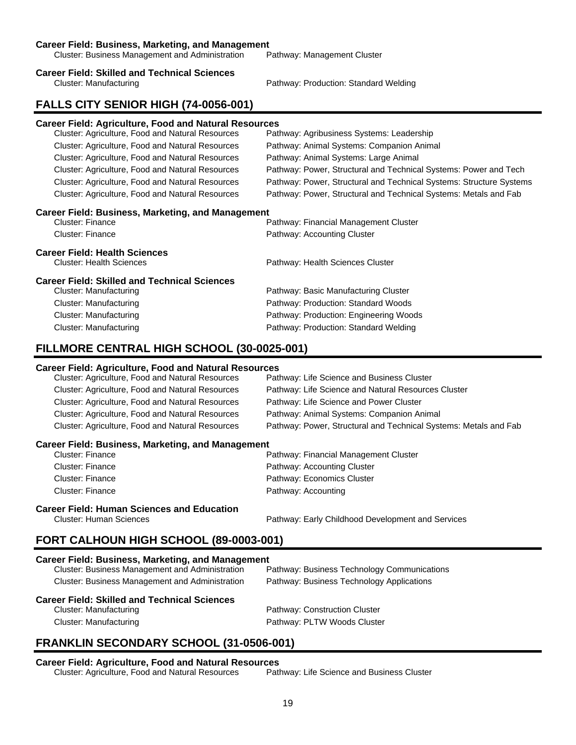### **Career Field: Business, Marketing, and Management**

Cluster: Business Management and Administration Pathway: Management Cluster

### **Career Field: Skilled and Technical Sciences**

Cluster: Manufacturing Pathway: Production: Standard Welding

## **FALLS CITY SENIOR HIGH (74-0056-001)**

### **Career Field: Agriculture, Food and Natural Resources**

| Cluster: Agriculture, Food and Natural Resources | Pathway: Agribusiness Systems: Leadership                           |
|--------------------------------------------------|---------------------------------------------------------------------|
| Cluster: Agriculture, Food and Natural Resources | Pathway: Animal Systems: Companion Animal                           |
| Cluster: Agriculture, Food and Natural Resources | Pathway: Animal Systems: Large Animal                               |
| Cluster: Agriculture, Food and Natural Resources | Pathway: Power, Structural and Technical Systems: Power and Tech    |
| Cluster: Agriculture, Food and Natural Resources | Pathway: Power, Structural and Technical Systems: Structure Systems |
| Cluster: Agriculture, Food and Natural Resources | Pathway: Power, Structural and Technical Systems: Metals and Fab    |

### **Career Field: Business, Marketing, and Management**

| Cluster: Finance                | Pathway: Financial Management Cluster |  |
|---------------------------------|---------------------------------------|--|
| Cluster: Finance                | Pathway: Accounting Cluster           |  |
| Career Field: Health Sciences   |                                       |  |
| <b>Cluster: Health Sciences</b> | Pathway: Health Sciences Cluster      |  |

### **Career Field: Skilled and Technical Sciences**

| Cluster: Manufacturing | Pathway: Basic Manufacturing Cluster   |
|------------------------|----------------------------------------|
| Cluster: Manufacturing | Pathway: Production: Standard Woods    |
| Cluster: Manufacturing | Pathway: Production: Engineering Woods |
| Cluster: Manufacturing | Pathway: Production: Standard Welding  |

## **FILLMORE CENTRAL HIGH SCHOOL (30-0025-001)**

### **Career Field: Agriculture, Food and Natural Resources**

| Cluster: Agriculture, Food and Natural Resources | Pathway: Life Science and Business Cluster                       |
|--------------------------------------------------|------------------------------------------------------------------|
| Cluster: Agriculture, Food and Natural Resources | Pathway: Life Science and Natural Resources Cluster              |
| Cluster: Agriculture, Food and Natural Resources | Pathway: Life Science and Power Cluster                          |
| Cluster: Agriculture, Food and Natural Resources | Pathway: Animal Systems: Companion Animal                        |
| Cluster: Agriculture, Food and Natural Resources | Pathway: Power, Structural and Technical Systems: Metals and Fab |
|                                                  |                                                                  |

### **Career Field: Business, Marketing, and Management**

| Cluster: Finance | Pathway: Financial Management Cluster |
|------------------|---------------------------------------|
| Cluster: Finance | Pathway: Accounting Cluster           |
| Cluster: Finance | Pathway: Economics Cluster            |
| Cluster: Finance | Pathway: Accounting                   |
|                  |                                       |

# **Career Field: Human Sciences and Education**

Cluster: Human Sciences Pathway: Early Childhood Development and Services

## **FORT CALHOUN HIGH SCHOOL (89-0003-001)**

### **Career Field: Business, Marketing, and Management**

| <b>Career Field: Skilled and Technical Sciences</b> |                                             |
|-----------------------------------------------------|---------------------------------------------|
| Cluster: Business Management and Administration     | Pathway: Business Technology Applications   |
| Cluster: Business Management and Administration     | Pathway: Business Technology Communications |

Cluster: Manufacturing **Pathway: Construction Cluster** Cluster: Manufacturing example and the Pathway: PLTW Woods Cluster

# **FRANKLIN SECONDARY SCHOOL (31-0506-001)**

# **Career Field: Agriculture, Food and Natural Resources**

Cluster: Agriculture, Food and Natural Resources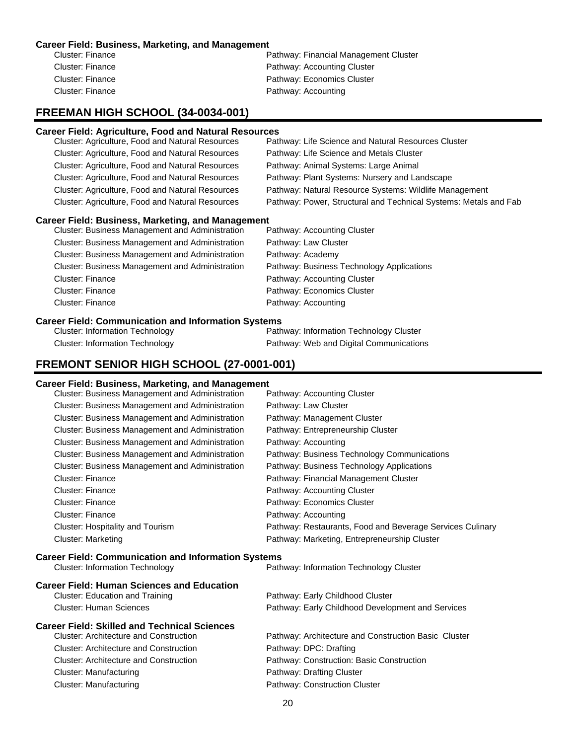### **Career Field: Business, Marketing, and Management**

| Cluster: Finance | Pathway: Financial Management Cluster |
|------------------|---------------------------------------|
| Cluster: Finance | Pathway: Accounting Cluster           |
| Cluster: Finance | Pathway: Economics Cluster            |
| Cluster: Finance | Pathway: Accounting                   |
|                  |                                       |

## **FREEMAN HIGH SCHOOL (34-0034-001)**

### **Career Field: Agriculture, Food and Natural Resources**

| Cluster: Agriculture, Food and Natural Resources | Pathway: Life Science and Natural Resources Cluster              |
|--------------------------------------------------|------------------------------------------------------------------|
| Cluster: Agriculture, Food and Natural Resources | Pathway: Life Science and Metals Cluster                         |
| Cluster: Agriculture, Food and Natural Resources | Pathway: Animal Systems: Large Animal                            |
| Cluster: Agriculture, Food and Natural Resources | Pathway: Plant Systems: Nursery and Landscape                    |
| Cluster: Agriculture, Food and Natural Resources | Pathway: Natural Resource Systems: Wildlife Management           |
| Cluster: Agriculture, Food and Natural Resources | Pathway: Power, Structural and Technical Systems: Metals and Fab |
|                                                  |                                                                  |

### **Career Field: Business, Marketing, and Management**

| <b>Cluster: Business Management and Administration</b> | Pathway: Accounting Cluster               |
|--------------------------------------------------------|-------------------------------------------|
| <b>Cluster: Business Management and Administration</b> | Pathway: Law Cluster                      |
| <b>Cluster: Business Management and Administration</b> | Pathway: Academy                          |
| <b>Cluster: Business Management and Administration</b> | Pathway: Business Technology Applications |
| <b>Cluster: Finance</b>                                | Pathway: Accounting Cluster               |
| <b>Cluster: Finance</b>                                | Pathway: Economics Cluster                |
| <b>Cluster: Finance</b>                                | Pathway: Accounting                       |
|                                                        |                                           |

### **Career Field: Communication and Information Systems**

| <b>Cluster: Information Technology</b> | Pathway: Information Technology Cluster |
|----------------------------------------|-----------------------------------------|
| Cluster: Information Technology        | Pathway: Web and Digital Communications |

# **FREMONT SENIOR HIGH SCHOOL (27-0001-001)**

### **Career Field: Business, Marketing, and Management**

| Cluster: Business Management and Administration            | Pathway: Accounting Cluster                               |
|------------------------------------------------------------|-----------------------------------------------------------|
| Cluster: Business Management and Administration            | Pathway: Law Cluster                                      |
| Cluster: Business Management and Administration            | Pathway: Management Cluster                               |
| Cluster: Business Management and Administration            | Pathway: Entrepreneurship Cluster                         |
| Cluster: Business Management and Administration            | Pathway: Accounting                                       |
| Cluster: Business Management and Administration            | Pathway: Business Technology Communications               |
| Cluster: Business Management and Administration            | Pathway: Business Technology Applications                 |
| <b>Cluster: Finance</b>                                    | Pathway: Financial Management Cluster                     |
| <b>Cluster: Finance</b>                                    | Pathway: Accounting Cluster                               |
| <b>Cluster: Finance</b>                                    | Pathway: Economics Cluster                                |
| <b>Cluster: Finance</b>                                    | Pathway: Accounting                                       |
| Cluster: Hospitality and Tourism                           | Pathway: Restaurants, Food and Beverage Services Culinary |
| <b>Cluster: Marketing</b>                                  | Pathway: Marketing, Entrepreneurship Cluster              |
| <b>Career Field: Communication and Information Systems</b> |                                                           |
| <b>Cluster: Information Technology</b>                     | Pathway: Information Technology Cluster                   |
| <b>Career Field: Human Sciences and Education</b>          |                                                           |
| <b>Cluster: Education and Training</b>                     | Pathway: Early Childhood Cluster                          |
| <b>Cluster: Human Sciences</b>                             | Pathway: Early Childhood Development and Services         |
| <b>Career Field: Skilled and Technical Sciences</b>        |                                                           |
| <b>Cluster: Architecture and Construction</b>              | Pathway: Architecture and Construction Basic Cluster      |
| <b>Cluster: Architecture and Construction</b>              |                                                           |
|                                                            | Pathway: DPC: Drafting                                    |
| <b>Cluster: Architecture and Construction</b>              | Pathway: Construction: Basic Construction                 |
| <b>Cluster: Manufacturing</b>                              | Pathway: Drafting Cluster                                 |
| <b>Cluster: Manufacturing</b>                              | Pathway: Construction Cluster                             |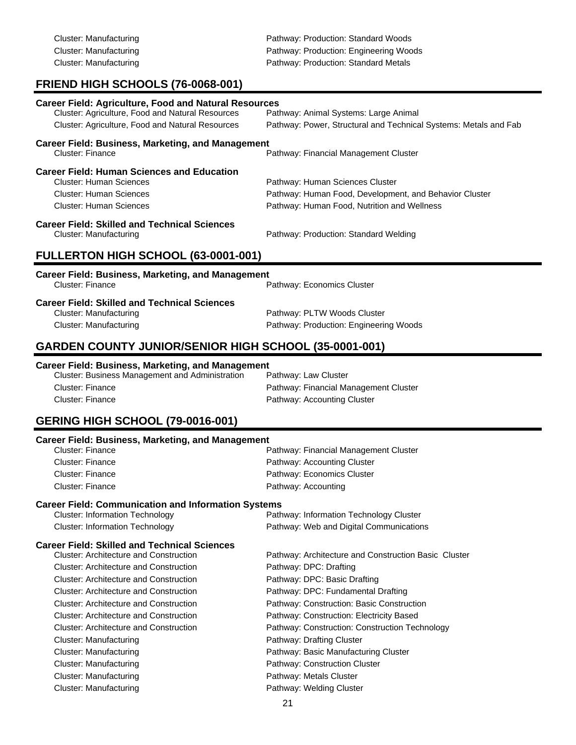Cluster: Manufacturing example and pathway: Production: Standard Woods Cluster: Manufacturing **Pathway: Production: Engineering Woods** Pathway: Production: Engineering Woods Cluster: Manufacturing extending Pathway: Production: Standard Metals

# **FRIEND HIGH SCHOOLS (76-0068-001)**

| Career Field: Agriculture, Food and Natural Resources<br>Cluster: Agriculture, Food and Natural Resources<br>Cluster: Agriculture, Food and Natural Resources | Pathway: Animal Systems: Large Animal<br>Pathway: Power, Structural and Technical Systems: Metals and Fab                                |  |
|---------------------------------------------------------------------------------------------------------------------------------------------------------------|------------------------------------------------------------------------------------------------------------------------------------------|--|
| <b>Career Field: Business, Marketing, and Management</b><br>Cluster: Finance                                                                                  | Pathway: Financial Management Cluster                                                                                                    |  |
| <b>Career Field: Human Sciences and Education</b><br><b>Cluster: Human Sciences</b><br>Cluster: Human Sciences<br>Cluster: Human Sciences                     | Pathway: Human Sciences Cluster<br>Pathway: Human Food, Development, and Behavior Cluster<br>Pathway: Human Food, Nutrition and Wellness |  |
| <b>Career Field: Skilled and Technical Sciences</b><br><b>Cluster: Manufacturing</b>                                                                          | Pathway: Production: Standard Welding                                                                                                    |  |
| FULLERTON HIGH SCHOOL (63-0001-001)                                                                                                                           |                                                                                                                                          |  |
| <b>Career Field: Business, Marketing, and Management</b><br>Cluster: Finance                                                                                  | Pathway: Economics Cluster                                                                                                               |  |
| <b>Career Field: Skilled and Technical Sciences</b><br><b>Cluster: Manufacturing</b><br><b>Cluster: Manufacturing</b>                                         | Pathway: PLTW Woods Cluster<br>Pathway: Production: Engineering Woods                                                                    |  |

## **GARDEN COUNTY JUNIOR/SENIOR HIGH SCHOOL (35-0001-001)**

### **Career Field: Business, Marketing, and Management**

| Cluster: Business Management and Administration | Pathway: Law Cluster                  |
|-------------------------------------------------|---------------------------------------|
| Cluster: Finance                                | Pathway: Financial Management Cluster |
| Cluster: Finance                                | Pathway: Accounting Cluster           |

# **GERING HIGH SCHOOL (79-0016-001)**

| <b>Career Field: Business, Marketing, and Management</b>   |                                                      |  |
|------------------------------------------------------------|------------------------------------------------------|--|
| Cluster: Finance                                           | Pathway: Financial Management Cluster                |  |
| Cluster: Finance                                           | Pathway: Accounting Cluster                          |  |
| <b>Cluster: Finance</b>                                    | Pathway: Economics Cluster                           |  |
| Cluster: Finance                                           | Pathway: Accounting                                  |  |
| <b>Career Field: Communication and Information Systems</b> |                                                      |  |
| <b>Cluster: Information Technology</b>                     | Pathway: Information Technology Cluster              |  |
| <b>Cluster: Information Technology</b>                     | Pathway: Web and Digital Communications              |  |
| <b>Career Field: Skilled and Technical Sciences</b>        |                                                      |  |
| <b>Cluster: Architecture and Construction</b>              | Pathway: Architecture and Construction Basic Cluster |  |
| <b>Cluster: Architecture and Construction</b>              | Pathway: DPC: Drafting                               |  |
| <b>Cluster: Architecture and Construction</b>              | Pathway: DPC: Basic Drafting                         |  |
| Cluster: Architecture and Construction                     | Pathway: DPC: Fundamental Drafting                   |  |
| Cluster: Architecture and Construction                     | Pathway: Construction: Basic Construction            |  |
| <b>Cluster: Architecture and Construction</b>              | Pathway: Construction: Electricity Based             |  |
| <b>Cluster: Architecture and Construction</b>              | Pathway: Construction: Construction Technology       |  |
| Cluster: Manufacturing                                     | Pathway: Drafting Cluster                            |  |
| <b>Cluster: Manufacturing</b>                              | Pathway: Basic Manufacturing Cluster                 |  |
| Cluster: Manufacturing                                     | Pathway: Construction Cluster                        |  |
| <b>Cluster: Manufacturing</b>                              | Pathway: Metals Cluster                              |  |
| <b>Cluster: Manufacturing</b>                              | Pathway: Welding Cluster                             |  |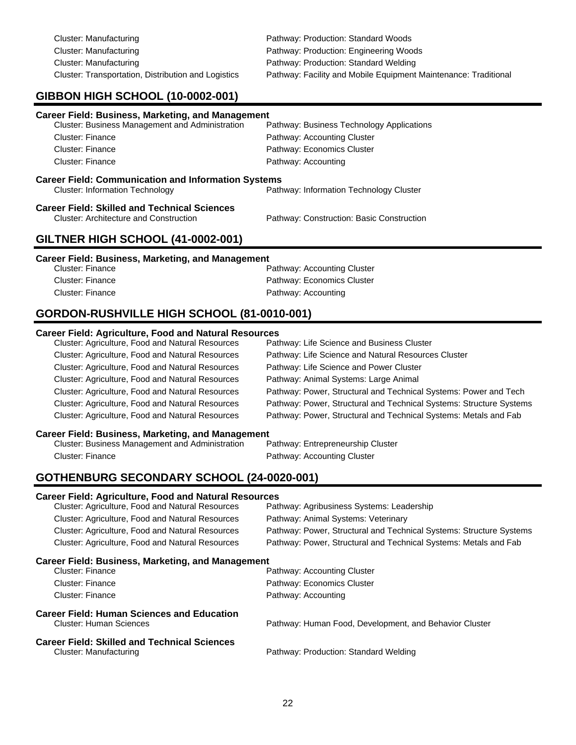| Cluster: Manufacturing                              |
|-----------------------------------------------------|
| Cluster: Manufacturing                              |
| Cluster: Manufacturing                              |
| Cluster: Transportation, Distribution and Logistics |

Pathway: Production: Standard Woods Pathway: Production: Engineering Woods Pathway: Production: Standard Welding Pathway: Facility and Mobile Equipment Maintenance: Traditional

# **GIBBON HIGH SCHOOL (10-0002-001)**

| <b>Career Field: Business, Marketing, and Management</b>                                             |                                           |
|------------------------------------------------------------------------------------------------------|-------------------------------------------|
| Cluster: Business Management and Administration                                                      | Pathway: Business Technology Applications |
| Cluster: Finance                                                                                     | Pathway: Accounting Cluster               |
| Cluster: Finance                                                                                     | Pathway: Economics Cluster                |
| Cluster: Finance                                                                                     | Pathway: Accounting                       |
| <b>Career Field: Communication and Information Systems</b><br><b>Cluster: Information Technology</b> | Pathway: Information Technology Cluster   |
| Career Field: Skilled and Technical Sciences<br><b>Cluster: Architecture and Construction</b>        | Pathway: Construction: Basic Construction |
|                                                                                                      |                                           |

# **GILTNER HIGH SCHOOL (41-0002-001) Career Field: Business, Marketing, and Management**

| Cluster: Finance | Pathway: Accounting Cluster |
|------------------|-----------------------------|
| Cluster: Finance | Pathway: Economics Cluster  |
| Cluster: Finance | Pathway: Accounting         |

# **GORDON-RUSHVILLE HIGH SCHOOL (81-0010-001)**

### **Career Field: Agriculture, Food and Natural Resources**

| Cluster: Agriculture, Food and Natural Resources | Pathway: Life Science and Business Cluster                          |
|--------------------------------------------------|---------------------------------------------------------------------|
| Cluster: Agriculture, Food and Natural Resources | Pathway: Life Science and Natural Resources Cluster                 |
| Cluster: Agriculture, Food and Natural Resources | Pathway: Life Science and Power Cluster                             |
| Cluster: Agriculture, Food and Natural Resources | Pathway: Animal Systems: Large Animal                               |
| Cluster: Agriculture, Food and Natural Resources | Pathway: Power, Structural and Technical Systems: Power and Tech    |
| Cluster: Agriculture, Food and Natural Resources | Pathway: Power, Structural and Technical Systems: Structure Systems |
| Cluster: Agriculture, Food and Natural Resources | Pathway: Power, Structural and Technical Systems: Metals and Fab    |
|                                                  |                                                                     |

**Career Field: Business, Marketing, and Management** Cluster: Business Management and Administration Cluster: Finance **Pathway: Accounting Cluster** 

# **GOTHENBURG SECONDARY SCHOOL (24-0020-001)**

### **Career Field: Agriculture, Food and Natural Resources**

| <b>Cluster: Agriculture, Food and Natural Resources</b>                       | Pathway: Agribusiness Systems: Leadership                           |
|-------------------------------------------------------------------------------|---------------------------------------------------------------------|
| Cluster: Agriculture, Food and Natural Resources                              | Pathway: Animal Systems: Veterinary                                 |
| <b>Cluster: Agriculture, Food and Natural Resources</b>                       | Pathway: Power, Structural and Technical Systems: Structure Systems |
| <b>Cluster: Agriculture, Food and Natural Resources</b>                       | Pathway: Power, Structural and Technical Systems: Metals and Fab    |
| <b>Career Field: Business, Marketing, and Management</b>                      |                                                                     |
| Cluster: Finance                                                              | Pathway: Accounting Cluster                                         |
| Cluster: Finance                                                              | Pathway: Economics Cluster                                          |
| Cluster: Finance                                                              | Pathway: Accounting                                                 |
| Career Field: Human Sciences and Education<br>Cluster: Human Sciences         | Pathway: Human Food, Development, and Behavior Cluster              |
| <b>Career Field: Skilled and Technical Sciences</b><br>Cluster: Manufacturing | Pathway: Production: Standard Welding                               |
|                                                                               |                                                                     |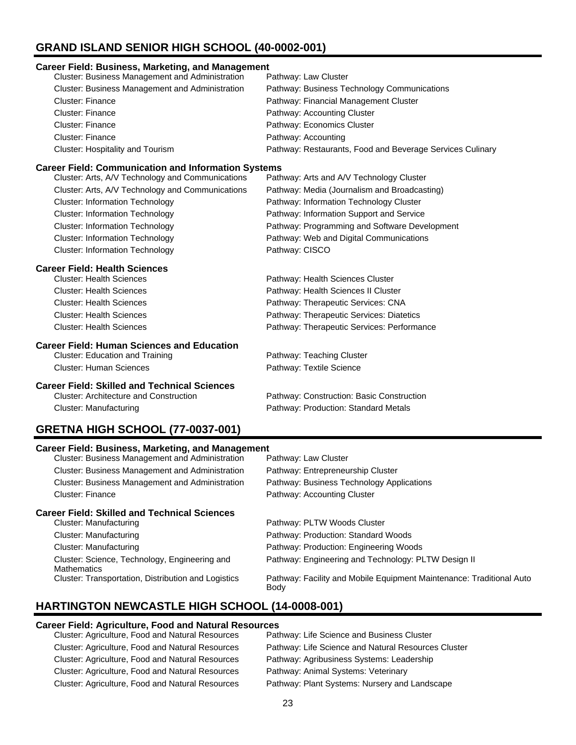# **GRAND ISLAND SENIOR HIGH SCHOOL (40-0002-001)**

| <b>Career Field: Business, Marketing, and Management</b>   |                                                           |  |  |
|------------------------------------------------------------|-----------------------------------------------------------|--|--|
| Cluster: Business Management and Administration            | Pathway: Law Cluster                                      |  |  |
| Cluster: Business Management and Administration            | Pathway: Business Technology Communications               |  |  |
| <b>Cluster: Finance</b>                                    | Pathway: Financial Management Cluster                     |  |  |
| <b>Cluster: Finance</b>                                    | Pathway: Accounting Cluster                               |  |  |
| <b>Cluster: Finance</b>                                    | Pathway: Economics Cluster                                |  |  |
| <b>Cluster: Finance</b>                                    | Pathway: Accounting                                       |  |  |
| Cluster: Hospitality and Tourism                           | Pathway: Restaurants, Food and Beverage Services Culinary |  |  |
| <b>Career Field: Communication and Information Systems</b> |                                                           |  |  |
| Cluster: Arts, A/V Technology and Communications           | Pathway: Arts and A/V Technology Cluster                  |  |  |
| Cluster: Arts, A/V Technology and Communications           | Pathway: Media (Journalism and Broadcasting)              |  |  |
| <b>Cluster: Information Technology</b>                     | Pathway: Information Technology Cluster                   |  |  |
| <b>Cluster: Information Technology</b>                     | Pathway: Information Support and Service                  |  |  |
| <b>Cluster: Information Technology</b>                     | Pathway: Programming and Software Development             |  |  |
| <b>Cluster: Information Technology</b>                     | Pathway: Web and Digital Communications                   |  |  |
| <b>Cluster: Information Technology</b>                     | Pathway: CISCO                                            |  |  |
| <b>Career Field: Health Sciences</b>                       |                                                           |  |  |
| <b>Cluster: Health Sciences</b>                            | Pathway: Health Sciences Cluster                          |  |  |
| <b>Cluster: Health Sciences</b>                            | Pathway: Health Sciences II Cluster                       |  |  |
| <b>Cluster: Health Sciences</b>                            | Pathway: Therapeutic Services: CNA                        |  |  |
| <b>Cluster: Health Sciences</b>                            | Pathway: Therapeutic Services: Diatetics                  |  |  |
| <b>Cluster: Health Sciences</b>                            | Pathway: Therapeutic Services: Performance                |  |  |
| <b>Career Field: Human Sciences and Education</b>          |                                                           |  |  |
| <b>Cluster: Education and Training</b>                     | Pathway: Teaching Cluster                                 |  |  |
| <b>Cluster: Human Sciences</b>                             | Pathway: Textile Science                                  |  |  |
| <b>Career Field: Skilled and Technical Sciences</b>        |                                                           |  |  |
| <b>Cluster: Architecture and Construction</b>              | Pathway: Construction: Basic Construction                 |  |  |
| <b>Cluster: Manufacturing</b>                              | Pathway: Production: Standard Metals                      |  |  |
| BETHIA HIGH COHOOL (77 0007 004)                           |                                                           |  |  |

# **GRETNA HIGH SCHOOL (77-0037-001)**

| <b>Career Field: Business, Marketing, and Management</b>      |          |
|---------------------------------------------------------------|----------|
| Objetivo: Divisione in Messenger est est division interferent | $D = 4L$ |

| <b>Cluster: Business Management and Administration</b>              | Pathway: Law Cluster                                                         |
|---------------------------------------------------------------------|------------------------------------------------------------------------------|
| <b>Cluster: Business Management and Administration</b>              | Pathway: Entrepreneurship Cluster                                            |
| <b>Cluster: Business Management and Administration</b>              | Pathway: Business Technology Applications                                    |
| Cluster: Finance                                                    | Pathway: Accounting Cluster                                                  |
| <b>Career Field: Skilled and Technical Sciences</b>                 |                                                                              |
| Cluster: Manufacturing                                              | Pathway: PLTW Woods Cluster                                                  |
| Cluster: Manufacturing                                              | Pathway: Production: Standard Woods                                          |
| Cluster: Manufacturing                                              | Pathway: Production: Engineering Woods                                       |
| Cluster: Science, Technology, Engineering and<br><b>Mathematics</b> | Pathway: Engineering and Technology: PLTW Design II                          |
| Cluster: Transportation, Distribution and Logistics                 | Pathway: Facility and Mobile Equipment Maintenance: Traditional Auto<br>Body |

# **HARTINGTON NEWCASTLE HIGH SCHOOL (14-0008-001)**

### **Career Field: Agriculture, Food and Natural Resources**

| Cluster: Agriculture, Food and Natural Resources | Pathway: Life Science and Business Cluster          |
|--------------------------------------------------|-----------------------------------------------------|
| Cluster: Agriculture, Food and Natural Resources | Pathway: Life Science and Natural Resources Cluster |
| Cluster: Agriculture, Food and Natural Resources | Pathway: Agribusiness Systems: Leadership           |
| Cluster: Agriculture, Food and Natural Resources | Pathway: Animal Systems: Veterinary                 |
| Cluster: Agriculture, Food and Natural Resources | Pathway: Plant Systems: Nursery and Landscape       |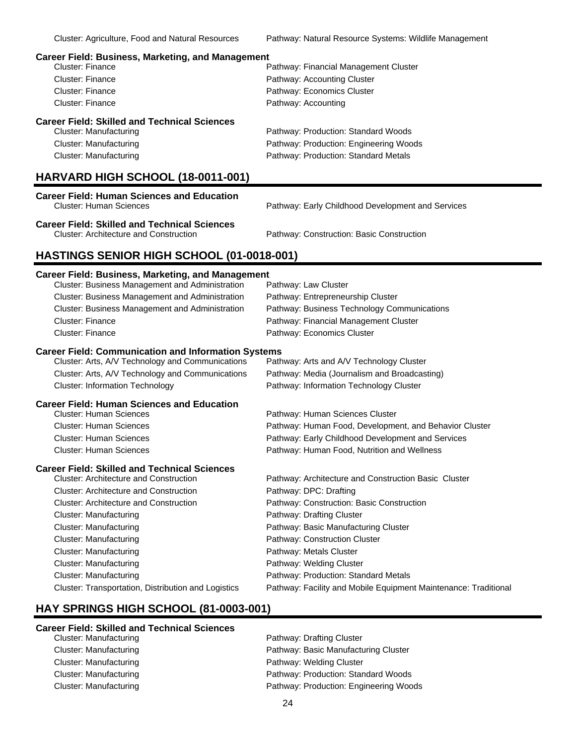### **Career Field: Business, Marketing, and Management**

| <b>Cluster: Finance</b>                             | Pathway: Financial Management Cluster  |
|-----------------------------------------------------|----------------------------------------|
| Cluster: Finance                                    | Pathway: Accounting Cluster            |
| <b>Cluster: Finance</b>                             | Pathway: Economics Cluster             |
| Cluster: Finance                                    | Pathway: Accounting                    |
| <b>Career Field: Skilled and Technical Sciences</b> |                                        |
| Cluster: Manufacturing                              | Pathway: Production: Standard Woods    |
| Cluster: Manufacturing                              | Pathway: Production: Engineering Woods |
| Cluster: Manufacturing                              | Pathway: Production: Standard Metals   |

### **HARVARD HIGH SCHOOL (18-0011-001)**

| <b>Career Field: Human Sciences and Education</b> |  |
|---------------------------------------------------|--|
| Cluster: Human Sciences                           |  |

Pathway: Early Childhood Development and Services

**Career Field: Skilled and Technical Sciences**

Pathway: Construction: Basic Construction

### **HASTINGS SENIOR HIGH SCHOOL (01-0018-001)**

### **Career Field: Business, Marketing, and Management**

| Cluster: Business Management and Administration            | Pathway: Law Cluster                                            |
|------------------------------------------------------------|-----------------------------------------------------------------|
| Cluster: Business Management and Administration            | Pathway: Entrepreneurship Cluster                               |
| Cluster: Business Management and Administration            | Pathway: Business Technology Communications                     |
| Cluster: Finance                                           | Pathway: Financial Management Cluster                           |
| <b>Cluster: Finance</b>                                    | Pathway: Economics Cluster                                      |
| <b>Career Field: Communication and Information Systems</b> |                                                                 |
| Cluster: Arts, A/V Technology and Communications           | Pathway: Arts and A/V Technology Cluster                        |
| Cluster: Arts, A/V Technology and Communications           | Pathway: Media (Journalism and Broadcasting)                    |
| <b>Cluster: Information Technology</b>                     | Pathway: Information Technology Cluster                         |
| <b>Career Field: Human Sciences and Education</b>          |                                                                 |
| Cluster: Human Sciences                                    | Pathway: Human Sciences Cluster                                 |
| <b>Cluster: Human Sciences</b>                             | Pathway: Human Food, Development, and Behavior Cluster          |
| <b>Cluster: Human Sciences</b>                             | Pathway: Early Childhood Development and Services               |
| <b>Cluster: Human Sciences</b>                             | Pathway: Human Food, Nutrition and Wellness                     |
| <b>Career Field: Skilled and Technical Sciences</b>        |                                                                 |
| <b>Cluster: Architecture and Construction</b>              | Pathway: Architecture and Construction Basic Cluster            |
| <b>Cluster: Architecture and Construction</b>              | Pathway: DPC: Drafting                                          |
| <b>Cluster: Architecture and Construction</b>              | Pathway: Construction: Basic Construction                       |
| <b>Cluster: Manufacturing</b>                              | Pathway: Drafting Cluster                                       |
| Cluster: Manufacturing                                     | Pathway: Basic Manufacturing Cluster                            |
| <b>Cluster: Manufacturing</b>                              | Pathway: Construction Cluster                                   |
| Cluster: Manufacturing                                     | Pathway: Metals Cluster                                         |
| <b>Cluster: Manufacturing</b>                              | Pathway: Welding Cluster                                        |
| <b>Cluster: Manufacturing</b>                              | Pathway: Production: Standard Metals                            |
| Cluster: Transportation, Distribution and Logistics        | Pathway: Facility and Mobile Equipment Maintenance: Traditional |

### **HAY SPRINGS HIGH SCHOOL (81-0003-001)**

### **Career Field: Skilled and Technical Sciences**

Cluster: Manufacturing example and the Pathway: Drafting Cluster Cluster: Manufacturing example and pathway: Basic Manufacturing Cluster Cluster: Manufacturing example and the Pathway: Welding Cluster Cluster: Manufacturing Pathway: Production: Standard Woods Cluster: Manufacturing **Pathway: Production: Engineering Woods** Pathway: Production: Engineering Woods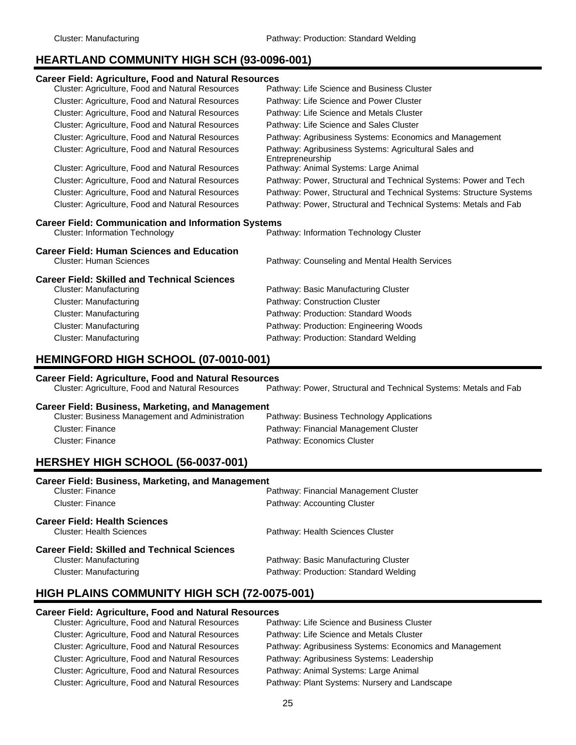# **HEARTLAND COMMUNITY HIGH SCH (93-0096-001)**

| <b>Career Field: Agriculture, Food and Natural Resources</b>                        |                                                                           |  |  |
|-------------------------------------------------------------------------------------|---------------------------------------------------------------------------|--|--|
| Cluster: Agriculture, Food and Natural Resources                                    | Pathway: Life Science and Business Cluster                                |  |  |
| Cluster: Agriculture, Food and Natural Resources                                    | Pathway: Life Science and Power Cluster                                   |  |  |
| Cluster: Agriculture, Food and Natural Resources                                    | Pathway: Life Science and Metals Cluster                                  |  |  |
| Cluster: Agriculture, Food and Natural Resources                                    | Pathway: Life Science and Sales Cluster                                   |  |  |
| Cluster: Agriculture, Food and Natural Resources                                    | Pathway: Agribusiness Systems: Economics and Management                   |  |  |
| Cluster: Agriculture, Food and Natural Resources                                    | Pathway: Agribusiness Systems: Agricultural Sales and<br>Entrepreneurship |  |  |
| Cluster: Agriculture, Food and Natural Resources                                    | Pathway: Animal Systems: Large Animal                                     |  |  |
| Cluster: Agriculture, Food and Natural Resources                                    | Pathway: Power, Structural and Technical Systems: Power and Tech          |  |  |
| Cluster: Agriculture, Food and Natural Resources                                    | Pathway: Power, Structural and Technical Systems: Structure Systems       |  |  |
| Cluster: Agriculture, Food and Natural Resources                                    | Pathway: Power, Structural and Technical Systems: Metals and Fab          |  |  |
| <b>Career Field: Communication and Information Systems</b>                          |                                                                           |  |  |
| <b>Cluster: Information Technology</b>                                              | Pathway: Information Technology Cluster                                   |  |  |
| <b>Career Field: Human Sciences and Education</b><br><b>Cluster: Human Sciences</b> | Pathway: Counseling and Mental Health Services                            |  |  |

**Career Field: Skilled and Technical Sciences**

| Cluster: Manufacturing | Pathway: Basic Manufacturing Cluster   |
|------------------------|----------------------------------------|
| Cluster: Manufacturing | Pathway: Construction Cluster          |
| Cluster: Manufacturing | Pathway: Production: Standard Woods    |
| Cluster: Manufacturing | Pathway: Production: Engineering Woods |
| Cluster: Manufacturing | Pathway: Production: Standard Welding  |

# **HEMINGFORD HIGH SCHOOL (07-0010-001)**

| <b>Career Field: Agriculture, Food and Natural Resources</b> |                                                                  |  |
|--------------------------------------------------------------|------------------------------------------------------------------|--|
| Cluster: Agriculture, Food and Natural Resources             | Pathway: Power, Structural and Technical Systems: Metals and Fab |  |
| <b>Career Field: Business, Marketing, and Management</b>     |                                                                  |  |
| <b>Cluster: Business Management and Administration</b>       | Pathway: Business Technology Applications                        |  |
| Cluster: Finance                                             | Pathway: Financial Management Cluster                            |  |
| Cluster: Finance                                             | Pathway: Economics Cluster                                       |  |
|                                                              |                                                                  |  |

# **HERSHEY HIGH SCHOOL (56-0037-001)**

| <b>Career Field: Business, Marketing, and Management</b>                |                                       |  |
|-------------------------------------------------------------------------|---------------------------------------|--|
| Cluster: Finance                                                        | Pathway: Financial Management Cluster |  |
| Cluster: Finance                                                        | Pathway: Accounting Cluster           |  |
| <b>Career Field: Health Sciences</b><br><b>Cluster: Health Sciences</b> | Pathway: Health Sciences Cluster      |  |
| <b>Career Field: Skilled and Technical Sciences</b>                     |                                       |  |
| Cluster: Manufacturing                                                  | Pathway: Basic Manufacturing Cluster  |  |
| Cluster: Manufacturing                                                  | Pathway: Production: Standard Welding |  |

# **HIGH PLAINS COMMUNITY HIGH SCH (72-0075-001)**

### **Career Field: Agriculture, Food and Natural Resources**

| Cluster: Agriculture, Food and Natural Resources | Pathway: Life Science and Business Cluster              |
|--------------------------------------------------|---------------------------------------------------------|
| Cluster: Agriculture, Food and Natural Resources | Pathway: Life Science and Metals Cluster                |
| Cluster: Agriculture, Food and Natural Resources | Pathway: Agribusiness Systems: Economics and Management |
| Cluster: Agriculture, Food and Natural Resources | Pathway: Agribusiness Systems: Leadership               |
| Cluster: Agriculture, Food and Natural Resources | Pathway: Animal Systems: Large Animal                   |
| Cluster: Agriculture, Food and Natural Resources | Pathway: Plant Systems: Nursery and Landscape           |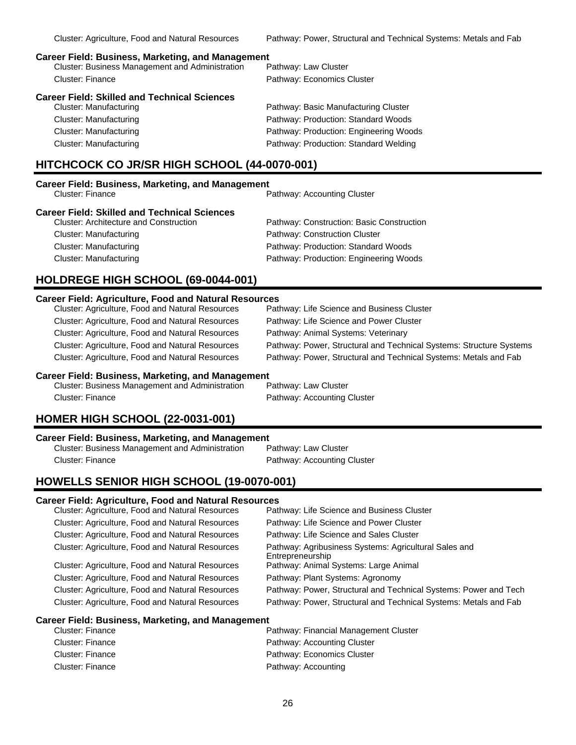### **Career Field: Business, Marketing, and Management**

| <b>Cluster: Business Management and Administration</b> | Pathway: Law Cluster        |
|--------------------------------------------------------|-----------------------------|
| Cluster: Finance                                       | Pathway: Economics Cluster  |
| Career Field: Skilled and Technical Sciences           |                             |
| Cluster: Manufacturing                                 | Pathway: Basic Manufacturir |
|                                                        | .                           |

cturing Cluster Cluster: Manufacturing example and the Pathway: Production: Standard Woods Cluster: Manufacturing Pathway: Production: Engineering Woods Cluster: Manufacturing Pathway: Production: Standard Welding

## **HITCHCOCK CO JR/SR HIGH SCHOOL (44-0070-001)**

# **Career Field: Business, Marketing, and Management**

Pathway: Accounting Cluster

| <b>Career Field: Skilled and Technical Sciences</b> |                                           |  |
|-----------------------------------------------------|-------------------------------------------|--|
| <b>Cluster: Architecture and Construction</b>       | Pathway: Construction: Basic Construction |  |
| Cluster: Manufacturing                              | Pathway: Construction Cluster             |  |
| Cluster: Manufacturing                              | Pathway: Production: Standard Woods       |  |
| Cluster: Manufacturing                              | Pathway: Production: Engineering Woods    |  |

## **HOLDREGE HIGH SCHOOL (69-0044-001)**

### **Career Field: Agriculture, Food and Natural Resources**

| Cluster: Agriculture, Food and Natural Resources | Pathway: Life Science and Business Cluster                          |
|--------------------------------------------------|---------------------------------------------------------------------|
| Cluster: Agriculture, Food and Natural Resources | Pathway: Life Science and Power Cluster                             |
| Cluster: Agriculture, Food and Natural Resources | Pathway: Animal Systems: Veterinary                                 |
| Cluster: Agriculture, Food and Natural Resources | Pathway: Power, Structural and Technical Systems: Structure Systems |
| Cluster: Agriculture, Food and Natural Resources | Pathway: Power, Structural and Technical Systems: Metals and Fab    |
|                                                  |                                                                     |

### **Career Field: Business, Marketing, and Management**

Cluster: Business Management and Administration Pathway: Law Cluster Cluster: Finance **Pathway: Accounting Cluster** 

# **HOMER HIGH SCHOOL (22-0031-001)**

**Career Field: Business, Marketing, and Management** Cluster: Business Management and Administration Cluster: Finance **Pathway: Accounting Cluster** 

## **HOWELLS SENIOR HIGH SCHOOL (19-0070-001)**

### **Career Field: Agriculture, Food and Natural Resources**

| Cluster: Agriculture, Food and Natural Resources | Pathway: Life Science and Business Cluster                                |
|--------------------------------------------------|---------------------------------------------------------------------------|
| Cluster: Agriculture, Food and Natural Resources | Pathway: Life Science and Power Cluster                                   |
| Cluster: Agriculture, Food and Natural Resources | Pathway: Life Science and Sales Cluster                                   |
| Cluster: Agriculture, Food and Natural Resources | Pathway: Agribusiness Systems: Agricultural Sales and<br>Entrepreneurship |
| Cluster: Agriculture, Food and Natural Resources | Pathway: Animal Systems: Large Animal                                     |
| Cluster: Agriculture, Food and Natural Resources | Pathway: Plant Systems: Agronomy                                          |
| Cluster: Agriculture, Food and Natural Resources | Pathway: Power, Structural and Technical Systems: Power and Tech          |
| Cluster: Agriculture, Food and Natural Resources | Pathway: Power, Structural and Technical Systems: Metals and Fab          |
|                                                  |                                                                           |

### **Career Field: Business, Marketing, and Management**

| Cluster: Finance        | Pathway: Financial Management Cluster |
|-------------------------|---------------------------------------|
| Cluster: Finance        | Pathway: Accounting Cluster           |
| Cluster: Finance        | Pathway: Economics Cluster            |
| <b>Cluster: Finance</b> | Pathway: Accounting                   |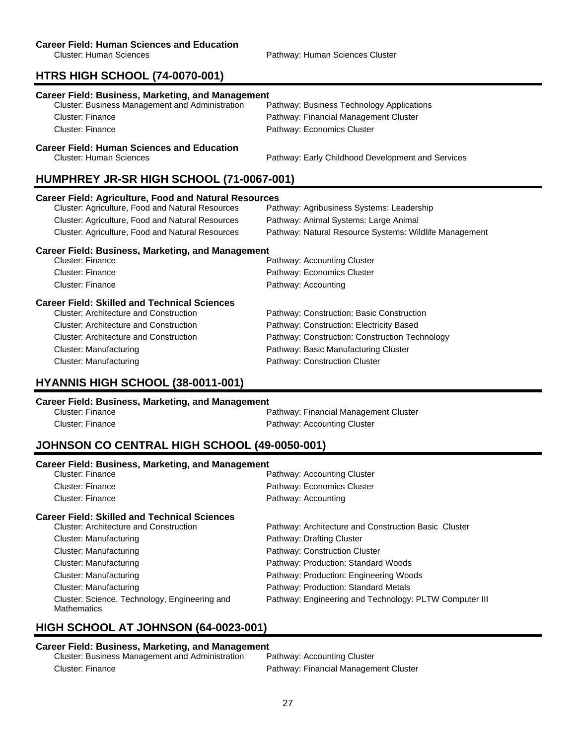### **Career Field: Human Sciences and Education**

Cluster: Human Sciences **Pathway: Human Sciences Cluster** Pathway: Human Sciences Cluster

# **HTRS HIGH SCHOOL (74-0070-001)**

| Career Field: Business, Marketing, and Management<br><b>Cluster: Business Management and Administration</b> | Pathway: Business Technology Applications              |  |
|-------------------------------------------------------------------------------------------------------------|--------------------------------------------------------|--|
| Cluster: Finance                                                                                            | Pathway: Financial Management Cluster                  |  |
| Cluster: Finance                                                                                            | Pathway: Economics Cluster                             |  |
| <b>Career Field: Human Sciences and Education</b><br>Cluster: Human Sciences                                | Pathway: Early Childhood Development and Services      |  |
| HUMPHREY JR-SR HIGH SCHOOL (71-0067-001)                                                                    |                                                        |  |
| <b>Career Field: Agriculture, Food and Natural Resources</b>                                                |                                                        |  |
| Cluster: Agriculture, Food and Natural Resources                                                            | Pathway: Agribusiness Systems: Leadership              |  |
| Cluster: Agriculture, Food and Natural Resources                                                            | Pathway: Animal Systems: Large Animal                  |  |
| Cluster: Agriculture, Food and Natural Resources                                                            | Pathway: Natural Resource Systems: Wildlife Management |  |
| <b>Career Field: Business, Marketing, and Management</b>                                                    |                                                        |  |
| Cluster: Finance                                                                                            | Pathway: Accounting Cluster                            |  |
| <b>Cluster: Finance</b>                                                                                     | Pathway: Economics Cluster                             |  |
|                                                                                                             |                                                        |  |

| <b>Cluster: Architecture and Construction</b><br>Pathway: Construction: Basic Construction      |  |
|-------------------------------------------------------------------------------------------------|--|
| Pathway: Construction: Electricity Based<br><b>Cluster: Architecture and Construction</b>       |  |
| Pathway: Construction: Construction Technology<br><b>Cluster: Architecture and Construction</b> |  |
| Pathway: Basic Manufacturing Cluster<br>Cluster: Manufacturing                                  |  |
| <b>Cluster: Manufacturing</b><br>Pathway: Construction Cluster                                  |  |

# **HYANNIS HIGH SCHOOL (38-0011-001)**

| Career Field: Business, Marketing, and Management |                                       |  |
|---------------------------------------------------|---------------------------------------|--|
| Cluster: Finance                                  | Pathway: Financial Management Cluster |  |
| Cluster: Finance                                  | Pathway: Accounting Cluster           |  |

# **JOHNSON CO CENTRAL HIGH SCHOOL (49-0050-001)**

| <b>Career Field: Business, Marketing, and Management</b>            |                                                        |
|---------------------------------------------------------------------|--------------------------------------------------------|
| Cluster: Finance                                                    | Pathway: Accounting Cluster                            |
| Cluster: Finance                                                    | Pathway: Economics Cluster                             |
| Cluster: Finance                                                    | Pathway: Accounting                                    |
| <b>Career Field: Skilled and Technical Sciences</b>                 |                                                        |
| <b>Cluster: Architecture and Construction</b>                       | Pathway: Architecture and Construction Basic Cluster   |
| Cluster: Manufacturing                                              | Pathway: Drafting Cluster                              |
| Cluster: Manufacturing                                              | Pathway: Construction Cluster                          |
| Cluster: Manufacturing                                              | Pathway: Production: Standard Woods                    |
| Cluster: Manufacturing                                              | Pathway: Production: Engineering Woods                 |
| Cluster: Manufacturing                                              | Pathway: Production: Standard Metals                   |
| Cluster: Science, Technology, Engineering and<br><b>Mathematics</b> | Pathway: Engineering and Technology: PLTW Computer III |

# **HIGH SCHOOL AT JOHNSON (64-0023-001)**

**Career Field: Business, Marketing, and Management** Cluster: Business Management and Administration Cluster: Finance Pathway: Financial Management Cluster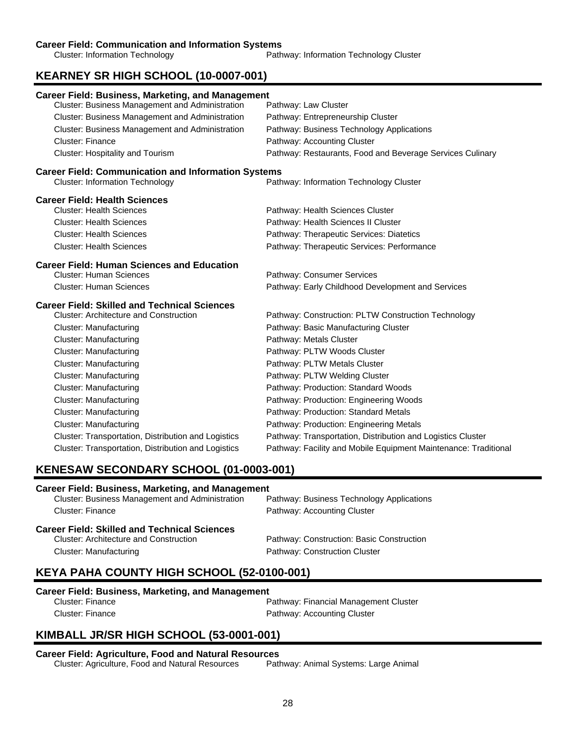### **Career Field: Communication and Information Systems**

Cluster: Information Technology Pathway: Information Technology Cluster

# **KEARNEY SR HIGH SCHOOL (10-0007-001)**

| <b>Career Field: Business, Marketing, and Management</b>                                             |                                                                 |
|------------------------------------------------------------------------------------------------------|-----------------------------------------------------------------|
| Cluster: Business Management and Administration                                                      | Pathway: Law Cluster                                            |
| Cluster: Business Management and Administration                                                      | Pathway: Entrepreneurship Cluster                               |
| Cluster: Business Management and Administration                                                      | Pathway: Business Technology Applications                       |
| Cluster: Finance                                                                                     | Pathway: Accounting Cluster                                     |
| <b>Cluster: Hospitality and Tourism</b>                                                              | Pathway: Restaurants, Food and Beverage Services Culinary       |
| <b>Career Field: Communication and Information Systems</b><br><b>Cluster: Information Technology</b> | Pathway: Information Technology Cluster                         |
| <b>Career Field: Health Sciences</b>                                                                 |                                                                 |
| <b>Cluster: Health Sciences</b>                                                                      | Pathway: Health Sciences Cluster                                |
| <b>Cluster: Health Sciences</b>                                                                      | Pathway: Health Sciences II Cluster                             |
| <b>Cluster: Health Sciences</b>                                                                      | Pathway: Therapeutic Services: Diatetics                        |
| <b>Cluster: Health Sciences</b>                                                                      | Pathway: Therapeutic Services: Performance                      |
| <b>Career Field: Human Sciences and Education</b>                                                    |                                                                 |
| <b>Cluster: Human Sciences</b>                                                                       | Pathway: Consumer Services                                      |
| <b>Cluster: Human Sciences</b>                                                                       | Pathway: Early Childhood Development and Services               |
| <b>Career Field: Skilled and Technical Sciences</b>                                                  |                                                                 |
| <b>Cluster: Architecture and Construction</b>                                                        | Pathway: Construction: PLTW Construction Technology             |
| Cluster: Manufacturing                                                                               | Pathway: Basic Manufacturing Cluster                            |
| Cluster: Manufacturing                                                                               | Pathway: Metals Cluster                                         |
| <b>Cluster: Manufacturing</b>                                                                        | Pathway: PLTW Woods Cluster                                     |
| <b>Cluster: Manufacturing</b>                                                                        | Pathway: PLTW Metals Cluster                                    |
| <b>Cluster: Manufacturing</b>                                                                        | Pathway: PLTW Welding Cluster                                   |
| <b>Cluster: Manufacturing</b>                                                                        | Pathway: Production: Standard Woods                             |
| <b>Cluster: Manufacturing</b>                                                                        | Pathway: Production: Engineering Woods                          |
| <b>Cluster: Manufacturing</b>                                                                        | Pathway: Production: Standard Metals                            |
| <b>Cluster: Manufacturing</b>                                                                        | Pathway: Production: Engineering Metals                         |
| Cluster: Transportation, Distribution and Logistics                                                  | Pathway: Transportation, Distribution and Logistics Cluster     |
| Cluster: Transportation, Distribution and Logistics                                                  | Pathway: Facility and Mobile Equipment Maintenance: Traditional |

## **KENESAW SECONDARY SCHOOL (01-0003-001)**

### **Career Field: Business, Marketing, and Management**

| <b>Cluster: Business Management and Administration</b> | Pathway: Business Technology Applications |
|--------------------------------------------------------|-------------------------------------------|
| Cluster: Finance                                       | Pathway: Accounting Cluster               |
| <b>Career Field: Skilled and Technical Sciences</b>    |                                           |
| <b>Cluster: Architecture and Construction</b>          | Pathway: Construction: Basic Construction |
| Cluster: Manufacturing                                 | Pathway: Construction Cluster             |

## **KEYA PAHA COUNTY HIGH SCHOOL (52-0100-001)**

### **Career Field: Business, Marketing, and Management**

| Cluster: Finance        |  |
|-------------------------|--|
| <b>Cluster: Finance</b> |  |

Pathway: Financial Management Cluster Pathway: Accounting Cluster

# **KIMBALL JR/SR HIGH SCHOOL (53-0001-001)**

**Career Field: Agriculture, Food and Natural Resources** Cluster: Agriculture, Food and Natural Resources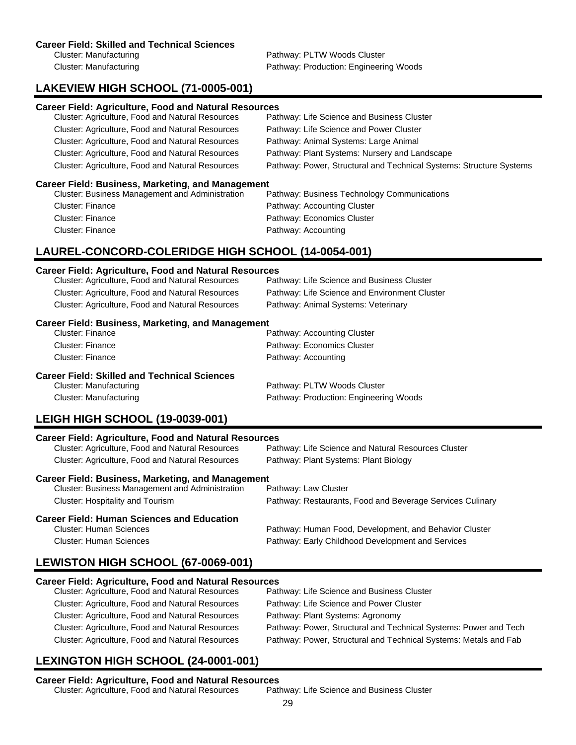Cluster: Manufacturing example and the Pathway: PLTW Woods Cluster Cluster: Manufacturing Pathway: Production: Engineering Woods

# **LAKEVIEW HIGH SCHOOL (71-0005-001)**

### **Career Field: Agriculture, Food and Natural Resources**

| <b>Cluster: Agriculture, Food and Natural Resources</b> | Pathway: Life Science and Business Cluster                          |
|---------------------------------------------------------|---------------------------------------------------------------------|
| Cluster: Agriculture, Food and Natural Resources        | Pathway: Life Science and Power Cluster                             |
| Cluster: Agriculture, Food and Natural Resources        | Pathway: Animal Systems: Large Animal                               |
| <b>Cluster: Agriculture, Food and Natural Resources</b> | Pathway: Plant Systems: Nursery and Landscape                       |
| <b>Cluster: Agriculture, Food and Natural Resources</b> | Pathway: Power, Structural and Technical Systems: Structure Systems |
|                                                         |                                                                     |

### **Career Field: Business, Marketing, and Management**

| Cluster: Business Management and Administration | Pathway: Business Technology Communications |
|-------------------------------------------------|---------------------------------------------|
| Cluster: Finance                                | Pathway: Accounting Cluster                 |
| Cluster: Finance                                | Pathway: Economics Cluster                  |
| Cluster: Finance                                | Pathway: Accounting                         |
|                                                 |                                             |

# **LAUREL-CONCORD-COLERIDGE HIGH SCHOOL (14-0054-001)**

### **Career Field: Agriculture, Food and Natural Resources**

| Cluster: Agriculture, Food and Natural Resources         | Pathway: Life Science and Business Cluster    |  |
|----------------------------------------------------------|-----------------------------------------------|--|
| Cluster: Agriculture, Food and Natural Resources         | Pathway: Life Science and Environment Cluster |  |
| <b>Cluster: Agriculture, Food and Natural Resources</b>  | Pathway: Animal Systems: Veterinary           |  |
| <b>Career Field: Business, Marketing, and Management</b> |                                               |  |
| <b>Cluster: Finance</b>                                  | Pathway: Accounting Cluster                   |  |
| Cluster: Finance                                         | Pathway: Economics Cluster                    |  |
| <b>Cluster: Finance</b>                                  | Pathway: Accounting                           |  |
| <b>Career Field: Skilled and Technical Sciences</b>      |                                               |  |
| Cluster: Manufacturing                                   | Pathway: PLTW Woods Cluster                   |  |
| <b>Cluster: Manufacturing</b>                            | Pathway: Production: Engineering Woods        |  |

# **LEIGH HIGH SCHOOL (19-0039-001)**

| <b>Career Field: Agriculture, Food and Natural Resources</b> |                                                           |
|--------------------------------------------------------------|-----------------------------------------------------------|
| Cluster: Agriculture, Food and Natural Resources             | Pathway: Life Science and Natural Resources Cluster       |
| <b>Cluster: Agriculture, Food and Natural Resources</b>      | Pathway: Plant Systems: Plant Biology                     |
| <b>Career Field: Business, Marketing, and Management</b>     |                                                           |
| <b>Cluster: Business Management and Administration</b>       | Pathway: Law Cluster                                      |
| <b>Cluster: Hospitality and Tourism</b>                      | Pathway: Restaurants, Food and Beverage Services Culinary |

### **Career Field: Human Sciences and Education**

Cluster: Human Sciences Pathway: Human Food, Development, and Behavior Cluster Cluster: Human Sciences Pathway: Early Childhood Development and Services

# **LEWISTON HIGH SCHOOL (67-0069-001)**

### **Career Field: Agriculture, Food and Natural Resources**

| Pathway: Life Science and Business Cluster                       |
|------------------------------------------------------------------|
| Pathway: Life Science and Power Cluster                          |
| Pathway: Plant Systems: Agronomy                                 |
| Pathway: Power, Structural and Technical Systems: Power and Tech |
| Pathway: Power, Structural and Technical Systems: Metals and Fab |
|                                                                  |

# **LEXINGTON HIGH SCHOOL (24-0001-001)**

**Career Field: Agriculture, Food and Natural Resources** Cluster: Agriculture, Food and Natural Resources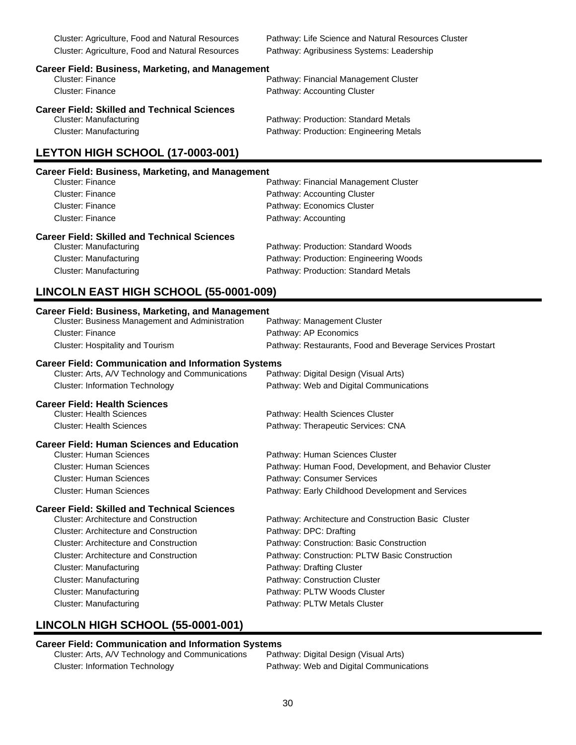Cluster: Agriculture, Food and Natural Resources Pathway: Agribusiness Systems: Leadership

Cluster: Agriculture, Food and Natural Resources Pathway: Life Science and Natural Resources Cluster

| <b>Career Field: Business, Marketing, and Management</b> |                                         |
|----------------------------------------------------------|-----------------------------------------|
| <b>Cluster: Finance</b>                                  | Pathway: Financial Management Cluster   |
| Cluster: Finance                                         | Pathway: Accounting Cluster             |
| <b>Career Field: Skilled and Technical Sciences</b>      |                                         |
| Cluster: Manufacturing                                   | Pathway: Production: Standard Metals    |
| Cluster: Manufacturing                                   | Pathway: Production: Engineering Metals |

# **LEYTON HIGH SCHOOL (17-0003-001)**

### **Career Field: Business, Marketing, and Management**

| Cluster: Finance                                    | Pathway: Financial Management Cluster  |
|-----------------------------------------------------|----------------------------------------|
| <b>Cluster: Finance</b>                             | Pathway: Accounting Cluster            |
| Cluster: Finance                                    | Pathway: Economics Cluster             |
| Cluster: Finance                                    | Pathway: Accounting                    |
| <b>Career Field: Skilled and Technical Sciences</b> |                                        |
| Cluster: Manufacturing                              | Pathway: Production: Standard Woods    |
| Cluster: Manufacturing                              | Pathway: Production: Engineering Woods |
| Cluster: Manufacturing                              | Pathway: Production: Standard Metals   |

## **LINCOLN EAST HIGH SCHOOL (55-0001-009)**

| <b>Career Field: Business, Marketing, and Management</b>   |                                                           |  |
|------------------------------------------------------------|-----------------------------------------------------------|--|
| Cluster: Business Management and Administration            | Pathway: Management Cluster                               |  |
| <b>Cluster: Finance</b>                                    | Pathway: AP Economics                                     |  |
| <b>Cluster: Hospitality and Tourism</b>                    | Pathway: Restaurants, Food and Beverage Services Prostart |  |
| <b>Career Field: Communication and Information Systems</b> |                                                           |  |
| Cluster: Arts, A/V Technology and Communications           | Pathway: Digital Design (Visual Arts)                     |  |
| <b>Cluster: Information Technology</b>                     | Pathway: Web and Digital Communications                   |  |
| <b>Career Field: Health Sciences</b>                       |                                                           |  |
| <b>Cluster: Health Sciences</b>                            | Pathway: Health Sciences Cluster                          |  |
| <b>Cluster: Health Sciences</b>                            | Pathway: Therapeutic Services: CNA                        |  |
| <b>Career Field: Human Sciences and Education</b>          |                                                           |  |
| <b>Cluster: Human Sciences</b>                             | Pathway: Human Sciences Cluster                           |  |
| <b>Cluster: Human Sciences</b>                             | Pathway: Human Food, Development, and Behavior Cluster    |  |
| <b>Cluster: Human Sciences</b>                             | Pathway: Consumer Services                                |  |
| <b>Cluster: Human Sciences</b>                             | Pathway: Early Childhood Development and Services         |  |
| <b>Career Field: Skilled and Technical Sciences</b>        |                                                           |  |
| <b>Cluster: Architecture and Construction</b>              | Pathway: Architecture and Construction Basic Cluster      |  |
| <b>Cluster: Architecture and Construction</b>              | Pathway: DPC: Drafting                                    |  |
| <b>Cluster: Architecture and Construction</b>              | Pathway: Construction: Basic Construction                 |  |
| <b>Cluster: Architecture and Construction</b>              | Pathway: Construction: PLTW Basic Construction            |  |
| <b>Cluster: Manufacturing</b>                              | Pathway: Drafting Cluster                                 |  |
| <b>Cluster: Manufacturing</b>                              | Pathway: Construction Cluster                             |  |
| Cluster: Manufacturing                                     | Pathway: PLTW Woods Cluster                               |  |
| <b>Cluster: Manufacturing</b>                              | Pathway: PLTW Metals Cluster                              |  |

# **LINCOLN HIGH SCHOOL (55-0001-001)**

# **Career Field: Communication and Information Systems**<br>Cluster: Arts, A/V Technology and Communications Pathway: Digital Design (Visual Arts)

Cluster: Arts, A/V Technology and Communications Cluster: Information Technology **Pathway: Web and Digital Communications**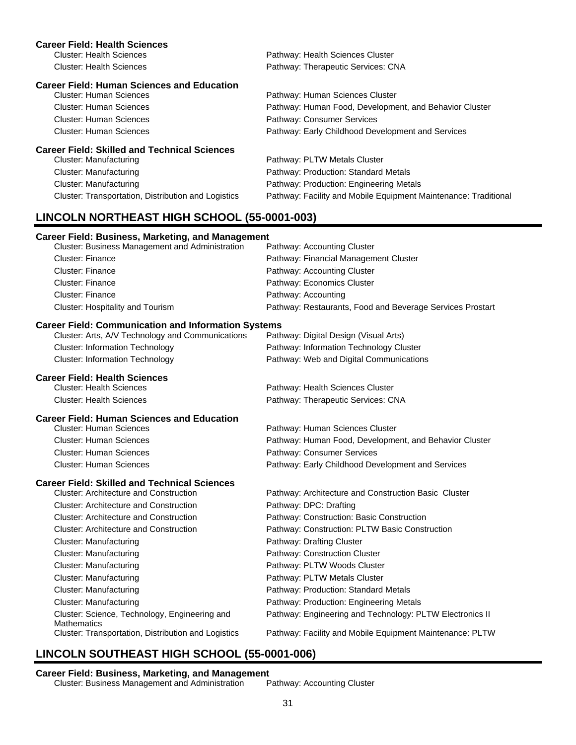| <b>Career Field: Health Sciences</b>                                                                           |                                                                 |
|----------------------------------------------------------------------------------------------------------------|-----------------------------------------------------------------|
| <b>Cluster: Health Sciences</b>                                                                                | Pathway: Health Sciences Cluster                                |
| <b>Cluster: Health Sciences</b>                                                                                | Pathway: Therapeutic Services: CNA                              |
| <b>Career Field: Human Sciences and Education</b>                                                              |                                                                 |
| <b>Cluster: Human Sciences</b>                                                                                 | Pathway: Human Sciences Cluster                                 |
| <b>Cluster: Human Sciences</b>                                                                                 | Pathway: Human Food, Development, and Behavior Cluster          |
| <b>Cluster: Human Sciences</b>                                                                                 | Pathway: Consumer Services                                      |
| <b>Cluster: Human Sciences</b>                                                                                 | Pathway: Early Childhood Development and Services               |
| <b>Career Field: Skilled and Technical Sciences</b>                                                            |                                                                 |
| <b>Cluster: Manufacturing</b>                                                                                  | Pathway: PLTW Metals Cluster                                    |
| <b>Cluster: Manufacturing</b>                                                                                  | Pathway: Production: Standard Metals                            |
| <b>Cluster: Manufacturing</b>                                                                                  | Pathway: Production: Engineering Metals                         |
| Cluster: Transportation, Distribution and Logistics                                                            | Pathway: Facility and Mobile Equipment Maintenance: Traditional |
| LINCOLN NORTHEAST HIGH SCHOOL (55-0001-003)                                                                    |                                                                 |
|                                                                                                                |                                                                 |
| <b>Career Field: Business, Marketing, and Management</b><br>Cluster: Business Management and Administration    | Pathway: Accounting Cluster                                     |
| <b>Cluster: Finance</b>                                                                                        | Pathway: Financial Management Cluster                           |
| <b>Cluster: Finance</b>                                                                                        | Pathway: Accounting Cluster                                     |
| <b>Cluster: Finance</b>                                                                                        | Pathway: Economics Cluster                                      |
| Cluster: Finance                                                                                               | Pathway: Accounting                                             |
| Cluster: Hospitality and Tourism                                                                               | Pathway: Restaurants, Food and Beverage Services Prostart       |
|                                                                                                                |                                                                 |
| <b>Career Field: Communication and Information Systems</b><br>Cluster: Arts, A/V Technology and Communications | Pathway: Digital Design (Visual Arts)                           |
| <b>Cluster: Information Technology</b>                                                                         | Pathway: Information Technology Cluster                         |
| <b>Cluster: Information Technology</b>                                                                         | Pathway: Web and Digital Communications                         |
|                                                                                                                |                                                                 |
| <b>Career Field: Health Sciences</b>                                                                           |                                                                 |
| <b>Cluster: Health Sciences</b><br><b>Cluster: Health Sciences</b>                                             | Pathway: Health Sciences Cluster                                |
|                                                                                                                | Pathway: Therapeutic Services: CNA                              |
| <b>Career Field: Human Sciences and Education</b>                                                              |                                                                 |
| <b>Cluster: Human Sciences</b>                                                                                 | Pathway: Human Sciences Cluster                                 |
| <b>Cluster: Human Sciences</b>                                                                                 | Pathway: Human Food, Development, and Behavior Cluster          |
| <b>Cluster: Human Sciences</b>                                                                                 | Pathway: Consumer Services                                      |
| <b>Cluster: Human Sciences</b>                                                                                 | Pathway: Early Childhood Development and Services               |
| <b>Career Field: Skilled and Technical Sciences</b>                                                            |                                                                 |
| <b>Cluster: Architecture and Construction</b>                                                                  | Pathway: Architecture and Construction Basic Cluster            |
| <b>Cluster: Architecture and Construction</b>                                                                  | Pathway: DPC: Drafting                                          |
| <b>Cluster: Architecture and Construction</b>                                                                  | Pathway: Construction: Basic Construction                       |
| <b>Cluster: Architecture and Construction</b>                                                                  | Pathway: Construction: PLTW Basic Construction                  |
| <b>Cluster: Manufacturing</b>                                                                                  | Pathway: Drafting Cluster                                       |
| <b>Cluster: Manufacturing</b>                                                                                  | Pathway: Construction Cluster                                   |
| <b>Cluster: Manufacturing</b>                                                                                  | Pathway: PLTW Woods Cluster                                     |
| <b>Cluster: Manufacturing</b>                                                                                  | Pathway: PLTW Metals Cluster                                    |
| <b>Cluster: Manufacturing</b>                                                                                  | Pathway: Production: Standard Metals                            |
| <b>Cluster: Manufacturing</b>                                                                                  | Pathway: Production: Engineering Metals                         |
| Cluster: Science, Technology, Engineering and<br><b>Mathematics</b>                                            | Pathway: Engineering and Technology: PLTW Electronics II        |
| Cluster: Transportation, Distribution and Logistics                                                            | Pathway: Facility and Mobile Equipment Maintenance: PLTW        |
|                                                                                                                |                                                                 |

# **LINCOLN SOUTHEAST HIGH SCHOOL (55-0001-006)**

### **Career Field: Business, Marketing, and Management**

Cluster: Business Management and Administration Pathway: Accounting Cluster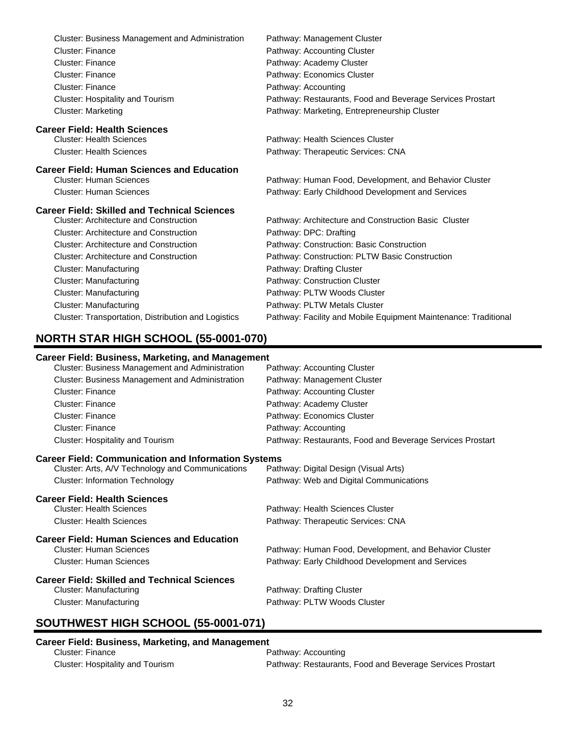| <b>Cluster: Business Management and Administration</b> | Pathway: Management Cluster                                     |
|--------------------------------------------------------|-----------------------------------------------------------------|
| <b>Cluster: Finance</b>                                | Pathway: Accounting Cluster                                     |
| <b>Cluster: Finance</b>                                | Pathway: Academy Cluster                                        |
| <b>Cluster: Finance</b>                                | Pathway: Economics Cluster                                      |
| Cluster: Finance                                       | Pathway: Accounting                                             |
| Cluster: Hospitality and Tourism                       | Pathway: Restaurants, Food and Beverage Services Prostart       |
| <b>Cluster: Marketing</b>                              | Pathway: Marketing, Entrepreneurship Cluster                    |
| <b>Career Field: Health Sciences</b>                   |                                                                 |
| <b>Cluster: Health Sciences</b>                        | Pathway: Health Sciences Cluster                                |
| <b>Cluster: Health Sciences</b>                        | Pathway: Therapeutic Services: CNA                              |
| <b>Career Field: Human Sciences and Education</b>      |                                                                 |
| <b>Cluster: Human Sciences</b>                         | Pathway: Human Food, Development, and Behavior Cluster          |
| <b>Cluster: Human Sciences</b>                         | Pathway: Early Childhood Development and Services               |
| <b>Career Field: Skilled and Technical Sciences</b>    |                                                                 |
| <b>Cluster: Architecture and Construction</b>          | Pathway: Architecture and Construction Basic Cluster            |
| <b>Cluster: Architecture and Construction</b>          | Pathway: DPC: Drafting                                          |
| <b>Cluster: Architecture and Construction</b>          | Pathway: Construction: Basic Construction                       |
| <b>Cluster: Architecture and Construction</b>          | Pathway: Construction: PLTW Basic Construction                  |
| <b>Cluster: Manufacturing</b>                          | Pathway: Drafting Cluster                                       |
| <b>Cluster: Manufacturing</b>                          | Pathway: Construction Cluster                                   |
| <b>Cluster: Manufacturing</b>                          | Pathway: PLTW Woods Cluster                                     |
| <b>Cluster: Manufacturing</b>                          | Pathway: PLTW Metals Cluster                                    |
| Cluster: Transportation, Distribution and Logistics    | Pathway: Facility and Mobile Equipment Maintenance: Traditional |

# **NORTH STAR HIGH SCHOOL (55-0001-070)**

### **Career Field: Business, Marketing, and Management**

| Cluster: Business Management and Administration            | Pathway: Accounting Cluster                               |  |  |
|------------------------------------------------------------|-----------------------------------------------------------|--|--|
| <b>Cluster: Business Management and Administration</b>     | Pathway: Management Cluster                               |  |  |
| Cluster: Finance                                           | Pathway: Accounting Cluster                               |  |  |
| Cluster: Finance                                           | Pathway: Academy Cluster                                  |  |  |
| Cluster: Finance                                           | Pathway: Economics Cluster                                |  |  |
| Cluster: Finance                                           | Pathway: Accounting                                       |  |  |
| Cluster: Hospitality and Tourism                           | Pathway: Restaurants, Food and Beverage Services Prostart |  |  |
| <b>Career Field: Communication and Information Systems</b> |                                                           |  |  |
| Cluster: Arts, A/V Technology and Communications           | Pathway: Digital Design (Visual Arts)                     |  |  |
| <b>Cluster: Information Technology</b>                     | Pathway: Web and Digital Communications                   |  |  |
| <b>Career Field: Health Sciences</b>                       |                                                           |  |  |
| <b>Cluster: Health Sciences</b>                            | Pathway: Health Sciences Cluster                          |  |  |
| <b>Cluster: Health Sciences</b>                            | Pathway: Therapeutic Services: CNA                        |  |  |
| <b>Career Field: Human Sciences and Education</b>          |                                                           |  |  |
| <b>Cluster: Human Sciences</b>                             | Pathway: Human Food, Development, and Behavior Cluster    |  |  |
| <b>Cluster: Human Sciences</b>                             | Pathway: Early Childhood Development and Services         |  |  |
| <b>Career Field: Skilled and Technical Sciences</b>        |                                                           |  |  |
| <b>Cluster: Manufacturing</b>                              | Pathway: Drafting Cluster                                 |  |  |
| <b>Cluster: Manufacturing</b>                              | Pathway: PLTW Woods Cluster                               |  |  |
| SOUTHWEST HIGH SCHOOL (55-0001-071)                        |                                                           |  |  |

# **Career Field: Business, Marketing, and Management**<br>Cluster: Finance

Pathway: Accounting Cluster: Hospitality and Tourism Pathway: Restaurants, Food and Beverage Services Prostart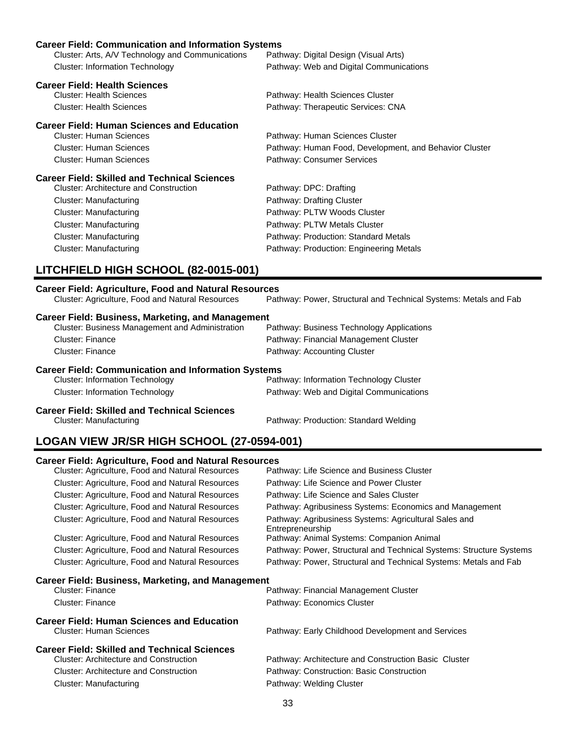| <b>Career Field: Communication and Information Systems</b>   |                                                        |  |
|--------------------------------------------------------------|--------------------------------------------------------|--|
| Cluster: Arts, A/V Technology and Communications             | Pathway: Digital Design (Visual Arts)                  |  |
| <b>Cluster: Information Technology</b>                       | Pathway: Web and Digital Communications                |  |
| <b>Career Field: Health Sciences</b>                         |                                                        |  |
| <b>Cluster: Health Sciences</b>                              | Pathway: Health Sciences Cluster                       |  |
| <b>Cluster: Health Sciences</b>                              | Pathway: Therapeutic Services: CNA                     |  |
| <b>Career Field: Human Sciences and Education</b>            |                                                        |  |
| <b>Cluster: Human Sciences</b>                               | Pathway: Human Sciences Cluster                        |  |
| Cluster: Human Sciences                                      | Pathway: Human Food, Development, and Behavior Cluster |  |
| <b>Cluster: Human Sciences</b>                               | Pathway: Consumer Services                             |  |
| <b>Career Field: Skilled and Technical Sciences</b>          |                                                        |  |
| <b>Cluster: Architecture and Construction</b>                | Pathway: DPC: Drafting                                 |  |
| Cluster: Manufacturing                                       | Pathway: Drafting Cluster                              |  |
| Cluster: Manufacturing                                       | Pathway: PLTW Woods Cluster                            |  |
| Cluster: Manufacturing                                       | Pathway: PLTW Metals Cluster                           |  |
| Cluster: Manufacturing                                       | Pathway: Production: Standard Metals                   |  |
| Cluster: Manufacturing                                       | Pathway: Production: Engineering Metals                |  |
| LITCHFIELD HIGH SCHOOL (82-0015-001)                         |                                                        |  |
| <b>Career Field: Agriculture, Food and Natural Resources</b> |                                                        |  |

| Cluster: Agriculture, Food and Natural Resources           | Pathway: Power, Structural and Technical Systems: Metals and Fab |
|------------------------------------------------------------|------------------------------------------------------------------|
| <b>Career Field: Business, Marketing, and Management</b>   |                                                                  |
| <b>Cluster: Business Management and Administration</b>     | Pathway: Business Technology Applications                        |
| Cluster: Finance                                           | Pathway: Financial Management Cluster                            |
| Cluster: Finance                                           | Pathway: Accounting Cluster                                      |
| <b>Career Field: Communication and Information Systems</b> |                                                                  |
| <b>Cluster: Information Technology</b>                     | Pathway: Information Technology Cluster                          |
| <b>Cluster: Information Technology</b>                     | Pathway: Web and Digital Communications                          |
| <b>Career Field: Skilled and Technical Sciences</b>        |                                                                  |

# Cluster: Manufacturing extending Pathway: Production: Standard Welding

# **LOGAN VIEW JR/SR HIGH SCHOOL (27-0594-001)**

## **Career Field: Agriculture, Food and Natural Resources**

|                                                          | Cluster: Agriculture, Food and Natural Resources | Pathway: Life Science and Business Cluster                                |
|----------------------------------------------------------|--------------------------------------------------|---------------------------------------------------------------------------|
|                                                          | Cluster: Agriculture, Food and Natural Resources | Pathway: Life Science and Power Cluster                                   |
|                                                          | Cluster: Agriculture, Food and Natural Resources | Pathway: Life Science and Sales Cluster                                   |
|                                                          | Cluster: Agriculture, Food and Natural Resources | Pathway: Agribusiness Systems: Economics and Management                   |
|                                                          | Cluster: Agriculture, Food and Natural Resources | Pathway: Agribusiness Systems: Agricultural Sales and<br>Entrepreneurship |
|                                                          | Cluster: Agriculture, Food and Natural Resources | Pathway: Animal Systems: Companion Animal                                 |
|                                                          | Cluster: Agriculture, Food and Natural Resources | Pathway: Power, Structural and Technical Systems: Structure Systems       |
|                                                          | Cluster: Agriculture, Food and Natural Resources | Pathway: Power, Structural and Technical Systems: Metals and Fab          |
| <b>Career Field: Business, Marketing, and Management</b> |                                                  |                                                                           |
|                                                          | Cluster: Finance                                 | Pathway: Financial Management Cluster                                     |
|                                                          | <b>Cluster: Finance</b>                          | Pathway: Economics Cluster                                                |
| <b>Career Field: Human Sciences and Education</b>        |                                                  |                                                                           |
|                                                          | Cluster: Human Sciences                          | Pathway: Early Childhood Development and Services                         |
| <b>Career Field: Skilled and Technical Sciences</b>      |                                                  |                                                                           |
|                                                          | <b>Cluster: Architecture and Construction</b>    | Pathway: Architecture and Construction Basic Cluster                      |
|                                                          | <b>Cluster: Architecture and Construction</b>    | Pathway: Construction: Basic Construction                                 |
|                                                          | Cluster: Manufacturing                           | Pathway: Welding Cluster                                                  |
|                                                          |                                                  |                                                                           |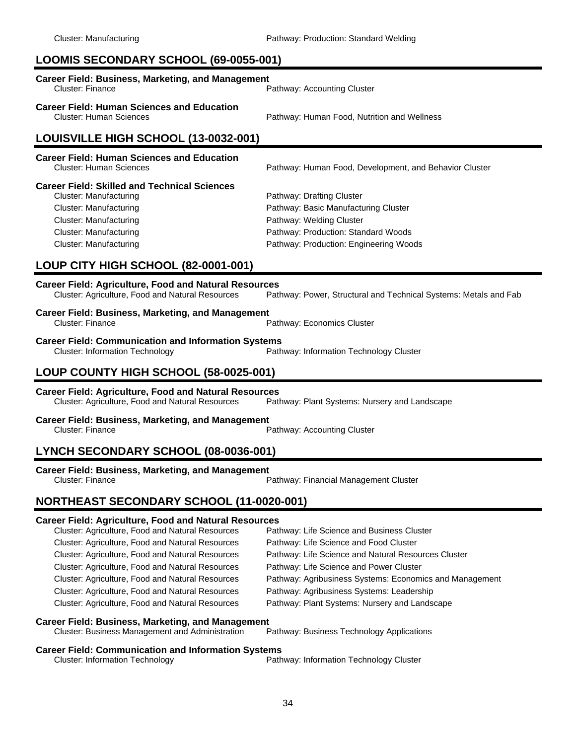# **LOOMIS SECONDARY SCHOOL (69-0055-001)**

| <b>Career Field: Business, Marketing, and Management</b><br><b>Cluster: Finance</b>                                                                                                                                      | Pathway: Accounting Cluster                                                                                                                                                    |  |
|--------------------------------------------------------------------------------------------------------------------------------------------------------------------------------------------------------------------------|--------------------------------------------------------------------------------------------------------------------------------------------------------------------------------|--|
| <b>Career Field: Human Sciences and Education</b><br><b>Cluster: Human Sciences</b>                                                                                                                                      | Pathway: Human Food, Nutrition and Wellness                                                                                                                                    |  |
| LOUISVILLE HIGH SCHOOL (13-0032-001)                                                                                                                                                                                     |                                                                                                                                                                                |  |
| <b>Career Field: Human Sciences and Education</b><br>Cluster: Human Sciences                                                                                                                                             | Pathway: Human Food, Development, and Behavior Cluster                                                                                                                         |  |
| <b>Career Field: Skilled and Technical Sciences</b><br><b>Cluster: Manufacturing</b><br><b>Cluster: Manufacturing</b><br><b>Cluster: Manufacturing</b><br><b>Cluster: Manufacturing</b><br><b>Cluster: Manufacturing</b> | Pathway: Drafting Cluster<br>Pathway: Basic Manufacturing Cluster<br>Pathway: Welding Cluster<br>Pathway: Production: Standard Woods<br>Pathway: Production: Engineering Woods |  |
| LOUP CITY HIGH SCHOOL (82-0001-001)                                                                                                                                                                                      |                                                                                                                                                                                |  |
| <b>Career Field: Agriculture, Food and Natural Resources</b><br>Cluster: Agriculture, Food and Natural Resources                                                                                                         | Pathway: Power, Structural and Technical Systems: Metals and Fab                                                                                                               |  |
| <b>Career Field: Business, Marketing, and Management</b><br><b>Cluster: Finance</b>                                                                                                                                      | Pathway: Economics Cluster                                                                                                                                                     |  |
| <b>Career Field: Communication and Information Systems</b><br><b>Cluster: Information Technology</b>                                                                                                                     | Pathway: Information Technology Cluster                                                                                                                                        |  |
| LOUP COUNTY HIGH SCHOOL (58-0025-001)                                                                                                                                                                                    |                                                                                                                                                                                |  |
| <b>Career Field: Agriculture, Food and Natural Resources</b><br>Cluster: Agriculture, Food and Natural Resources                                                                                                         | Pathway: Plant Systems: Nursery and Landscape                                                                                                                                  |  |
| <b>Career Field: Business, Marketing, and Management</b><br><b>Cluster: Finance</b>                                                                                                                                      | Pathway: Accounting Cluster                                                                                                                                                    |  |
| LYNCH SECONDARY SCHOOL (08-0036-001)                                                                                                                                                                                     |                                                                                                                                                                                |  |
| <b>Career Field: Business, Marketing, and Management</b><br>Cluster: Finance                                                                                                                                             | Pathway: Financial Management Cluster                                                                                                                                          |  |
| NORTHEAST SECONDARY SCHOOL (11-0020-001)                                                                                                                                                                                 |                                                                                                                                                                                |  |
| <b>Career Field: Agriculture, Food and Natural Resources</b>                                                                                                                                                             |                                                                                                                                                                                |  |

| Cluster: Agriculture, Food and Natural Resources | Pathway: Life Science and Business Cluster              |
|--------------------------------------------------|---------------------------------------------------------|
| Cluster: Agriculture, Food and Natural Resources | Pathway: Life Science and Food Cluster                  |
| Cluster: Agriculture, Food and Natural Resources | Pathway: Life Science and Natural Resources Cluster     |
| Cluster: Agriculture, Food and Natural Resources | Pathway: Life Science and Power Cluster                 |
| Cluster: Agriculture, Food and Natural Resources | Pathway: Agribusiness Systems: Economics and Management |
| Cluster: Agriculture, Food and Natural Resources | Pathway: Agribusiness Systems: Leadership               |
| Cluster: Agriculture, Food and Natural Resources | Pathway: Plant Systems: Nursery and Landscape           |
|                                                  |                                                         |

### **Career Field: Business, Marketing, and Management**

Cluster: Business Management and Administration Pathway: Business Technology Applications

**Career Field: Communication and Information Systems**<br>Path Cluster: Information Technology Pathway: Information Technology Cluster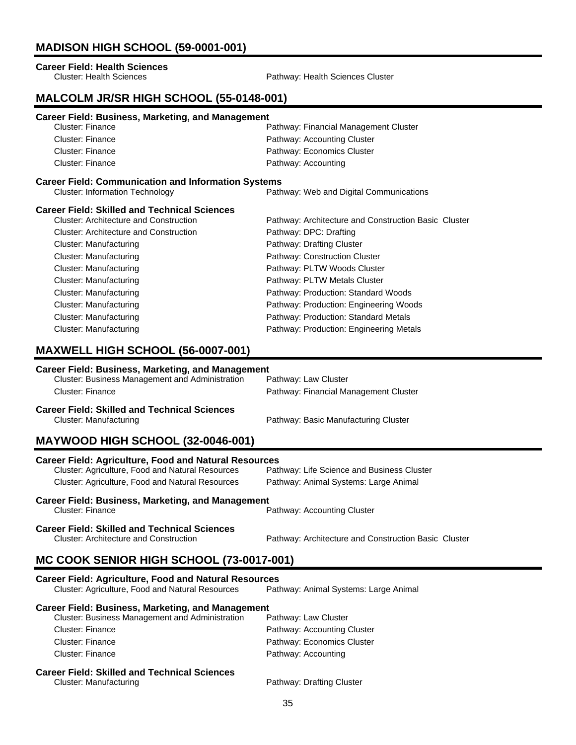# **MADISON HIGH SCHOOL (59-0001-001)**

# **Career Field: Health Sciences**

Pathway: Health Sciences Cluster

### **MALCOLM JR/SR HIGH SCHOOL (55-0148-001)**

| <b>Career Field: Business, Marketing, and Management</b>   |                                                      |
|------------------------------------------------------------|------------------------------------------------------|
| Cluster: Finance                                           | Pathway: Financial Management Cluster                |
| <b>Cluster: Finance</b>                                    | Pathway: Accounting Cluster                          |
| <b>Cluster: Finance</b>                                    | Pathway: Economics Cluster                           |
| Cluster: Finance                                           | Pathway: Accounting                                  |
| <b>Career Field: Communication and Information Systems</b> |                                                      |
| <b>Cluster: Information Technology</b>                     | Pathway: Web and Digital Communications              |
| <b>Career Field: Skilled and Technical Sciences</b>        |                                                      |
| Cluster: Architecture and Construction                     | Pathway: Architecture and Construction Basic Cluster |
| Cluster: Architecture and Construction                     | Pathway: DPC: Drafting                               |
| Cluster: Manufacturing                                     | Pathway: Drafting Cluster                            |
| <b>Cluster: Manufacturing</b>                              | Pathway: Construction Cluster                        |
| Cluster: Manufacturing                                     | Pathway: PLTW Woods Cluster                          |
| Cluster: Manufacturing                                     | Pathway: PLTW Metals Cluster                         |
| Cluster: Manufacturing                                     | Pathway: Production: Standard Woods                  |
| Cluster: Manufacturing                                     | Pathway: Production: Engineering Woods               |
| Cluster: Manufacturing                                     | Pathway: Production: Standard Metals                 |
| Cluster: Manufacturing                                     | Pathway: Production: Engineering Metals              |

## **MAXWELL HIGH SCHOOL (56-0007-001)**

### **Career Field: Business, Marketing, and Management**

| Career Field: Skilled and Technical Sciences    |                                       |
|-------------------------------------------------|---------------------------------------|
| Cluster: Finance                                | Pathway: Financial Management Cluster |
| Cluster: Business Management and Administration | Pathway: Law Cluster                  |

Cluster: Manufacturing **Pathway: Basic Manufacturing Cluster** Pathway: Basic Manufacturing Cluster

## **MAYWOOD HIGH SCHOOL (32-0046-001)**

| <b>Career Field: Agriculture, Food and Natural Resources</b>                                         |                                                      |
|------------------------------------------------------------------------------------------------------|------------------------------------------------------|
| Cluster: Agriculture, Food and Natural Resources                                                     | Pathway: Life Science and Business Cluster           |
| Cluster: Agriculture, Food and Natural Resources                                                     | Pathway: Animal Systems: Large Animal                |
| <b>Career Field: Business, Marketing, and Management</b><br>Cluster: Finance                         | Pathway: Accounting Cluster                          |
| <b>Career Field: Skilled and Technical Sciences</b><br><b>Cluster: Architecture and Construction</b> | Pathway: Architecture and Construction Basic Cluster |

# **MC COOK SENIOR HIGH SCHOOL (73-0017-001)**

| <b>Career Field: Agriculture, Food and Natural Resources</b>                  |                                       |
|-------------------------------------------------------------------------------|---------------------------------------|
| Cluster: Agriculture, Food and Natural Resources                              | Pathway: Animal Systems: Large Animal |
| <b>Career Field: Business, Marketing, and Management</b>                      |                                       |
| Cluster: Business Management and Administration                               | Pathway: Law Cluster                  |
| Cluster: Finance                                                              | Pathway: Accounting Cluster           |
| Cluster: Finance                                                              | Pathway: Economics Cluster            |
| Cluster: Finance                                                              | Pathway: Accounting                   |
| <b>Career Field: Skilled and Technical Sciences</b><br>Cluster: Manufacturing | Pathway: Drafting Cluster             |
|                                                                               |                                       |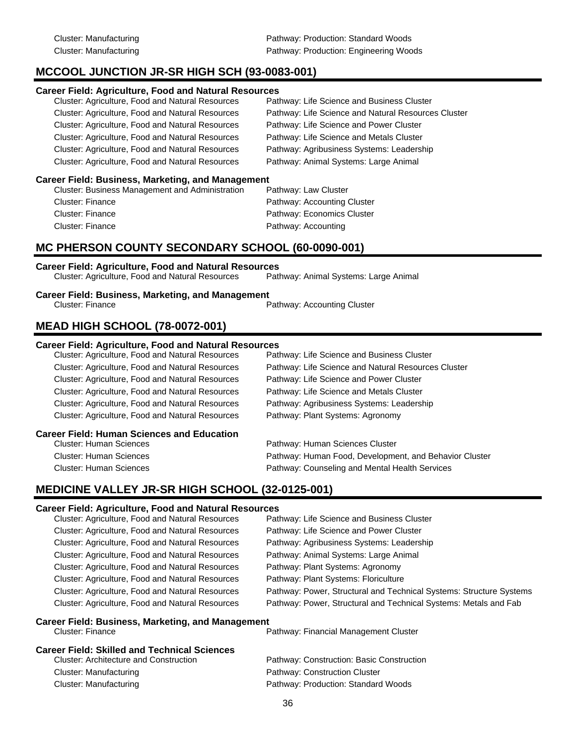# **MCCOOL JUNCTION JR-SR HIGH SCH (93-0083-001)**

### **Career Field: Agriculture, Food and Natural Resources**

| Cluster: Agriculture, Food and Natural Resources | Pathway: Life Science and Business Cluster          |
|--------------------------------------------------|-----------------------------------------------------|
| Cluster: Agriculture, Food and Natural Resources | Pathway: Life Science and Natural Resources Cluster |
| Cluster: Agriculture, Food and Natural Resources | Pathway: Life Science and Power Cluster             |
| Cluster: Agriculture, Food and Natural Resources | Pathway: Life Science and Metals Cluster            |
| Cluster: Agriculture, Food and Natural Resources | Pathway: Agribusiness Systems: Leadership           |
| Cluster: Agriculture, Food and Natural Resources | Pathway: Animal Systems: Large Animal               |

### **Career Field: Business, Marketing, and Management**

| Cluster: Business Management and Administration | Pathway: Law Cluster        |
|-------------------------------------------------|-----------------------------|
| Cluster: Finance                                | Pathway: Accounting Cluster |
| Cluster: Finance                                | Pathway: Economics Cluster  |
| Cluster: Finance                                | Pathway: Accounting         |
|                                                 |                             |

### **MC PHERSON COUNTY SECONDARY SCHOOL (60-0090-001)**

**Career Field: Agriculture, Food and Natural Resources** Cluster: Agriculture, Food and Natural Resources

# **Career Field: Business, Marketing, and Management**

Pathway: Accounting Cluster

# **MEAD HIGH SCHOOL (78-0072-001)**

### **Career Field: Agriculture, Food and Natural Resources**

| Cluster: Agriculture, Food and Natural Resources  | Pathway: Life Science and Business Cluster             |
|---------------------------------------------------|--------------------------------------------------------|
| Cluster: Agriculture, Food and Natural Resources  | Pathway: Life Science and Natural Resources Cluster    |
| Cluster: Agriculture, Food and Natural Resources  | Pathway: Life Science and Power Cluster                |
| Cluster: Agriculture, Food and Natural Resources  | Pathway: Life Science and Metals Cluster               |
| Cluster: Agriculture, Food and Natural Resources  | Pathway: Agribusiness Systems: Leadership              |
| Cluster: Agriculture, Food and Natural Resources  | Pathway: Plant Systems: Agronomy                       |
| <b>Career Field: Human Sciences and Education</b> |                                                        |
| <b>Cluster: Human Sciences</b>                    | Pathway: Human Sciences Cluster                        |
| <b>Cluster: Human Sciences</b>                    | Pathway: Human Food, Development, and Behavior Cluster |
|                                                   |                                                        |

Cluster: Human Sciences Pathway: Counseling and Mental Health Services

# **MEDICINE VALLEY JR-SR HIGH SCHOOL (32-0125-001)**

### **Career Field: Agriculture, Food and Natural Resources**

| Cluster: Agriculture, Food and Natural Resources | Pathway: Life Science and Business Cluster                          |
|--------------------------------------------------|---------------------------------------------------------------------|
| Cluster: Agriculture, Food and Natural Resources | Pathway: Life Science and Power Cluster                             |
| Cluster: Agriculture, Food and Natural Resources | Pathway: Agribusiness Systems: Leadership                           |
| Cluster: Agriculture, Food and Natural Resources | Pathway: Animal Systems: Large Animal                               |
| Cluster: Agriculture, Food and Natural Resources | Pathway: Plant Systems: Agronomy                                    |
| Cluster: Agriculture, Food and Natural Resources | Pathway: Plant Systems: Floriculture                                |
| Cluster: Agriculture, Food and Natural Resources | Pathway: Power, Structural and Technical Systems: Structure Systems |
| Cluster: Agriculture, Food and Natural Resources | Pathway: Power, Structural and Technical Systems: Metals and Fab    |
|                                                  |                                                                     |

# **Career Field: Business, Marketing, and Management**<br>Cluster: Finance

Pathway: Financial Management Cluster

| <b>Career Field: Skilled and Technical Sciences</b> |                                           |
|-----------------------------------------------------|-------------------------------------------|
| <b>Cluster: Architecture and Construction</b>       | Pathway: Construction: Basic Construction |
| Cluster: Manufacturing                              | Pathway: Construction Cluster             |
| Cluster: Manufacturing                              | Pathway: Production: Standard Woods       |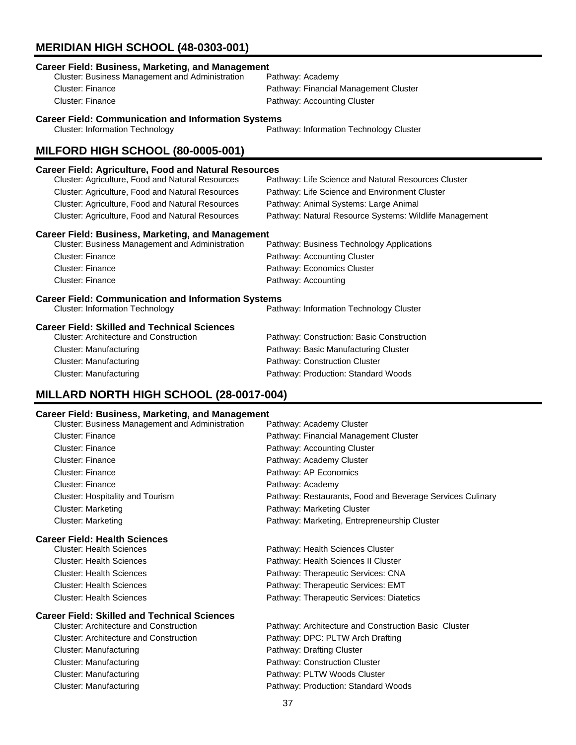# **MERIDIAN HIGH SCHOOL (48-0303-001)**

| <b>Career Field: Business, Marketing, and Management</b><br>Cluster: Business Management and Administration<br>Pathway: Academy |                                                        |  |
|---------------------------------------------------------------------------------------------------------------------------------|--------------------------------------------------------|--|
| Cluster: Finance                                                                                                                | Pathway: Financial Management Cluster                  |  |
| <b>Cluster: Finance</b>                                                                                                         | Pathway: Accounting Cluster                            |  |
|                                                                                                                                 |                                                        |  |
| <b>Career Field: Communication and Information Systems</b><br><b>Cluster: Information Technology</b>                            | Pathway: Information Technology Cluster                |  |
| MILFORD HIGH SCHOOL (80-0005-001)                                                                                               |                                                        |  |
| <b>Career Field: Agriculture, Food and Natural Resources</b>                                                                    |                                                        |  |
| Cluster: Agriculture, Food and Natural Resources                                                                                | Pathway: Life Science and Natural Resources Cluster    |  |
| Cluster: Agriculture, Food and Natural Resources                                                                                | Pathway: Life Science and Environment Cluster          |  |
| Cluster: Agriculture, Food and Natural Resources                                                                                | Pathway: Animal Systems: Large Animal                  |  |
| Cluster: Agriculture, Food and Natural Resources                                                                                | Pathway: Natural Resource Systems: Wildlife Management |  |
| <b>Career Field: Business, Marketing, and Management</b>                                                                        |                                                        |  |
| Cluster: Business Management and Administration                                                                                 | Pathway: Business Technology Applications              |  |
| Cluster: Finance                                                                                                                | Pathway: Accounting Cluster                            |  |
| <b>Cluster: Finance</b>                                                                                                         | Pathway: Economics Cluster                             |  |
| <b>Cluster: Finance</b>                                                                                                         | Pathway: Accounting                                    |  |
| <b>Career Field: Communication and Information Systems</b>                                                                      |                                                        |  |
| <b>Cluster: Information Technology</b>                                                                                          | Pathway: Information Technology Cluster                |  |
| <b>Career Field: Skilled and Technical Sciences</b>                                                                             |                                                        |  |
| <b>Cluster: Architecture and Construction</b>                                                                                   | Pathway: Construction: Basic Construction              |  |
| <b>Cluster: Manufacturing</b>                                                                                                   | Pathway: Basic Manufacturing Cluster                   |  |
| <b>Cluster: Manufacturing</b>                                                                                                   | Pathway: Construction Cluster                          |  |
| <b>Cluster: Manufacturing</b>                                                                                                   | Pathway: Production: Standard Woods                    |  |
| MILLARD NORTH HIGH SCHOOL (28-0017-004)                                                                                         |                                                        |  |

| <b>Career Field: Business, Marketing, and Management</b> |                                                           |  |
|----------------------------------------------------------|-----------------------------------------------------------|--|
| Cluster: Business Management and Administration          | Pathway: Academy Cluster                                  |  |
| <b>Cluster: Finance</b>                                  | Pathway: Financial Management Cluster                     |  |
| Cluster: Finance                                         | Pathway: Accounting Cluster                               |  |
| Cluster: Finance                                         | Pathway: Academy Cluster                                  |  |
| <b>Cluster: Finance</b>                                  | Pathway: AP Economics                                     |  |
| Cluster: Finance                                         | Pathway: Academy                                          |  |
| Cluster: Hospitality and Tourism                         | Pathway: Restaurants, Food and Beverage Services Culinary |  |
| <b>Cluster: Marketing</b>                                | Pathway: Marketing Cluster                                |  |
| <b>Cluster: Marketing</b>                                | Pathway: Marketing, Entrepreneurship Cluster              |  |
|                                                          |                                                           |  |

#### **Career Field: Health Sciences**

| <b>Cluster: Health Sciences</b> | Pathway: Health Sciences Cluster         |
|---------------------------------|------------------------------------------|
| <b>Cluster: Health Sciences</b> | Pathway: Health Sciences II Cluster      |
| <b>Cluster: Health Sciences</b> | Pathway: Therapeutic Services: CNA       |
| <b>Cluster: Health Sciences</b> | Pathway: Therapeutic Services: EMT       |
| <b>Cluster: Health Sciences</b> | Pathway: Therapeutic Services: Diatetics |

# **Career Field: Skilled and Technical Sciences**

| <b>Cluster: Architecture and Construction</b> | Pathway: Architecture and Construction Basic Cluster |
|-----------------------------------------------|------------------------------------------------------|
| <b>Cluster: Architecture and Construction</b> | Pathway: DPC: PLTW Arch Drafting                     |
| Cluster: Manufacturing                        | Pathway: Drafting Cluster                            |
| Cluster: Manufacturing                        | Pathway: Construction Cluster                        |
| Cluster: Manufacturing                        | Pathway: PLTW Woods Cluster                          |
| <b>Cluster: Manufacturing</b>                 | Pathway: Production: Standard Woods                  |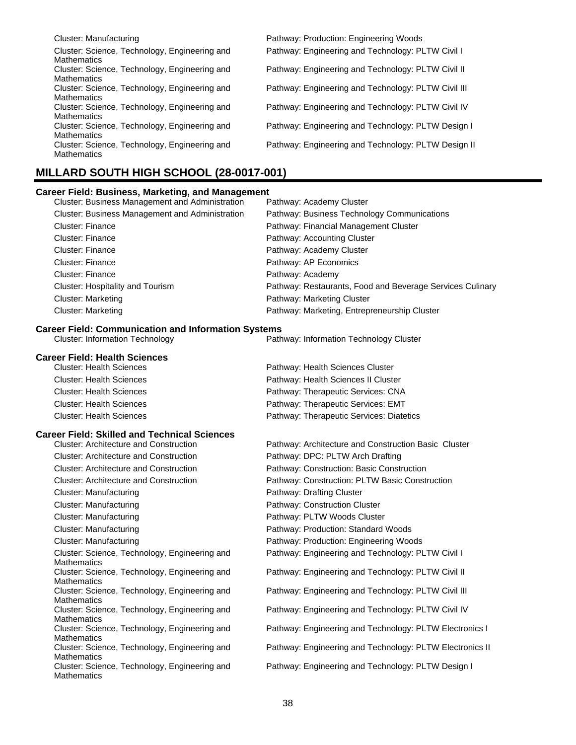| Cluster: Manufacturing                                              | Pathway: Production: Engineering Woods              |
|---------------------------------------------------------------------|-----------------------------------------------------|
| Cluster: Science, Technology, Engineering and<br><b>Mathematics</b> | Pathway: Engineering and Technology: PLTW Civil I   |
| Cluster: Science, Technology, Engineering and<br><b>Mathematics</b> | Pathway: Engineering and Technology: PLTW Civil II  |
| Cluster: Science, Technology, Engineering and<br><b>Mathematics</b> | Pathway: Engineering and Technology: PLTW Civil III |
| Cluster: Science, Technology, Engineering and<br><b>Mathematics</b> | Pathway: Engineering and Technology: PLTW Civil IV  |
| Cluster: Science, Technology, Engineering and<br><b>Mathematics</b> | Pathway: Engineering and Technology: PLTW Design I  |
| Cluster: Science, Technology, Engineering and<br><b>Mathematics</b> | Pathway: Engineering and Technology: PLTW Design II |

# **MILLARD SOUTH HIGH SCHOOL (28-0017-001)**

| <b>Career Field: Business, Marketing, and Management</b>                                             |                                                           |
|------------------------------------------------------------------------------------------------------|-----------------------------------------------------------|
| Cluster: Business Management and Administration                                                      | Pathway: Academy Cluster                                  |
| Cluster: Business Management and Administration                                                      | Pathway: Business Technology Communications               |
| <b>Cluster: Finance</b>                                                                              | Pathway: Financial Management Cluster                     |
| <b>Cluster: Finance</b>                                                                              | Pathway: Accounting Cluster                               |
| <b>Cluster: Finance</b>                                                                              | Pathway: Academy Cluster                                  |
| <b>Cluster: Finance</b>                                                                              | Pathway: AP Economics                                     |
| <b>Cluster: Finance</b>                                                                              | Pathway: Academy                                          |
| Cluster: Hospitality and Tourism                                                                     | Pathway: Restaurants, Food and Beverage Services Culinary |
| <b>Cluster: Marketing</b>                                                                            | Pathway: Marketing Cluster                                |
| Cluster: Marketing                                                                                   | Pathway: Marketing, Entrepreneurship Cluster              |
| <b>Career Field: Communication and Information Systems</b><br><b>Cluster: Information Technology</b> | Pathway: Information Technology Cluster                   |
| <b>Career Field: Health Sciences</b>                                                                 |                                                           |
| <b>Cluster: Health Sciences</b>                                                                      | Pathway: Health Sciences Cluster                          |
| <b>Cluster: Health Sciences</b>                                                                      | Pathway: Health Sciences II Cluster                       |
| <b>Cluster: Health Sciences</b>                                                                      | Pathway: Therapeutic Services: CNA                        |
| <b>Cluster: Health Sciences</b>                                                                      | Pathway: Therapeutic Services: EMT                        |
| <b>Cluster: Health Sciences</b>                                                                      | Pathway: Therapeutic Services: Diatetics                  |
| <b>Career Field: Skilled and Technical Sciences</b>                                                  |                                                           |
| <b>Cluster: Architecture and Construction</b>                                                        | Pathway: Architecture and Construction Basic Cluster      |
| <b>Cluster: Architecture and Construction</b>                                                        | Pathway: DPC: PLTW Arch Drafting                          |
| <b>Cluster: Architecture and Construction</b>                                                        | Pathway: Construction: Basic Construction                 |
| <b>Cluster: Architecture and Construction</b>                                                        | Pathway: Construction: PLTW Basic Construction            |
| Cluster: Manufacturing                                                                               | Pathway: Drafting Cluster                                 |
| <b>Cluster: Manufacturing</b>                                                                        | Pathway: Construction Cluster                             |
| Cluster: Manufacturing                                                                               | Pathway: PLTW Woods Cluster                               |
| <b>Cluster: Manufacturing</b>                                                                        | Pathway: Production: Standard Woods                       |
| Cluster: Manufacturing                                                                               | Pathway: Production: Engineering Woods                    |
| Cluster: Science, Technology, Engineering and<br><b>Mathematics</b>                                  | Pathway: Engineering and Technology: PLTW Civil I         |
| Cluster: Science, Technology, Engineering and<br><b>Mathematics</b>                                  | Pathway: Engineering and Technology: PLTW Civil II        |
| Cluster: Science, Technology, Engineering and<br><b>Mathematics</b>                                  | Pathway: Engineering and Technology: PLTW Civil III       |
| Cluster: Science, Technology, Engineering and<br><b>Mathematics</b>                                  | Pathway: Engineering and Technology: PLTW Civil IV        |
| Cluster: Science, Technology, Engineering and<br><b>Mathematics</b>                                  | Pathway: Engineering and Technology: PLTW Electronics I   |
| Cluster: Science, Technology, Engineering and<br><b>Mathematics</b>                                  | Pathway: Engineering and Technology: PLTW Electronics II  |
| Cluster: Science, Technology, Engineering and<br>Mathematics                                         | Pathway: Engineering and Technology: PLTW Design I        |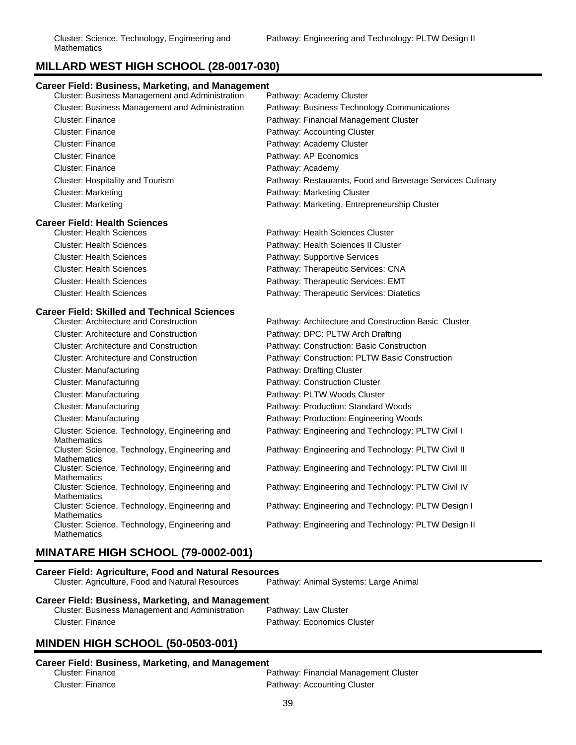# **MILLARD WEST HIGH SCHOOL (28-0017-030)**

| MILLARD WEST HIGH SCHOOL (28-0017-030)                              |                                                           |  |
|---------------------------------------------------------------------|-----------------------------------------------------------|--|
| <b>Career Field: Business, Marketing, and Management</b>            |                                                           |  |
| Cluster: Business Management and Administration                     | Pathway: Academy Cluster                                  |  |
| Cluster: Business Management and Administration                     | Pathway: Business Technology Communications               |  |
| <b>Cluster: Finance</b>                                             | Pathway: Financial Management Cluster                     |  |
| <b>Cluster: Finance</b>                                             | Pathway: Accounting Cluster                               |  |
| <b>Cluster: Finance</b>                                             | Pathway: Academy Cluster                                  |  |
| <b>Cluster: Finance</b>                                             | Pathway: AP Economics                                     |  |
| <b>Cluster: Finance</b>                                             | Pathway: Academy                                          |  |
| Cluster: Hospitality and Tourism                                    | Pathway: Restaurants, Food and Beverage Services Culinary |  |
| <b>Cluster: Marketing</b>                                           | Pathway: Marketing Cluster                                |  |
| <b>Cluster: Marketing</b>                                           | Pathway: Marketing, Entrepreneurship Cluster              |  |
| <b>Career Field: Health Sciences</b>                                |                                                           |  |
| <b>Cluster: Health Sciences</b>                                     | Pathway: Health Sciences Cluster                          |  |
| <b>Cluster: Health Sciences</b>                                     | Pathway: Health Sciences II Cluster                       |  |
| <b>Cluster: Health Sciences</b>                                     | Pathway: Supportive Services                              |  |
| <b>Cluster: Health Sciences</b>                                     | Pathway: Therapeutic Services: CNA                        |  |
| <b>Cluster: Health Sciences</b>                                     | Pathway: Therapeutic Services: EMT                        |  |
| <b>Cluster: Health Sciences</b>                                     | Pathway: Therapeutic Services: Diatetics                  |  |
| <b>Career Field: Skilled and Technical Sciences</b>                 |                                                           |  |
| <b>Cluster: Architecture and Construction</b>                       | Pathway: Architecture and Construction Basic Cluster      |  |
| <b>Cluster: Architecture and Construction</b>                       | Pathway: DPC: PLTW Arch Drafting                          |  |
| <b>Cluster: Architecture and Construction</b>                       | Pathway: Construction: Basic Construction                 |  |
| <b>Cluster: Architecture and Construction</b>                       | Pathway: Construction: PLTW Basic Construction            |  |
| <b>Cluster: Manufacturing</b>                                       | Pathway: Drafting Cluster                                 |  |
| <b>Cluster: Manufacturing</b>                                       | Pathway: Construction Cluster                             |  |
| <b>Cluster: Manufacturing</b>                                       | Pathway: PLTW Woods Cluster                               |  |
| <b>Cluster: Manufacturing</b>                                       | Pathway: Production: Standard Woods                       |  |
| <b>Cluster: Manufacturing</b>                                       | Pathway: Production: Engineering Woods                    |  |
| Cluster: Science, Technology, Engineering and<br><b>Mathematics</b> | Pathway: Engineering and Technology: PLTW Civil I         |  |
| Cluster: Science, Technology, Engineering and<br><b>Mathematics</b> | Pathway: Engineering and Technology: PLTW Civil II        |  |
| Cluster: Science, Technology, Engineering and<br>Mathematics        | Pathway: Engineering and Technology: PLTW Civil III       |  |
| Cluster: Science, Technology, Engineering and<br><b>Mathematics</b> | Pathway: Engineering and Technology: PLTW Civil IV        |  |
| Cluster: Science, Technology, Engineering and                       | Pathway: Engineering and Technology: PLTW Design I        |  |

# **MINATARE HIGH SCHOOL (79-0002-001)**

Cluster: Science, Technology, Engineering and

# **Career Field: Agriculture, Food and Natural Resources**

Cluster: Agriculture, Food and Natural Resources Pathway: Animal Systems: Large Animal

# **Career Field: Business, Marketing, and Management**

Cluster: Business Management and Administration Cluster: Finance **Pathway: Economics Cluster** 

# **MINDEN HIGH SCHOOL (50-0503-001)**

# **Career Field: Business, Marketing, and Management**

**Mathematics** 

**Mathematics** 

Pathway: Financial Management Cluster Cluster: Finance **Pathway: Accounting Cluster** 

Pathway: Engineering and Technology: PLTW Design II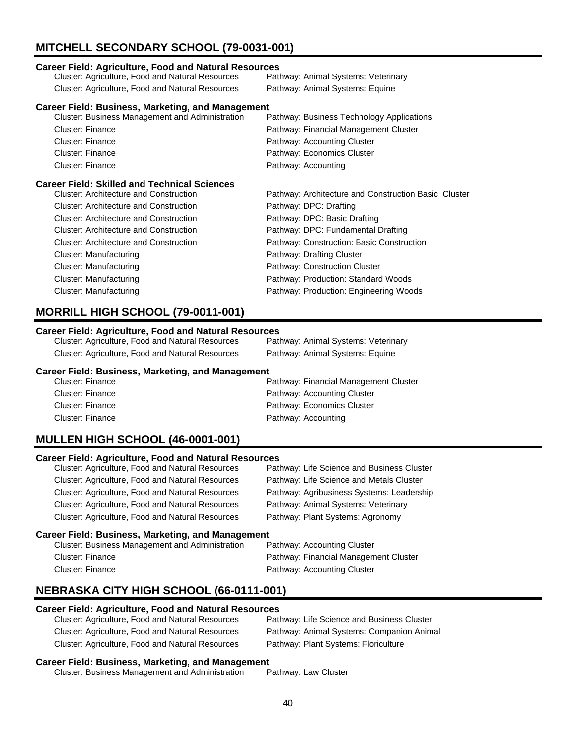# **MITCHELL SECONDARY SCHOOL (79-0031-001)**

#### **Career Field: Agriculture, Food and Natural Resources**

| Cluster: Agriculture, Food and Natural Resources         | Pathway: Animal Systems: Veterinary       |
|----------------------------------------------------------|-------------------------------------------|
| Cluster: Agriculture, Food and Natural Resources         | Pathway: Animal Systems: Equine           |
| <b>Career Field: Business, Marketing, and Management</b> |                                           |
| <b>Cluster: Business Management and Administration</b>   | Pathway: Business Technology Applications |
| <b>Cluster: Finance</b>                                  | Pathway: Financial Management Cluster     |
| Cluster: Finance                                         | Pathway: Accounting Cluster               |
| Cluster: Finance                                         | Pathway: Economics Cluster                |
| Cluster: Finance                                         | Pathway: Accounting                       |

#### **Career Field: Skilled and Technical Sciences**

| arvor i iviu. Onincu anu Tconnicui Ocichoco   |                                                      |
|-----------------------------------------------|------------------------------------------------------|
| <b>Cluster: Architecture and Construction</b> | Pathway: Architecture and Construction Basic Cluster |
| <b>Cluster: Architecture and Construction</b> | Pathway: DPC: Drafting                               |
| Cluster: Architecture and Construction        | Pathway: DPC: Basic Drafting                         |
| Cluster: Architecture and Construction        | Pathway: DPC: Fundamental Drafting                   |
| <b>Cluster: Architecture and Construction</b> | Pathway: Construction: Basic Construction            |
| Cluster: Manufacturing                        | Pathway: Drafting Cluster                            |
| Cluster: Manufacturing                        | Pathway: Construction Cluster                        |
| <b>Cluster: Manufacturing</b>                 | Pathway: Production: Standard Woods                  |
| Cluster: Manufacturing                        | Pathway: Production: Engineering Woods               |
|                                               |                                                      |

# **MORRILL HIGH SCHOOL (79-0011-001)**

#### **Career Field: Agriculture, Food and Natural Resources**

| Cluster: Agriculture, Food and Natural Resources | Pathway: Animal Systems: Veterinary |
|--------------------------------------------------|-------------------------------------|
| Cluster: Agriculture, Food and Natural Resources | Pathway: Animal Systems: Equine     |

#### **Career Field: Business, Marketing, and Management**

| Cluster: Finance | Pathway: Financial Management Cluster |
|------------------|---------------------------------------|
| Cluster: Finance | Pathway: Accounting Cluster           |
| Cluster: Finance | Pathway: Economics Cluster            |
| Cluster: Finance | Pathway: Accounting                   |

# **MULLEN HIGH SCHOOL (46-0001-001)**

#### **Career Field: Agriculture, Food and Natural Resources**

| Cluster: Agriculture, Food and Natural Resources | Pathway: Life Science and Business Cluster |
|--------------------------------------------------|--------------------------------------------|
| Cluster: Agriculture, Food and Natural Resources | Pathway: Life Science and Metals Cluster   |
| Cluster: Agriculture, Food and Natural Resources | Pathway: Agribusiness Systems: Leadership  |
| Cluster: Agriculture, Food and Natural Resources | Pathway: Animal Systems: Veterinary        |
| Cluster: Agriculture, Food and Natural Resources | Pathway: Plant Systems: Agronomy           |
|                                                  |                                            |

#### **Career Field: Business, Marketing, and Management**

| Cluster: Business Management and Administration | Pathway: Accounting Cluster           |
|-------------------------------------------------|---------------------------------------|
| Cluster: Finance                                | Pathway: Financial Management Cluster |
| Cluster: Finance                                | Pathway: Accounting Cluster           |

# **NEBRASKA CITY HIGH SCHOOL (66-0111-001)**

#### **Career Field: Agriculture, Food and Natural Resources**

| Cluster: Agriculture, Food and Natural Resources        | Pathway: Life Science and Business Cluster |
|---------------------------------------------------------|--------------------------------------------|
| <b>Cluster: Agriculture, Food and Natural Resources</b> | Pathway: Animal Systems: Companion Animal  |
| <b>Cluster: Agriculture, Food and Natural Resources</b> | Pathway: Plant Systems: Floriculture       |

#### **Career Field: Business, Marketing, and Management**

|                                                 | _____ |                      |
|-------------------------------------------------|-------|----------------------|
| Cluster: Business Management and Administration |       | Pathway: Law Cluster |
|                                                 |       |                      |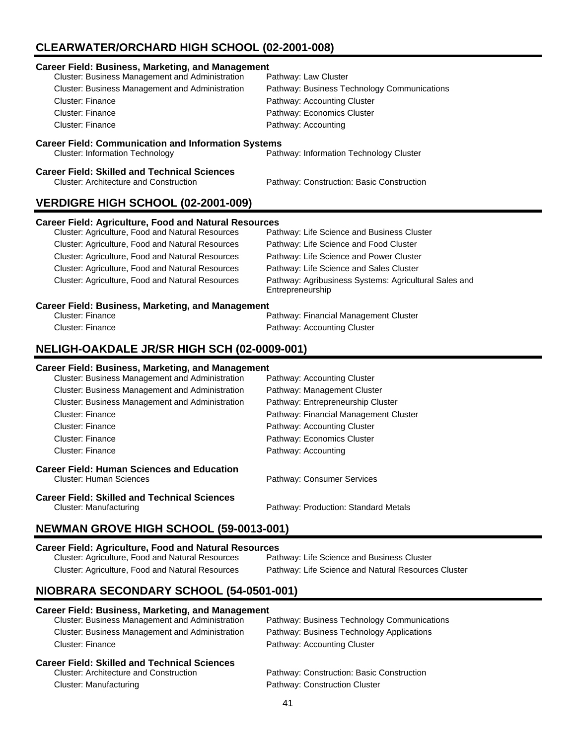# **CLEARWATER/ORCHARD HIGH SCHOOL (02-2001-008)**

| <b>Career Field: Business, Marketing, and Management</b>                                             |                                                                           |
|------------------------------------------------------------------------------------------------------|---------------------------------------------------------------------------|
| Cluster: Business Management and Administration                                                      | Pathway: Law Cluster                                                      |
| <b>Cluster: Business Management and Administration</b>                                               | Pathway: Business Technology Communications                               |
| Cluster: Finance                                                                                     | Pathway: Accounting Cluster                                               |
| <b>Cluster: Finance</b>                                                                              | Pathway: Economics Cluster                                                |
| <b>Cluster: Finance</b>                                                                              | Pathway: Accounting                                                       |
| <b>Career Field: Communication and Information Systems</b>                                           |                                                                           |
| <b>Cluster: Information Technology</b>                                                               | Pathway: Information Technology Cluster                                   |
| <b>Career Field: Skilled and Technical Sciences</b><br><b>Cluster: Architecture and Construction</b> | Pathway: Construction: Basic Construction                                 |
| VERDIGRE HIGH SCHOOL (02-2001-009)                                                                   |                                                                           |
|                                                                                                      |                                                                           |
| <b>Career Field: Agriculture, Food and Natural Resources</b>                                         |                                                                           |
| Cluster: Agriculture, Food and Natural Resources                                                     | Pathway: Life Science and Business Cluster                                |
| Cluster: Agriculture, Food and Natural Resources                                                     | Pathway: Life Science and Food Cluster                                    |
| Cluster: Agriculture, Food and Natural Resources                                                     | Pathway: Life Science and Power Cluster                                   |
| Cluster: Agriculture, Food and Natural Resources                                                     | Pathway: Life Science and Sales Cluster                                   |
| Cluster: Agriculture, Food and Natural Resources                                                     | Pathway: Agribusiness Systems: Agricultural Sales and<br>Entrepreneurship |
| <b>Career Field: Business, Marketing, and Management</b>                                             |                                                                           |
| <b>Cluster: Finance</b>                                                                              | Pathway: Financial Management Cluster                                     |
| <b>Cluster: Finance</b>                                                                              | Pathway: Accounting Cluster                                               |
| <b>NELIGH-OAKDALE JR/SR HIGH SCH (02-0009-001)</b>                                                   |                                                                           |

| <u>varcer i iciu. Dusincss, marketing, anu management</u><br><b>Cluster: Business Management and Administration</b> | Pathway: Accounting Cluster           |
|---------------------------------------------------------------------------------------------------------------------|---------------------------------------|
| <b>Cluster: Business Management and Administration</b>                                                              | Pathway: Management Cluster           |
| <b>Cluster: Business Management and Administration</b>                                                              | Pathway: Entrepreneurship Cluster     |
| Cluster: Finance                                                                                                    | Pathway: Financial Management Cluster |
| Cluster: Finance                                                                                                    | Pathway: Accounting Cluster           |
| Cluster: Finance                                                                                                    | Pathway: Economics Cluster            |
| Cluster: Finance                                                                                                    | Pathway: Accounting                   |
| Career Field: Human Sciences and Education<br>Cluster: Human Sciences                                               | Pathway: Consumer Services            |
| Career Field: Skilled and Technical Sciences<br>Cluster: Manufacturing                                              | Pathway: Production: Standard Metals  |
|                                                                                                                     |                                       |

# **NEWMAN GROVE HIGH SCHOOL (59-0013-001)**

# **Career Field: Agriculture, Food and Natural Resources**

Cluster: Agriculture, Food and Natural Resources Cluster: Agriculture, Food and Natural Resources Pathway: Life Science and Natural Resources Cluster

# **NIOBRARA SECONDARY SCHOOL (54-0501-001)**

| <b>Career Field: Business, Marketing, and Management</b> |                                             |
|----------------------------------------------------------|---------------------------------------------|
| Cluster: Business Management and Administration          | Pathway: Business Technology Communications |
| <b>Cluster: Business Management and Administration</b>   | Pathway: Business Technology Applications   |
| Cluster: Finance                                         | Pathway: Accounting Cluster                 |
| <b>Career Field: Skilled and Technical Sciences</b>      |                                             |
| <b>Cluster: Architecture and Construction</b>            | Pathway: Construction: Basic Construction   |
| Cluster: Manufacturing                                   | Pathway: Construction Cluster               |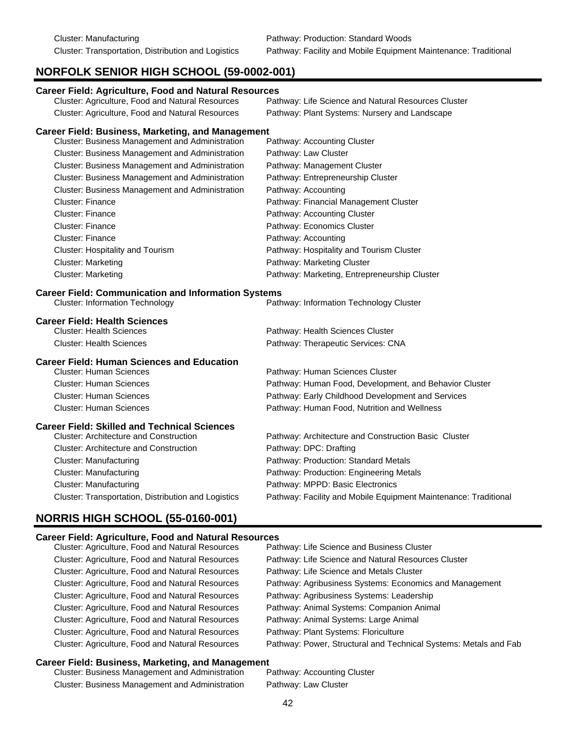# **NORFOLK SENIOR HIGH SCHOOL (59-0002-001)**

| <b>Career Field: Agriculture, Food and Natural Resources</b><br>Cluster: Agriculture, Food and Natural Resources | Pathway: Life Science and Natural Resources Cluster             |  |
|------------------------------------------------------------------------------------------------------------------|-----------------------------------------------------------------|--|
| Cluster: Agriculture, Food and Natural Resources                                                                 | Pathway: Plant Systems: Nursery and Landscape                   |  |
|                                                                                                                  |                                                                 |  |
| <b>Career Field: Business, Marketing, and Management</b>                                                         |                                                                 |  |
| Cluster: Business Management and Administration                                                                  | Pathway: Accounting Cluster                                     |  |
| Cluster: Business Management and Administration                                                                  | Pathway: Law Cluster                                            |  |
| Cluster: Business Management and Administration                                                                  | Pathway: Management Cluster                                     |  |
| Cluster: Business Management and Administration                                                                  | Pathway: Entrepreneurship Cluster                               |  |
| Cluster: Business Management and Administration                                                                  | Pathway: Accounting                                             |  |
| Cluster: Finance                                                                                                 | Pathway: Financial Management Cluster                           |  |
| <b>Cluster: Finance</b>                                                                                          | Pathway: Accounting Cluster                                     |  |
| Cluster: Finance                                                                                                 | Pathway: Economics Cluster                                      |  |
| Cluster: Finance                                                                                                 | Pathway: Accounting                                             |  |
| Cluster: Hospitality and Tourism                                                                                 | Pathway: Hospitality and Tourism Cluster                        |  |
| <b>Cluster: Marketing</b>                                                                                        | Pathway: Marketing Cluster                                      |  |
| <b>Cluster: Marketing</b>                                                                                        | Pathway: Marketing, Entrepreneurship Cluster                    |  |
| <b>Career Field: Communication and Information Systems</b><br><b>Cluster: Information Technology</b>             | Pathway: Information Technology Cluster                         |  |
| <b>Career Field: Health Sciences</b>                                                                             |                                                                 |  |
| <b>Cluster: Health Sciences</b>                                                                                  | Pathway: Health Sciences Cluster                                |  |
| <b>Cluster: Health Sciences</b>                                                                                  | Pathway: Therapeutic Services: CNA                              |  |
| <b>Career Field: Human Sciences and Education</b>                                                                |                                                                 |  |
| <b>Cluster: Human Sciences</b>                                                                                   | Pathway: Human Sciences Cluster                                 |  |
| <b>Cluster: Human Sciences</b>                                                                                   | Pathway: Human Food, Development, and Behavior Cluster          |  |
| <b>Cluster: Human Sciences</b>                                                                                   | Pathway: Early Childhood Development and Services               |  |
| <b>Cluster: Human Sciences</b>                                                                                   | Pathway: Human Food, Nutrition and Wellness                     |  |
| <b>Career Field: Skilled and Technical Sciences</b>                                                              |                                                                 |  |
| <b>Cluster: Architecture and Construction</b>                                                                    | Pathway: Architecture and Construction Basic Cluster            |  |
| <b>Cluster: Architecture and Construction</b>                                                                    | Pathway: DPC: Drafting                                          |  |
| <b>Cluster: Manufacturing</b>                                                                                    | Pathway: Production: Standard Metals                            |  |
| <b>Cluster: Manufacturing</b>                                                                                    | Pathway: Production: Engineering Metals                         |  |
| <b>Cluster: Manufacturing</b>                                                                                    | Pathway: MPPD: Basic Electronics                                |  |
| Cluster: Transportation, Distribution and Logistics                                                              | Pathway: Facility and Mobile Equipment Maintenance: Traditional |  |
| <b>NORRIS HIGH SCHOOL (55-0160-001)</b>                                                                          |                                                                 |  |
|                                                                                                                  |                                                                 |  |

#### **Career Field: Agriculture, Food and Natural Resources**

| Cluster: Agriculture, Food and Natural Resources | Pathway: Life Science and Business Cluster                       |
|--------------------------------------------------|------------------------------------------------------------------|
| Cluster: Agriculture, Food and Natural Resources | Pathway: Life Science and Natural Resources Cluster              |
| Cluster: Agriculture, Food and Natural Resources | Pathway: Life Science and Metals Cluster                         |
| Cluster: Agriculture, Food and Natural Resources | Pathway: Agribusiness Systems: Economics and Management          |
| Cluster: Agriculture, Food and Natural Resources | Pathway: Agribusiness Systems: Leadership                        |
| Cluster: Agriculture, Food and Natural Resources | Pathway: Animal Systems: Companion Animal                        |
| Cluster: Agriculture, Food and Natural Resources | Pathway: Animal Systems: Large Animal                            |
| Cluster: Agriculture, Food and Natural Resources | Pathway: Plant Systems: Floriculture                             |
| Cluster: Agriculture, Food and Natural Resources | Pathway: Power, Structural and Technical Systems: Metals and Fab |
|                                                  |                                                                  |

#### **Career Field: Business, Marketing, and Management**

Cluster: Business Management and Administration Pathway: Accounting Cluster Cluster: Business Management and Administration Pathway: Law Cluster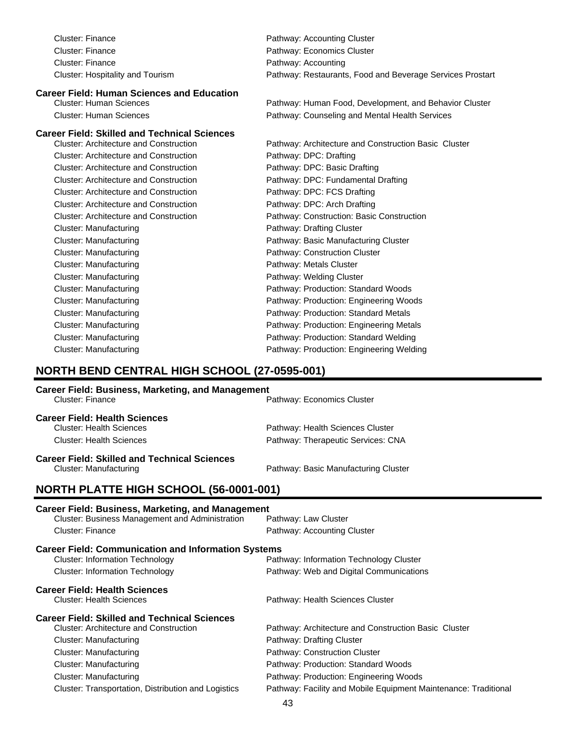| <b>Cluster: Finance</b>                             | Pathway: Accounting Cluster                               |
|-----------------------------------------------------|-----------------------------------------------------------|
| <b>Cluster: Finance</b>                             | Pathway: Economics Cluster                                |
| <b>Cluster: Finance</b>                             | Pathway: Accounting                                       |
| <b>Cluster: Hospitality and Tourism</b>             | Pathway: Restaurants, Food and Beverage Services Prostart |
| <b>Career Field: Human Sciences and Education</b>   |                                                           |
| <b>Cluster: Human Sciences</b>                      | Pathway: Human Food, Development, and Behavior Cluster    |
| <b>Cluster: Human Sciences</b>                      | Pathway: Counseling and Mental Health Services            |
| <b>Career Field: Skilled and Technical Sciences</b> |                                                           |
| <b>Cluster: Architecture and Construction</b>       | Pathway: Architecture and Construction Basic Cluster      |
| <b>Cluster: Architecture and Construction</b>       | Pathway: DPC: Drafting                                    |
| <b>Cluster: Architecture and Construction</b>       | Pathway: DPC: Basic Drafting                              |
| <b>Cluster: Architecture and Construction</b>       | Pathway: DPC: Fundamental Drafting                        |
| <b>Cluster: Architecture and Construction</b>       | Pathway: DPC: FCS Drafting                                |
| <b>Cluster: Architecture and Construction</b>       | Pathway: DPC: Arch Drafting                               |
| <b>Cluster: Architecture and Construction</b>       | Pathway: Construction: Basic Construction                 |
| <b>Cluster: Manufacturing</b>                       | Pathway: Drafting Cluster                                 |
| <b>Cluster: Manufacturing</b>                       | Pathway: Basic Manufacturing Cluster                      |
| <b>Cluster: Manufacturing</b>                       | Pathway: Construction Cluster                             |
| <b>Cluster: Manufacturing</b>                       | Pathway: Metals Cluster                                   |
| <b>Cluster: Manufacturing</b>                       | Pathway: Welding Cluster                                  |
| <b>Cluster: Manufacturing</b>                       | Pathway: Production: Standard Woods                       |
| <b>Cluster: Manufacturing</b>                       | Pathway: Production: Engineering Woods                    |
| <b>Cluster: Manufacturing</b>                       | Pathway: Production: Standard Metals                      |
| <b>Cluster: Manufacturing</b>                       | Pathway: Production: Engineering Metals                   |
| <b>Cluster: Manufacturing</b>                       | Pathway: Production: Standard Welding                     |
| <b>Cluster: Manufacturing</b>                       | Pathway: Production: Engineering Welding                  |
|                                                     |                                                           |

# **NORTH BEND CENTRAL HIGH SCHOOL (27-0595-001)**

#### **Career Field: Business, Marketing, and Management**

| Cluster: Finance                                                                                                                                                                                                                         | Pathway: Economics Cluster                                                                                                                                                                          |
|------------------------------------------------------------------------------------------------------------------------------------------------------------------------------------------------------------------------------------------|-----------------------------------------------------------------------------------------------------------------------------------------------------------------------------------------------------|
| <b>Career Field: Health Sciences</b><br><b>Cluster: Health Sciences</b><br><b>Cluster: Health Sciences</b>                                                                                                                               | Pathway: Health Sciences Cluster<br>Pathway: Therapeutic Services: CNA                                                                                                                              |
| <b>Career Field: Skilled and Technical Sciences</b><br><b>Cluster: Manufacturing</b>                                                                                                                                                     | Pathway: Basic Manufacturing Cluster                                                                                                                                                                |
| <b>NORTH PLATTE HIGH SCHOOL (56-0001-001)</b>                                                                                                                                                                                            |                                                                                                                                                                                                     |
| <b>Career Field: Business, Marketing, and Management</b><br>Cluster: Business Management and Administration<br><b>Cluster: Finance</b>                                                                                                   | Pathway: Law Cluster<br>Pathway: Accounting Cluster                                                                                                                                                 |
| <b>Career Field: Communication and Information Systems</b><br><b>Cluster: Information Technology</b><br><b>Cluster: Information Technology</b>                                                                                           | Pathway: Information Technology Cluster<br>Pathway: Web and Digital Communications                                                                                                                  |
| <b>Career Field: Health Sciences</b><br><b>Cluster: Health Sciences</b>                                                                                                                                                                  | Pathway: Health Sciences Cluster                                                                                                                                                                    |
| <b>Career Field: Skilled and Technical Sciences</b><br><b>Cluster: Architecture and Construction</b><br><b>Cluster: Manufacturing</b><br><b>Cluster: Manufacturing</b><br><b>Cluster: Manufacturing</b><br><b>Cluster: Manufacturing</b> | Pathway: Architecture and Construction Basic Cluster<br>Pathway: Drafting Cluster<br>Pathway: Construction Cluster<br>Pathway: Production: Standard Woods<br>Pathway: Production: Engineering Woods |
| Cluster: Transportation, Distribution and Logistics                                                                                                                                                                                      | Pathway: Facility and Mobile Equipment Maintenance: Traditional                                                                                                                                     |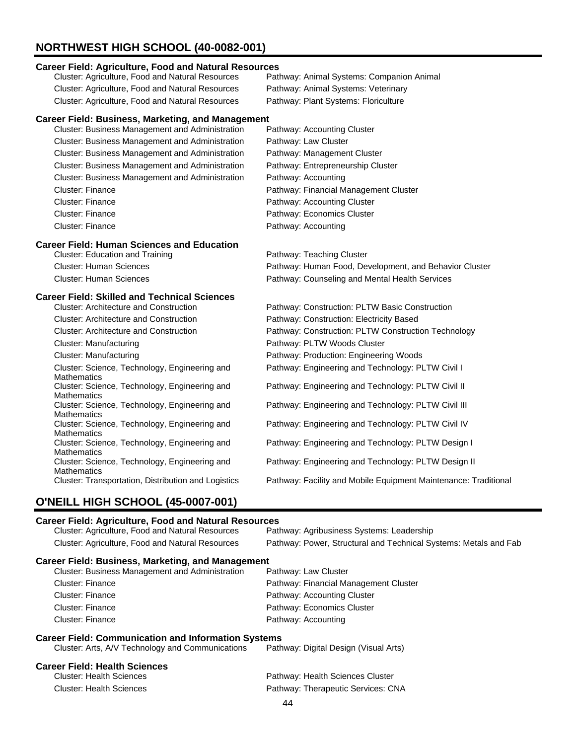# **NORTHWEST HIGH SCHOOL (40-0082-001)**

#### **Career Field: Agriculture, Food and Natural Resources**

| Cluster: Agriculture, Food and Natural Resources                    | Pathway: Animal Systems: Companion Animal                       |
|---------------------------------------------------------------------|-----------------------------------------------------------------|
| Cluster: Agriculture, Food and Natural Resources                    | Pathway: Animal Systems: Veterinary                             |
| Cluster: Agriculture, Food and Natural Resources                    | Pathway: Plant Systems: Floriculture                            |
| <b>Career Field: Business, Marketing, and Management</b>            |                                                                 |
| Cluster: Business Management and Administration                     | Pathway: Accounting Cluster                                     |
| Cluster: Business Management and Administration                     | Pathway: Law Cluster                                            |
| Cluster: Business Management and Administration                     | Pathway: Management Cluster                                     |
| Cluster: Business Management and Administration                     | Pathway: Entrepreneurship Cluster                               |
| Cluster: Business Management and Administration                     | Pathway: Accounting                                             |
| <b>Cluster: Finance</b>                                             | Pathway: Financial Management Cluster                           |
| <b>Cluster: Finance</b>                                             | Pathway: Accounting Cluster                                     |
| <b>Cluster: Finance</b>                                             | Pathway: Economics Cluster                                      |
| <b>Cluster: Finance</b>                                             | Pathway: Accounting                                             |
| <b>Career Field: Human Sciences and Education</b>                   |                                                                 |
| <b>Cluster: Education and Training</b>                              | Pathway: Teaching Cluster                                       |
| <b>Cluster: Human Sciences</b>                                      | Pathway: Human Food, Development, and Behavior Cluster          |
| <b>Cluster: Human Sciences</b>                                      | Pathway: Counseling and Mental Health Services                  |
| <b>Career Field: Skilled and Technical Sciences</b>                 |                                                                 |
| <b>Cluster: Architecture and Construction</b>                       | Pathway: Construction: PLTW Basic Construction                  |
| <b>Cluster: Architecture and Construction</b>                       | Pathway: Construction: Electricity Based                        |
| <b>Cluster: Architecture and Construction</b>                       | Pathway: Construction: PLTW Construction Technology             |
| <b>Cluster: Manufacturing</b>                                       | Pathway: PLTW Woods Cluster                                     |
| <b>Cluster: Manufacturing</b>                                       | Pathway: Production: Engineering Woods                          |
| Cluster: Science, Technology, Engineering and<br><b>Mathematics</b> | Pathway: Engineering and Technology: PLTW Civil I               |
| Cluster: Science, Technology, Engineering and<br><b>Mathematics</b> | Pathway: Engineering and Technology: PLTW Civil II              |
| Cluster: Science, Technology, Engineering and<br><b>Mathematics</b> | Pathway: Engineering and Technology: PLTW Civil III             |
| Cluster: Science, Technology, Engineering and<br><b>Mathematics</b> | Pathway: Engineering and Technology: PLTW Civil IV              |
| Cluster: Science, Technology, Engineering and<br><b>Mathematics</b> | Pathway: Engineering and Technology: PLTW Design I              |
| Cluster: Science, Technology, Engineering and<br><b>Mathematics</b> | Pathway: Engineering and Technology: PLTW Design II             |
| Cluster: Transportation, Distribution and Logistics                 | Pathway: Facility and Mobile Equipment Maintenance: Traditional |

# **O'NEILL HIGH SCHOOL (45-0007-001)**

#### **Career Field: Agriculture, Food and Natural Resources**

| Cluster: Agriculture, Food and Natural Resources                                                               | Pathway: Agribusiness Systems: Leadership                        |
|----------------------------------------------------------------------------------------------------------------|------------------------------------------------------------------|
| Cluster: Agriculture, Food and Natural Resources                                                               | Pathway: Power, Structural and Technical Systems: Metals and Fab |
| <b>Career Field: Business, Marketing, and Management</b>                                                       |                                                                  |
| <b>Cluster: Business Management and Administration</b>                                                         | Pathway: Law Cluster                                             |
| Cluster: Finance                                                                                               | Pathway: Financial Management Cluster                            |
| Cluster: Finance                                                                                               | Pathway: Accounting Cluster                                      |
| Cluster: Finance                                                                                               | Pathway: Economics Cluster                                       |
| Cluster: Finance                                                                                               | Pathway: Accounting                                              |
| <b>Career Field: Communication and Information Systems</b><br>Cluster: Arts, A/V Technology and Communications | Pathway: Digital Design (Visual Arts)                            |
|                                                                                                                |                                                                  |

#### **Career Field: Health Sciences**

| <b>Cluster: Health Sciences</b> | Pathway: Health Sciences Cluster   |
|---------------------------------|------------------------------------|
| Cluster: Health Sciences        | Pathway: Therapeutic Services: CNA |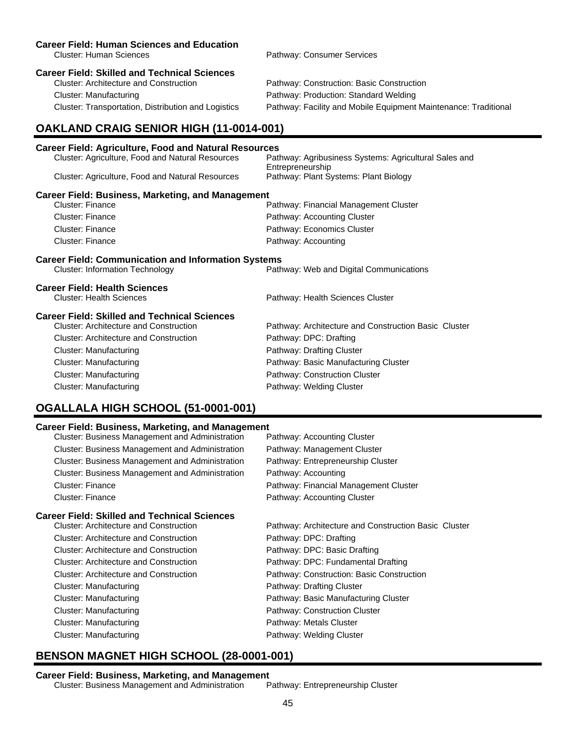#### **Career Field: Human Sciences and Education**

# **Career Field: Skilled and Technical Sciences**

Cluster: Manufacturing Pathway: Production: Standard Welding

Cluster: Human Sciences Pathway: Consumer Services

Pathway: Construction: Basic Construction Cluster: Transportation, Distribution and Logistics Pathway: Facility and Mobile Equipment Maintenance: Traditional

# **OAKLAND CRAIG SENIOR HIGH (11-0014-001)**

#### **Career Field: Agriculture, Food and Natural Resources** Cluster: Agriculture, Food and Natural Resources

| Cluster. Agriculture, I Ocu anu Natural Resources          | i aliiway. Aylibusiiless Oysteriis. Aylicultural Oales ahu<br>Entrepreneurship |
|------------------------------------------------------------|--------------------------------------------------------------------------------|
| Cluster: Agriculture, Food and Natural Resources           | Pathway: Plant Systems: Plant Biology                                          |
| <b>Career Field: Business, Marketing, and Management</b>   |                                                                                |
| Cluster: Finance                                           | Pathway: Financial Management Cluster                                          |
| Cluster: Finance                                           | Pathway: Accounting Cluster                                                    |
| Cluster: Finance                                           | Pathway: Economics Cluster                                                     |
| Cluster: Finance                                           | Pathway: Accounting                                                            |
| <b>Career Field: Communication and Information Systems</b> |                                                                                |
| <b>Cluster: Information Technology</b>                     | Pathway: Web and Digital Communications                                        |
| <b>Career Field: Health Sciences</b>                       |                                                                                |
| <b>Cluster: Health Sciences</b>                            | Pathway: Health Sciences Cluster                                               |

#### **Career Field: Skilled and Technical Sciences**

| arcci i iciu. Onilicu anu Tcumiual Ouichucs   |                                                      |
|-----------------------------------------------|------------------------------------------------------|
| Cluster: Architecture and Construction        | Pathway: Architecture and Construction Basic Cluster |
| <b>Cluster: Architecture and Construction</b> | Pathway: DPC: Drafting                               |
| Cluster: Manufacturing                        | Pathway: Drafting Cluster                            |
| Cluster: Manufacturing                        | Pathway: Basic Manufacturing Cluster                 |
| Cluster: Manufacturing                        | Pathway: Construction Cluster                        |
| Cluster: Manufacturing                        | Pathway: Welding Cluster                             |
|                                               |                                                      |

# **OGALLALA HIGH SCHOOL (51-0001-001)**

#### **Career Field: Business, Marketing, and Management**

| Cluster: Business Management and Administration        | Pathway: Accounting Cluster                          |
|--------------------------------------------------------|------------------------------------------------------|
| Cluster: Business Management and Administration        | Pathway: Management Cluster                          |
| <b>Cluster: Business Management and Administration</b> | Pathway: Entrepreneurship Cluster                    |
| Cluster: Business Management and Administration        | Pathway: Accounting                                  |
| Cluster: Finance                                       | Pathway: Financial Management Cluster                |
| Cluster: Finance                                       | Pathway: Accounting Cluster                          |
| <b>Career Field: Skilled and Technical Sciences</b>    |                                                      |
| Cluster: Architecture and Construction                 | Pathway: Architecture and Construction Basic Cluster |
| Cluster: Architecture and Construction                 | Pathway: DPC: Drafting                               |
| Cluster: Architecture and Construction                 | Pathway: DPC: Basic Drafting                         |
| Cluster: Architecture and Construction                 | Pathway: DPC: Fundamental Drafting                   |
| Cluster: Architecture and Construction                 | Pathway: Construction: Basic Construction            |
| Cluster: Manufacturing                                 | Pathway: Drafting Cluster                            |
| Cluster: Manufacturing                                 | Pathway: Basic Manufacturing Cluster                 |
| Cluster: Manufacturing                                 | Pathway: Construction Cluster                        |
| Cluster: Manufacturing                                 | Pathway: Metals Cluster                              |
| Cluster: Manufacturing                                 | Pathway: Welding Cluster                             |
|                                                        |                                                      |

# **BENSON MAGNET HIGH SCHOOL (28-0001-001)**

#### **Career Field: Business, Marketing, and Management**

Cluster: Business Management and Administration Pathway: Entrepreneurship Cluster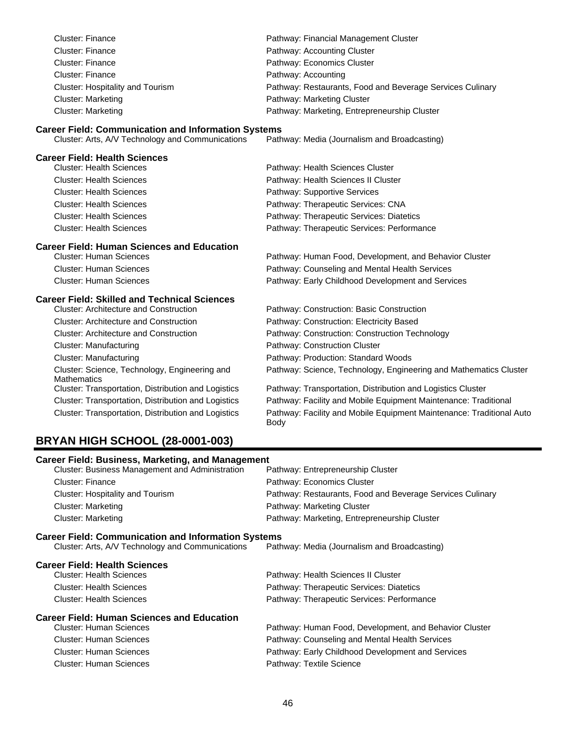| <b>Cluster: Finance</b>                                             | Pathway: Financial Management Cluster                                        |
|---------------------------------------------------------------------|------------------------------------------------------------------------------|
| <b>Cluster: Finance</b>                                             | Pathway: Accounting Cluster                                                  |
| <b>Cluster: Finance</b>                                             | Pathway: Economics Cluster                                                   |
| <b>Cluster: Finance</b>                                             | Pathway: Accounting                                                          |
| Cluster: Hospitality and Tourism                                    | Pathway: Restaurants, Food and Beverage Services Culinary                    |
| <b>Cluster: Marketing</b>                                           | Pathway: Marketing Cluster                                                   |
| <b>Cluster: Marketing</b>                                           | Pathway: Marketing, Entrepreneurship Cluster                                 |
| <b>Career Field: Communication and Information Systems</b>          |                                                                              |
| Cluster: Arts, A/V Technology and Communications                    | Pathway: Media (Journalism and Broadcasting)                                 |
| <b>Career Field: Health Sciences</b>                                |                                                                              |
| <b>Cluster: Health Sciences</b>                                     | Pathway: Health Sciences Cluster                                             |
| <b>Cluster: Health Sciences</b>                                     | Pathway: Health Sciences II Cluster                                          |
| <b>Cluster: Health Sciences</b>                                     | Pathway: Supportive Services                                                 |
| <b>Cluster: Health Sciences</b>                                     | Pathway: Therapeutic Services: CNA                                           |
| <b>Cluster: Health Sciences</b>                                     | Pathway: Therapeutic Services: Diatetics                                     |
| <b>Cluster: Health Sciences</b>                                     | Pathway: Therapeutic Services: Performance                                   |
| <b>Career Field: Human Sciences and Education</b>                   |                                                                              |
| <b>Cluster: Human Sciences</b>                                      | Pathway: Human Food, Development, and Behavior Cluster                       |
| <b>Cluster: Human Sciences</b>                                      | Pathway: Counseling and Mental Health Services                               |
| <b>Cluster: Human Sciences</b>                                      | Pathway: Early Childhood Development and Services                            |
| <b>Career Field: Skilled and Technical Sciences</b>                 |                                                                              |
| <b>Cluster: Architecture and Construction</b>                       | Pathway: Construction: Basic Construction                                    |
| <b>Cluster: Architecture and Construction</b>                       | Pathway: Construction: Electricity Based                                     |
| <b>Cluster: Architecture and Construction</b>                       | Pathway: Construction: Construction Technology                               |
| <b>Cluster: Manufacturing</b>                                       | Pathway: Construction Cluster                                                |
| <b>Cluster: Manufacturing</b>                                       | Pathway: Production: Standard Woods                                          |
| Cluster: Science, Technology, Engineering and<br><b>Mathematics</b> | Pathway: Science, Technology, Engineering and Mathematics Cluster            |
| Cluster: Transportation, Distribution and Logistics                 | Pathway: Transportation, Distribution and Logistics Cluster                  |
| Cluster: Transportation, Distribution and Logistics                 | Pathway: Facility and Mobile Equipment Maintenance: Traditional              |
| Cluster: Transportation, Distribution and Logistics                 | Pathway: Facility and Mobile Equipment Maintenance: Traditional Auto<br>Body |

# **BRYAN HIGH SCHOOL (28-0001-003)**

| <b>Career Field: Business, Marketing, and Management</b>   |  |  |
|------------------------------------------------------------|--|--|
| Pathway: Entrepreneurship Cluster                          |  |  |
| Pathway: Economics Cluster                                 |  |  |
| Pathway: Restaurants, Food and Beverage Services Culinary  |  |  |
| Pathway: Marketing Cluster                                 |  |  |
| Pathway: Marketing, Entrepreneurship Cluster               |  |  |
| <b>Career Field: Communication and Information Systems</b> |  |  |
| Pathway: Media (Journalism and Broadcasting)               |  |  |
|                                                            |  |  |
| Pathway: Health Sciences II Cluster                        |  |  |
| Pathway: Therapeutic Services: Diatetics                   |  |  |
| Pathway: Therapeutic Services: Performance                 |  |  |
|                                                            |  |  |
| Pathway: Human Food, Development, and Behavior Cluster     |  |  |
| Pathway: Counseling and Mental Health Services             |  |  |
|                                                            |  |  |
| Pathway: Early Childhood Development and Services          |  |  |
|                                                            |  |  |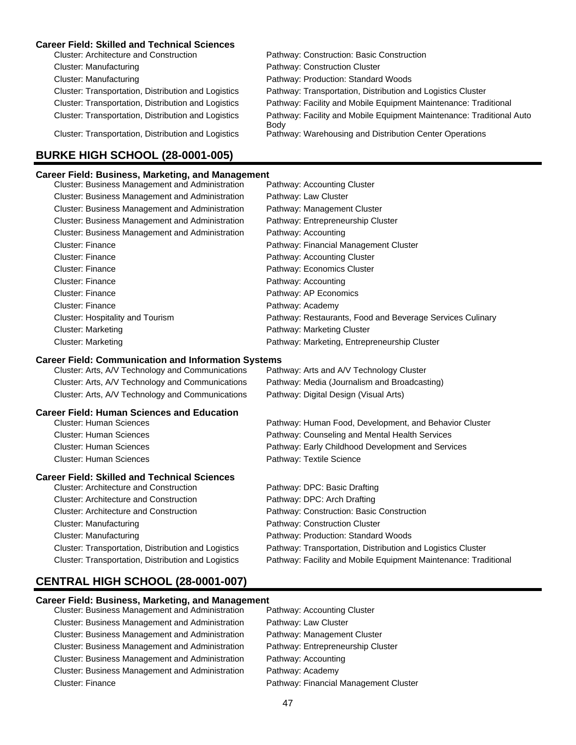#### **Career Field: Skilled and Technical Sciences**

| Pathway: Construction: Basic Construction                                    |
|------------------------------------------------------------------------------|
| Pathway: Construction Cluster                                                |
| Pathway: Production: Standard Woods                                          |
| Pathway: Transportation, Distribution and Logistics Cluster                  |
| Pathway: Facility and Mobile Equipment Maintenance: Traditional              |
| Pathway: Facility and Mobile Equipment Maintenance: Traditional Auto<br>Body |
| Pathway: Warehousing and Distribution Center Operations                      |
|                                                                              |

#### **Career Field: Business, Marketing, and Management**

**BURKE HIGH SCHOOL (28-0001-005)**

| <b>Cluster: Business Management and Administration</b> | Pathway: Accounting Cluster                               |
|--------------------------------------------------------|-----------------------------------------------------------|
| Cluster: Business Management and Administration        | Pathway: Law Cluster                                      |
| Cluster: Business Management and Administration        | Pathway: Management Cluster                               |
| Cluster: Business Management and Administration        | Pathway: Entrepreneurship Cluster                         |
| <b>Cluster: Business Management and Administration</b> | Pathway: Accounting                                       |
| <b>Cluster: Finance</b>                                | Pathway: Financial Management Cluster                     |
| Cluster: Finance                                       | Pathway: Accounting Cluster                               |
| Cluster: Finance                                       | Pathway: Economics Cluster                                |
| Cluster: Finance                                       | Pathway: Accounting                                       |
| Cluster: Finance                                       | Pathway: AP Economics                                     |
| Cluster: Finance                                       | Pathway: Academy                                          |
| Cluster: Hospitality and Tourism                       | Pathway: Restaurants, Food and Beverage Services Culinary |
| <b>Cluster: Marketing</b>                              | Pathway: Marketing Cluster                                |
| <b>Cluster: Marketing</b>                              | Pathway: Marketing, Entrepreneurship Cluster              |

#### **Career Field: Communication and Information Systems**

| Cluster: Arts, A/V Technology and Communications | Pathway: Arts and A/V Technology Cluster     |
|--------------------------------------------------|----------------------------------------------|
| Cluster: Arts, A/V Technology and Communications | Pathway: Media (Journalism and Broadcasting) |
| Cluster: Arts, A/V Technology and Communications | Pathway: Digital Design (Visual Arts)        |

#### **Career Field: Human Sciences and Education**

| Cluster: Human Sciences | Pathway: Human Food, Development, and Behavior Cluster |
|-------------------------|--------------------------------------------------------|
| Cluster: Human Sciences | Pathway: Counseling and Mental Health Services         |
| Cluster: Human Sciences | Pathway: Early Childhood Development and Services      |
| Cluster: Human Sciences | Pathway: Textile Science                               |

#### **Career Field: Skilled and Technical Sciences**

| <b>Cluster: Architecture and Construction</b>       | Pathway: DPC: Basic Drafting                                    |
|-----------------------------------------------------|-----------------------------------------------------------------|
| <b>Cluster: Architecture and Construction</b>       | Pathway: DPC: Arch Drafting                                     |
| <b>Cluster: Architecture and Construction</b>       | Pathway: Construction: Basic Construction                       |
| Cluster: Manufacturing                              | Pathway: Construction Cluster                                   |
| <b>Cluster: Manufacturing</b>                       | Pathway: Production: Standard Woods                             |
| Cluster: Transportation, Distribution and Logistics | Pathway: Transportation, Distribution and Logistics Cluster     |
| Cluster: Transportation, Distribution and Logistics | Pathway: Facility and Mobile Equipment Maintenance: Traditional |
|                                                     |                                                                 |

# **CENTRAL HIGH SCHOOL (28-0001-007)**

# **Career Field: Business, Marketing, and Management**

| Cluster: Business Management and Administration        |
|--------------------------------------------------------|
| <b>Cluster: Business Management and Administration</b> |
| Cluster: Business Management and Administration        |
| Cluster: Business Management and Administration        |
| <b>Cluster: Business Management and Administration</b> |
| <b>Cluster: Business Management and Administration</b> |
| <b>Cluster: Finance</b>                                |

Pathway: Accounting Cluster Pathway: Law Cluster Pathway: Management Cluster Pathway: Entrepreneurship Cluster Pathway: Accounting Pathway: Academy Pathway: Financial Management Cluster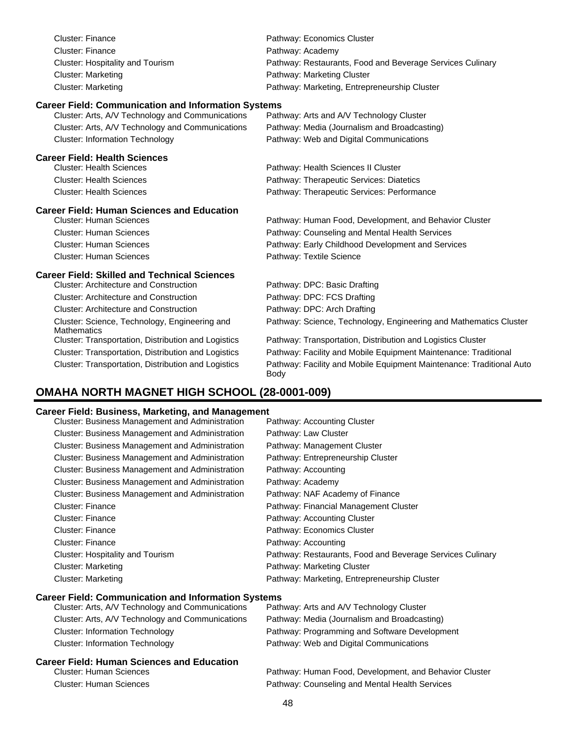| <b>Cluster: Finance</b>                                             | Pathway: Economics Cluster                                        |
|---------------------------------------------------------------------|-------------------------------------------------------------------|
| <b>Cluster: Finance</b>                                             | Pathway: Academy                                                  |
| <b>Cluster: Hospitality and Tourism</b>                             | Pathway: Restaurants, Food and Beverage Services Culinary         |
| <b>Cluster: Marketing</b>                                           | Pathway: Marketing Cluster                                        |
| <b>Cluster: Marketing</b>                                           | Pathway: Marketing, Entrepreneurship Cluster                      |
| <b>Career Field: Communication and Information Systems</b>          |                                                                   |
| Cluster: Arts, A/V Technology and Communications                    | Pathway: Arts and A/V Technology Cluster                          |
| Cluster: Arts, A/V Technology and Communications                    | Pathway: Media (Journalism and Broadcasting)                      |
| <b>Cluster: Information Technology</b>                              | Pathway: Web and Digital Communications                           |
| <b>Career Field: Health Sciences</b>                                |                                                                   |
| <b>Cluster: Health Sciences</b>                                     | Pathway: Health Sciences II Cluster                               |
| <b>Cluster: Health Sciences</b>                                     | Pathway: Therapeutic Services: Diatetics                          |
| <b>Cluster: Health Sciences</b>                                     | Pathway: Therapeutic Services: Performance                        |
|                                                                     |                                                                   |
| <b>Career Field: Human Sciences and Education</b>                   |                                                                   |
| <b>Cluster: Human Sciences</b>                                      | Pathway: Human Food, Development, and Behavior Cluster            |
| <b>Cluster: Human Sciences</b>                                      | Pathway: Counseling and Mental Health Services                    |
| <b>Cluster: Human Sciences</b>                                      | Pathway: Early Childhood Development and Services                 |
| <b>Cluster: Human Sciences</b>                                      | Pathway: Textile Science                                          |
| <b>Career Field: Skilled and Technical Sciences</b>                 |                                                                   |
| <b>Cluster: Architecture and Construction</b>                       | Pathway: DPC: Basic Drafting                                      |
| <b>Cluster: Architecture and Construction</b>                       | Pathway: DPC: FCS Drafting                                        |
| <b>Cluster: Architecture and Construction</b>                       | Pathway: DPC: Arch Drafting                                       |
| Cluster: Science, Technology, Engineering and<br><b>Mathematics</b> | Pathway: Science, Technology, Engineering and Mathematics Cluster |
| Cluster: Transportation, Distribution and Logistics                 | Pathway: Transportation, Distribution and Logistics Cluster       |
| Cluster: Transportation, Distribution and Logistics                 | Pathway: Facility and Mobile Equipment Maintenance: Traditional   |

# **OMAHA NORTH MAGNET HIGH SCHOOL (28-0001-009)**

#### **Career Field: Business, Marketing, and Management**

| Cluster: Business Management and Administration        | Pathway: Accounting Cluster                               |
|--------------------------------------------------------|-----------------------------------------------------------|
| <b>Cluster: Business Management and Administration</b> | Pathway: Law Cluster                                      |
| <b>Cluster: Business Management and Administration</b> | Pathway: Management Cluster                               |
| <b>Cluster: Business Management and Administration</b> | Pathway: Entrepreneurship Cluster                         |
| <b>Cluster: Business Management and Administration</b> | Pathway: Accounting                                       |
| Cluster: Business Management and Administration        | Pathway: Academy                                          |
| <b>Cluster: Business Management and Administration</b> | Pathway: NAF Academy of Finance                           |
| <b>Cluster: Finance</b>                                | Pathway: Financial Management Cluster                     |
| Cluster: Finance                                       | Pathway: Accounting Cluster                               |
| <b>Cluster: Finance</b>                                | Pathway: Economics Cluster                                |
| Cluster: Finance                                       | Pathway: Accounting                                       |
| Cluster: Hospitality and Tourism                       | Pathway: Restaurants, Food and Beverage Services Culinary |
| <b>Cluster: Marketing</b>                              | Pathway: Marketing Cluster                                |
| <b>Cluster: Marketing</b>                              | Pathway: Marketing, Entrepreneurship Cluster              |
|                                                        |                                                           |

Body

#### **Career Field: Communication and Information Systems**

| Cluster: Arts, A/V Technology and Communications | Pathway: Arts and A/V Technology Cluster               |
|--------------------------------------------------|--------------------------------------------------------|
| Cluster: Arts, A/V Technology and Communications | Pathway: Media (Journalism and Broadcasting)           |
| <b>Cluster: Information Technology</b>           | Pathway: Programming and Software Development          |
| <b>Cluster: Information Technology</b>           | Pathway: Web and Digital Communications                |
| Career Field: Human Sciences and Education       |                                                        |
| <b>Cluster: Human Sciences</b>                   | Pathway: Human Food, Development, and Behavior Cluster |
| <b>Cluster: Human Sciences</b>                   | Pathway: Counseling and Mental Health Services         |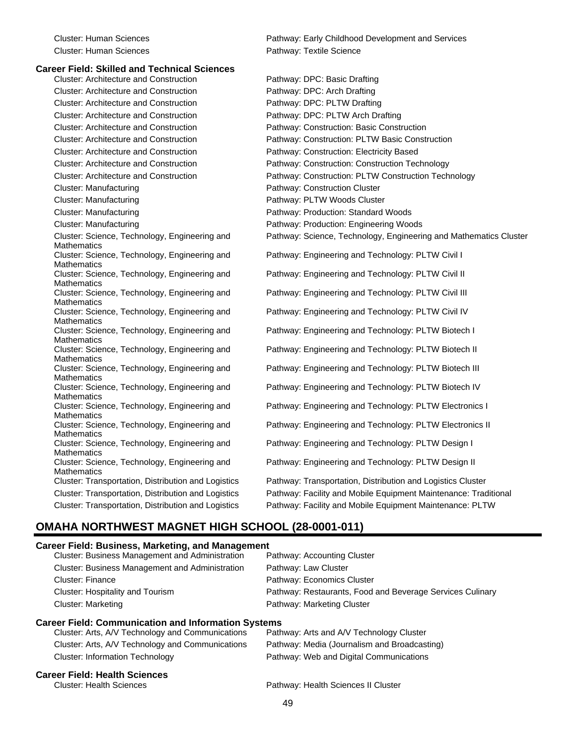#### **Career Field: Skilled and Technical Sciences**

Cluster: Architecture and Construction **Pathway: DPC: Basic Drafting** Cluster: Architecture and Construction **Pathway: DPC: Arch Drafting** Cluster: Architecture and Construction Pathway: DPC: PLTW Drafting Cluster: Architecture and Construction Pathway: DPC: PLTW Arch Drafting Cluster: Architecture and Construction Pathway: Construction: Basic Construction Cluster: Architecture and Construction Pathway: Construction: Electricity Based Cluster: Manufacturing **Pathway: Construction Cluster** Pathway: Construction Cluster Cluster: Manufacturing example and the Pathway: PLTW Woods Cluster Cluster: Manufacturing Pathway: Production: Standard Woods Cluster: Manufacturing **Pathway: Production: Engineering Woods** Pathway: Production: Engineering Woods Cluster: Science, Technology, Engineering and **Mathematics** Cluster: Science, Technology, Engineering and Mathematics Cluster: Science, Technology, Engineering and **Mathematics** Cluster: Science, Technology, Engineering and **Mathematics** Cluster: Science, Technology, Engineering and **Mathematics** Cluster: Science, Technology, Engineering and Mathematics Cluster: Science, Technology, Engineering and **Mathematics** Cluster: Science, Technology, Engineering and **Mathematics** Cluster: Science, Technology, Engineering and **Mathematics** Cluster: Science, Technology, Engineering and **Mathematics** Cluster: Science, Technology, Engineering and **Mathematics** Cluster: Science, Technology, Engineering and **Mathematics** Cluster: Science, Technology, Engineering and Mathematics<br>Cluster: Transportation, Distribution and Logistics

Cluster: Human Sciences Pathway: Early Childhood Development and Services Cluster: Human Sciences Pathway: Textile Science

Cluster: Architecture and Construction Pathway: Construction: PLTW Basic Construction Cluster: Architecture and Construction Pathway: Construction: Construction Technology Cluster: Architecture and Construction **Pathway: Construction: PLTW Construction Technology** Pathway: Science, Technology, Engineering and Mathematics Cluster Pathway: Engineering and Technology: PLTW Civil I Pathway: Engineering and Technology: PLTW Civil II Pathway: Engineering and Technology: PLTW Civil III Pathway: Engineering and Technology: PLTW Civil IV Pathway: Engineering and Technology: PLTW Biotech I Pathway: Engineering and Technology: PLTW Biotech II Pathway: Engineering and Technology: PLTW Biotech III Pathway: Engineering and Technology: PLTW Biotech IV Pathway: Engineering and Technology: PLTW Electronics I Pathway: Engineering and Technology: PLTW Electronics II Pathway: Engineering and Technology: PLTW Design I Pathway: Engineering and Technology: PLTW Design II Pathway: Transportation, Distribution and Logistics Cluster Cluster: Transportation, Distribution and Logistics Pathway: Facility and Mobile Equipment Maintenance: Traditional Cluster: Transportation, Distribution and Logistics Pathway: Facility and Mobile Equipment Maintenance: PLTW

#### **OMAHA NORTHWEST MAGNET HIGH SCHOOL (28-0001-011)**

#### **Career Field: Business, Marketing, and Management**

| Cluster: Business Management and Administration        | Pathway: Accounting Cluster                               |
|--------------------------------------------------------|-----------------------------------------------------------|
| <b>Cluster: Business Management and Administration</b> | Pathway: Law Cluster                                      |
| <b>Cluster: Finance</b>                                | Pathway: Economics Cluster                                |
| Cluster: Hospitality and Tourism                       | Pathway: Restaurants, Food and Beverage Services Culinary |
| Cluster: Marketing                                     | Pathway: Marketing Cluster                                |
|                                                        |                                                           |

#### **Career Field: Communication and Information Systems**

| Cluster: Arts, A/V Technology and Communications | Pathway: Arts and A/V Technology Cluster     |
|--------------------------------------------------|----------------------------------------------|
| Cluster: Arts, A/V Technology and Communications | Pathway: Media (Journalism and Broadcasting) |
| Cluster: Information Technology                  | Pathway: Web and Digital Communications      |

#### **Career Field: Health Sciences**

Cluster: Health Sciences Pathway: Health Sciences II Cluster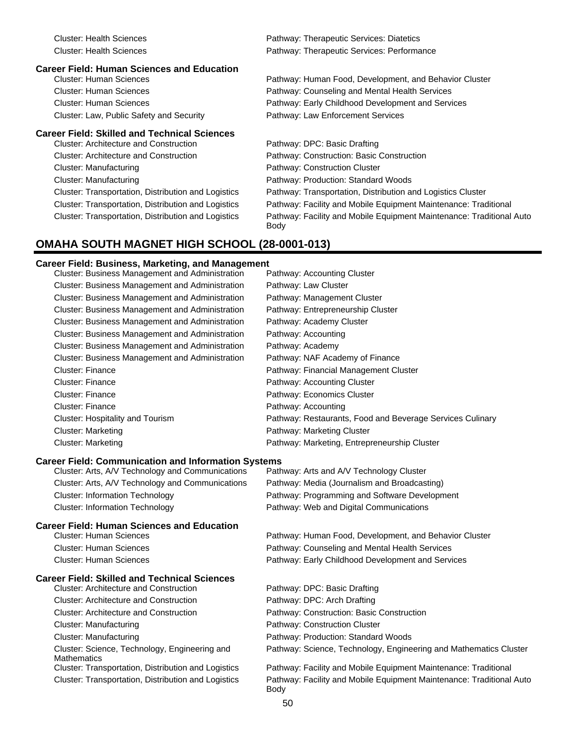| Cluster: Health Sciences                            | Pathway: Therapeutic Services: Diatetics                                            |
|-----------------------------------------------------|-------------------------------------------------------------------------------------|
| <b>Cluster: Health Sciences</b>                     | Pathway: Therapeutic Services: Performance                                          |
| <b>Career Field: Human Sciences and Education</b>   |                                                                                     |
| <b>Cluster: Human Sciences</b>                      | Pathway: Human Food, Development, and Behavior Cluster                              |
| <b>Cluster: Human Sciences</b>                      | Pathway: Counseling and Mental Health Services                                      |
| <b>Cluster: Human Sciences</b>                      | Pathway: Early Childhood Development and Services                                   |
| Cluster: Law, Public Safety and Security            | Pathway: Law Enforcement Services                                                   |
| <b>Career Field: Skilled and Technical Sciences</b> |                                                                                     |
| Cluster: Architecture and Construction              | Pathway: DPC: Basic Drafting                                                        |
| Cluster: Architecture and Construction              | Pathway: Construction: Basic Construction                                           |
| Cluster: Manufacturing                              | Pathway: Construction Cluster                                                       |
| Cluster: Manufacturing                              | Pathway: Production: Standard Woods                                                 |
| Cluster: Transportation, Distribution and Logistics | Pathway: Transportation, Distribution and Logistics Cluster                         |
| Cluster: Transportation, Distribution and Logistics | Pathway: Facility and Mobile Equipment Maintenance: Traditional                     |
| Cluster: Transportation, Distribution and Logistics | Pathway: Facility and Mobile Equipment Maintenance: Traditional Auto<br><b>Body</b> |
| <b>OMAHA SOUTH MAGNET HIGH SCHOOL (28-0001-013)</b> |                                                                                     |

#### **Career Field: Business, Marketing, and Management**

|                                | <b>Cluster: Business Management and Administration</b>     | Pathway: Accounting Cluster                                                  |
|--------------------------------|------------------------------------------------------------|------------------------------------------------------------------------------|
|                                | <b>Cluster: Business Management and Administration</b>     | Pathway: Law Cluster                                                         |
|                                | <b>Cluster: Business Management and Administration</b>     | Pathway: Management Cluster                                                  |
|                                | Cluster: Business Management and Administration            | Pathway: Entrepreneurship Cluster                                            |
|                                | Cluster: Business Management and Administration            | Pathway: Academy Cluster                                                     |
|                                | Cluster: Business Management and Administration            | Pathway: Accounting                                                          |
|                                | Cluster: Business Management and Administration            | Pathway: Academy                                                             |
|                                | Cluster: Business Management and Administration            | Pathway: NAF Academy of Finance                                              |
| Cluster: Finance               |                                                            | Pathway: Financial Management Cluster                                        |
| <b>Cluster: Finance</b>        |                                                            | Pathway: Accounting Cluster                                                  |
| Cluster: Finance               |                                                            | Pathway: Economics Cluster                                                   |
| <b>Cluster: Finance</b>        |                                                            | Pathway: Accounting                                                          |
|                                | <b>Cluster: Hospitality and Tourism</b>                    | Pathway: Restaurants, Food and Beverage Services Culinary                    |
| <b>Cluster: Marketing</b>      |                                                            | Pathway: Marketing Cluster                                                   |
| <b>Cluster: Marketing</b>      |                                                            | Pathway: Marketing, Entrepreneurship Cluster                                 |
|                                | <b>Career Field: Communication and Information Systems</b> |                                                                              |
|                                | Cluster: Arts, A/V Technology and Communications           | Pathway: Arts and A/V Technology Cluster                                     |
|                                | Cluster: Arts, A/V Technology and Communications           | Pathway: Media (Journalism and Broadcasting)                                 |
|                                | <b>Cluster: Information Technology</b>                     | Pathway: Programming and Software Development                                |
|                                | <b>Cluster: Information Technology</b>                     | Pathway: Web and Digital Communications                                      |
|                                | <b>Career Field: Human Sciences and Education</b>          |                                                                              |
| <b>Cluster: Human Sciences</b> |                                                            | Pathway: Human Food, Development, and Behavior Cluster                       |
| <b>Cluster: Human Sciences</b> |                                                            | Pathway: Counseling and Mental Health Services                               |
| <b>Cluster: Human Sciences</b> |                                                            | Pathway: Early Childhood Development and Services                            |
|                                | <b>Career Field: Skilled and Technical Sciences</b>        |                                                                              |
|                                | <b>Cluster: Architecture and Construction</b>              | Pathway: DPC: Basic Drafting                                                 |
|                                | <b>Cluster: Architecture and Construction</b>              | Pathway: DPC: Arch Drafting                                                  |
|                                | <b>Cluster: Architecture and Construction</b>              | Pathway: Construction: Basic Construction                                    |
| <b>Cluster: Manufacturing</b>  |                                                            | Pathway: Construction Cluster                                                |
| <b>Cluster: Manufacturing</b>  |                                                            | Pathway: Production: Standard Woods                                          |
| <b>Mathematics</b>             | Cluster: Science, Technology, Engineering and              | Pathway: Science, Technology, Engineering and Mathematics Cluster            |
|                                | Cluster: Transportation, Distribution and Logistics        | Pathway: Facility and Mobile Equipment Maintenance: Traditional              |
|                                | Cluster: Transportation, Distribution and Logistics        | Pathway: Facility and Mobile Equipment Maintenance: Traditional Auto<br>Body |
|                                |                                                            |                                                                              |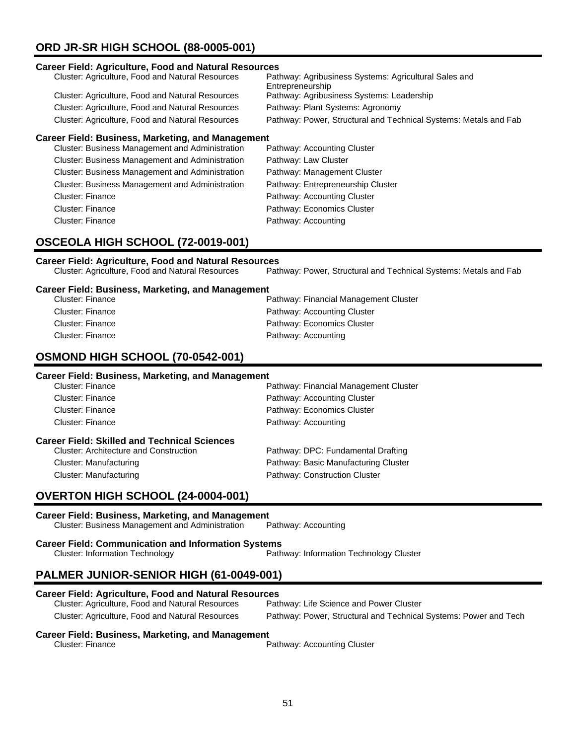# **ORD JR-SR HIGH SCHOOL (88-0005-001)**

#### **Career Field: Agriculture, Food and Natural Resources**

| Pathway: Agribusiness Systems: Agricultural Sales and<br>Entrepreneurship |
|---------------------------------------------------------------------------|
| Pathway: Agribusiness Systems: Leadership                                 |
| Pathway: Plant Systems: Agronomy                                          |
| Pathway: Power, Structural and Technical Systems: Metals and Fab          |
|                                                                           |

#### **Career Field: Business, Marketing, and Management**

| Cluster: Business Management and Administration        | Pathway: Accounting Cluster       |
|--------------------------------------------------------|-----------------------------------|
| <b>Cluster: Business Management and Administration</b> | Pathway: Law Cluster              |
| <b>Cluster: Business Management and Administration</b> | Pathway: Management Cluster       |
| <b>Cluster: Business Management and Administration</b> | Pathway: Entrepreneurship Cluster |
| <b>Cluster: Finance</b>                                | Pathway: Accounting Cluster       |
| Cluster: Finance                                       | Pathway: Economics Cluster        |
| Cluster: Finance                                       | Pathway: Accounting               |
|                                                        |                                   |

# **OSCEOLA HIGH SCHOOL (72-0019-001)**

# **Career Field: Agriculture, Food and Natural Resources**

Pathway: Power, Structural and Technical Systems: Metals and Fab

#### **Career Field: Business, Marketing, and Management**

| Cluster: Finance | Pathway: Financial Management Cluster |
|------------------|---------------------------------------|
| Cluster: Finance | Pathway: Accounting Cluster           |
| Cluster: Finance | Pathway: Economics Cluster            |
| Cluster: Finance | Pathway: Accounting                   |

### **OSMOND HIGH SCHOOL (70-0542-001)**

#### **Career Field: Business, Marketing, and Management**

| Cluster: Finance                                    | Pathway: Financial Management Cluster |
|-----------------------------------------------------|---------------------------------------|
| Cluster: Finance                                    | Pathway: Accounting Cluster           |
| Cluster: Finance                                    | Pathway: Economics Cluster            |
| Cluster: Finance                                    | Pathway: Accounting                   |
| <b>Career Field: Skilled and Technical Sciences</b> |                                       |
| <b>Cluster: Architecture and Construction</b>       | Pathway: DPC: Fundamental Drafting    |
| <b>Cluster: Manufacturing</b>                       | Pathway: Basic Manufacturing Cluster  |
| Cluster: Manufacturing                              |                                       |
|                                                     | Pathway: Construction Cluster         |

# **OVERTON HIGH SCHOOL (24-0004-001)**

#### **Career Field: Business, Marketing, and Management**

Cluster: Business Management and Administration Pathway: Accounting

**Career Field: Communication and Information Systems**

Cluster: Information Technology Pathway: Information Technology Cluster

# **PALMER JUNIOR-SENIOR HIGH (61-0049-001)**

#### **Career Field: Agriculture, Food and Natural Resources**

| Cluster: Agriculture, Food and Natural Resources | Pathway: Life Science and Power Cluster                          |
|--------------------------------------------------|------------------------------------------------------------------|
| Cluster: Agriculture, Food and Natural Resources | Pathway: Power, Structural and Technical Systems: Power and Tech |

# **Career Field: Business, Marketing, and Management**

Pathway: Accounting Cluster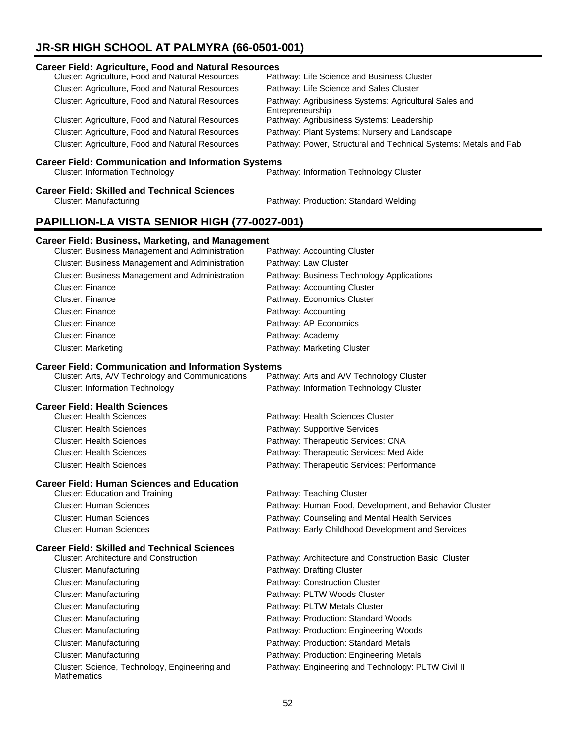# **JR-SR HIGH SCHOOL AT PALMYRA (66-0501-001)**

# **Career Field: Agriculture, Food and Natural Resources** Cluster: Agriculture, Food and Natural Resources Cluster: Agriculture, Food and Natural Resources Pathway: Life Science and Sales Cluster Cluster: Agriculture, Food and Natural Resources Pathway: Agribusiness Systems: Agricultural Sales and Entrepreneurship<br>Pathway: Agribusiness Systems: Leadership Cluster: Agriculture, Food and Natural Resources Cluster: Agriculture, Food and Natural Resources Pathway: Plant Systems: Nursery and Landscape Cluster: Agriculture, Food and Natural Resources Pathway: Power, Structural and Technical Systems: Metals and Fab **Career Field: Communication and Information Systems**<br>Cluster: Information Technology Pathway: Information Technology Cluster **Career Field: Skilled and Technical Sciences** Cluster: Manufacturing Pathway: Production: Standard Welding **PAPILLION-LA VISTA SENIOR HIGH (77-0027-001) Career Field: Business, Marketing, and Management** Cluster: Business Management and Administration Pathway: Accounting Cluster Cluster: Business Management and Administration Pathway: Law Cluster

| Cluster: Business Management and Administration        | Pathway: Law Gluster                      |
|--------------------------------------------------------|-------------------------------------------|
| <b>Cluster: Business Management and Administration</b> | Pathway: Business Technology Applications |
| <b>Cluster: Finance</b>                                | Pathway: Accounting Cluster               |
| <b>Cluster: Finance</b>                                | Pathway: Economics Cluster                |
| <b>Cluster: Finance</b>                                | Pathway: Accounting                       |
| Cluster: Finance                                       | Pathway: AP Economics                     |
| Cluster: Finance                                       | Pathway: Academy                          |
| <b>Cluster: Marketing</b>                              | Pathway: Marketing Cluster                |

#### **Career Field: Communication and Information Systems**

| Cluster: Arts, A/V Technology and Communications | Pathway: Arts and A/V Technology Cluster |
|--------------------------------------------------|------------------------------------------|
| <b>Cluster: Information Technology</b>           | Pathway: Information Technology Cluster  |

#### **Career Field: Health Sciences**

| <b>Cluster: Health Sciences</b> | Pathway: Health Sciences Cluster           |
|---------------------------------|--------------------------------------------|
| <b>Cluster: Health Sciences</b> | Pathway: Supportive Services               |
| <b>Cluster: Health Sciences</b> | Pathway: Therapeutic Services: CNA         |
| <b>Cluster: Health Sciences</b> | Pathway: Therapeutic Services: Med Aide    |
| <b>Cluster: Health Sciences</b> | Pathway: Therapeutic Services: Performance |

#### **Career Field: Human Sciences and Education**

| Cluster: Education and Training | Pathway: Teaching Cluster                              |
|---------------------------------|--------------------------------------------------------|
| Cluster: Human Sciences         | Pathway: Human Food, Development, and Behavior Cluster |
| Cluster: Human Sciences         | Pathway: Counseling and Mental Health Services         |
| Cluster: Human Sciences         | Pathway: Early Childhood Development and Services      |

#### **Career Field: Skilled and Technical Sciences**

| <b>Cluster: Architecture and Construction</b>                       | Pathway: Architecture and Construction Basic Cluster |
|---------------------------------------------------------------------|------------------------------------------------------|
| Cluster: Manufacturing                                              | Pathway: Drafting Cluster                            |
| Cluster: Manufacturing                                              | Pathway: Construction Cluster                        |
| Cluster: Manufacturing                                              | Pathway: PLTW Woods Cluster                          |
| Cluster: Manufacturing                                              | Pathway: PLTW Metals Cluster                         |
| Cluster: Manufacturing                                              | Pathway: Production: Standard Woods                  |
| Cluster: Manufacturing                                              | Pathway: Production: Engineering Woods               |
| Cluster: Manufacturing                                              | Pathway: Production: Standard Metals                 |
| Cluster: Manufacturing                                              | Pathway: Production: Engineering Metals              |
| Cluster: Science, Technology, Engineering and<br><b>Mathematics</b> | Pathway: Engineering and Technology: PLTW Civil II   |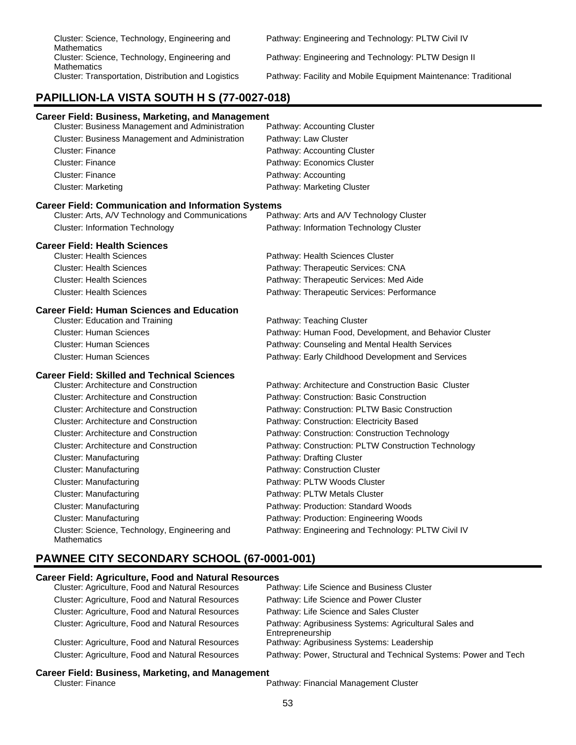| <b>Career Field: Business, Marketing, and Management</b>            |                                                        |
|---------------------------------------------------------------------|--------------------------------------------------------|
| Cluster: Business Management and Administration                     | Pathway: Accounting Cluster                            |
| Cluster: Business Management and Administration                     | Pathway: Law Cluster                                   |
| <b>Cluster: Finance</b>                                             | Pathway: Accounting Cluster                            |
| <b>Cluster: Finance</b>                                             | Pathway: Economics Cluster                             |
| <b>Cluster: Finance</b>                                             | Pathway: Accounting                                    |
| <b>Cluster: Marketing</b>                                           | Pathway: Marketing Cluster                             |
| <b>Career Field: Communication and Information Systems</b>          |                                                        |
| Cluster: Arts, A/V Technology and Communications                    | Pathway: Arts and A/V Technology Cluster               |
| <b>Cluster: Information Technology</b>                              | Pathway: Information Technology Cluster                |
| <b>Career Field: Health Sciences</b>                                |                                                        |
| <b>Cluster: Health Sciences</b>                                     | Pathway: Health Sciences Cluster                       |
| <b>Cluster: Health Sciences</b>                                     | Pathway: Therapeutic Services: CNA                     |
| <b>Cluster: Health Sciences</b>                                     | Pathway: Therapeutic Services: Med Aide                |
| <b>Cluster: Health Sciences</b>                                     | Pathway: Therapeutic Services: Performance             |
| <b>Career Field: Human Sciences and Education</b>                   |                                                        |
| <b>Cluster: Education and Training</b>                              | Pathway: Teaching Cluster                              |
| <b>Cluster: Human Sciences</b>                                      | Pathway: Human Food, Development, and Behavior Cluster |
| <b>Cluster: Human Sciences</b>                                      | Pathway: Counseling and Mental Health Services         |
| <b>Cluster: Human Sciences</b>                                      | Pathway: Early Childhood Development and Services      |
| <b>Career Field: Skilled and Technical Sciences</b>                 |                                                        |
| <b>Cluster: Architecture and Construction</b>                       | Pathway: Architecture and Construction Basic Cluster   |
| <b>Cluster: Architecture and Construction</b>                       | Pathway: Construction: Basic Construction              |
| <b>Cluster: Architecture and Construction</b>                       | Pathway: Construction: PLTW Basic Construction         |
| <b>Cluster: Architecture and Construction</b>                       | Pathway: Construction: Electricity Based               |
| <b>Cluster: Architecture and Construction</b>                       | Pathway: Construction: Construction Technology         |
| <b>Cluster: Architecture and Construction</b>                       | Pathway: Construction: PLTW Construction Technology    |
| <b>Cluster: Manufacturing</b>                                       | Pathway: Drafting Cluster                              |
| <b>Cluster: Manufacturing</b>                                       | Pathway: Construction Cluster                          |
| <b>Cluster: Manufacturing</b>                                       | Pathway: PLTW Woods Cluster                            |
| <b>Cluster: Manufacturing</b>                                       | Pathway: PLTW Metals Cluster                           |
| <b>Cluster: Manufacturing</b>                                       | Pathway: Production: Standard Woods                    |
| <b>Cluster: Manufacturing</b>                                       | Pathway: Production: Engineering Woods                 |
| Cluster: Science, Technology, Engineering and<br><b>Mathematics</b> | Pathway: Engineering and Technology: PLTW Civil IV     |
| PAWNEE CITY SECONDARY SCHOOL (67-0001-001)                          |                                                        |

#### **Career Field: Agriculture, Food and Natural Resources**

| Cluster: Agriculture, Food and Natural Resources | Pathway: Life Science and Business Cluster                                |
|--------------------------------------------------|---------------------------------------------------------------------------|
| Cluster: Agriculture, Food and Natural Resources | Pathway: Life Science and Power Cluster                                   |
| Cluster: Agriculture, Food and Natural Resources | Pathway: Life Science and Sales Cluster                                   |
| Cluster: Agriculture, Food and Natural Resources | Pathway: Agribusiness Systems: Agricultural Sales and<br>Entrepreneurship |
| Cluster: Agriculture, Food and Natural Resources | Pathway: Agribusiness Systems: Leadership                                 |
| Cluster: Agriculture, Food and Natural Resources | Pathway: Power, Structural and Technical Systems: Power and Tech          |

# **Career Field: Business, Marketing, and Management**<br>Cluster: Finance

Pathway: Financial Management Cluster

Pathway: Engineering and Technology: PLTW Design II

Pathway: Facility and Mobile Equipment Maintenance: Traditional

Cluster: Science, Technology, Engineering and **Mathematics** Cluster: Science, Technology, Engineering and Mathematics<br>Cluster: Transportation, Distribution and Logistics

**PAPILLION-LA VISTA SOUTH H S (77-0027-018)**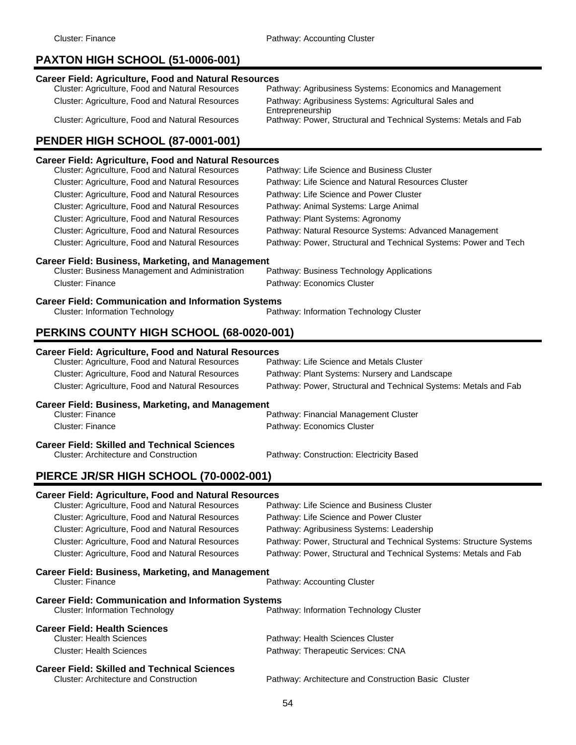# **PAXTON HIGH SCHOOL (51-0006-001)**

#### **Career Field: Agriculture, Food and Natural Resources**

| Cluster: Agriculture, Food and Natural Resources | Pathway: Agribusiness Systems: Economics and Management          |
|--------------------------------------------------|------------------------------------------------------------------|
| Cluster: Agriculture, Food and Natural Resources | Pathway: Agribusiness Systems: Agricultural Sales and            |
|                                                  | Entrepreneurship                                                 |
| Cluster: Agriculture, Food and Natural Resources | Pathway: Power, Structural and Technical Systems: Metals and Fab |
|                                                  |                                                                  |

# **PENDER HIGH SCHOOL (87-0001-001)**

#### **Career Field: Agriculture, Food and Natural Resources**

| Cluster: Agriculture, Food and Natural Resources           | Pathway: Life Science and Business Cluster                       |
|------------------------------------------------------------|------------------------------------------------------------------|
| Cluster: Agriculture, Food and Natural Resources           | Pathway: Life Science and Natural Resources Cluster              |
| <b>Cluster: Agriculture, Food and Natural Resources</b>    | Pathway: Life Science and Power Cluster                          |
| <b>Cluster: Agriculture, Food and Natural Resources</b>    | Pathway: Animal Systems: Large Animal                            |
| <b>Cluster: Agriculture, Food and Natural Resources</b>    | Pathway: Plant Systems: Agronomy                                 |
| Cluster: Agriculture, Food and Natural Resources           | Pathway: Natural Resource Systems: Advanced Management           |
| <b>Cluster: Agriculture, Food and Natural Resources</b>    | Pathway: Power, Structural and Technical Systems: Power and Tech |
| Career Field: Business, Marketing, and Management          |                                                                  |
| <b>Cluster: Business Management and Administration</b>     | Pathway: Business Technology Applications                        |
| Cluster: Finance                                           | Pathway: Economics Cluster                                       |
| <b>Career Field: Communication and Information Systems</b> |                                                                  |
| <b>Cluster: Information Technology</b>                     | Pathway: Information Technology Cluster                          |
| BEBILING GALINTY LUALLOCHAAL (CO COOC COAL                 |                                                                  |

# **PERKINS COUNTY HIGH SCHOOL (68-0020-001)**

# **Career Field: Agriculture, Food and Natural Resources** Cluster: Agriculture, Food and Natural Resources Cluster: Agriculture, Food and Natural Resources Pathway: Plant Systems: Nursery and Landscape Cluster: Agriculture, Food and Natural Resources Pathway: Power, Structural and Technical Systems: Metals and Fab **Career Field: Business, Marketing, and Management** Cluster: Finance **Pathway: Financial Management Cluster** Pathway: Financial Management Cluster Cluster: Finance **Pathway: Economics Cluster Career Field: Skilled and Technical Sciences** Pathway: Construction: Electricity Based

# **PIERCE JR/SR HIGH SCHOOL (70-0002-001)**

#### **Career Field: Agriculture, Food and Natural Resources**

| Cluster: Agriculture, Food and Natural Resources                                                     | Pathway: Life Science and Business Cluster                          |
|------------------------------------------------------------------------------------------------------|---------------------------------------------------------------------|
| <b>Cluster: Agriculture, Food and Natural Resources</b>                                              | Pathway: Life Science and Power Cluster                             |
| Cluster: Agriculture, Food and Natural Resources                                                     | Pathway: Agribusiness Systems: Leadership                           |
| <b>Cluster: Agriculture, Food and Natural Resources</b>                                              | Pathway: Power, Structural and Technical Systems: Structure Systems |
| <b>Cluster: Agriculture, Food and Natural Resources</b>                                              | Pathway: Power, Structural and Technical Systems: Metals and Fab    |
| <b>Career Field: Business, Marketing, and Management</b><br>Cluster: Finance                         | Pathway: Accounting Cluster                                         |
| <b>Career Field: Communication and Information Systems</b><br><b>Cluster: Information Technology</b> | Pathway: Information Technology Cluster                             |
| <b>Career Field: Health Sciences</b>                                                                 |                                                                     |
| <b>Cluster: Health Sciences</b>                                                                      | Pathway: Health Sciences Cluster                                    |
| <b>Cluster: Health Sciences</b>                                                                      | Pathway: Therapeutic Services: CNA                                  |
| <b>Career Field: Skilled and Technical Sciences</b><br><b>Cluster: Architecture and Construction</b> | Pathway: Architecture and Construction Basic Cluster                |
|                                                                                                      |                                                                     |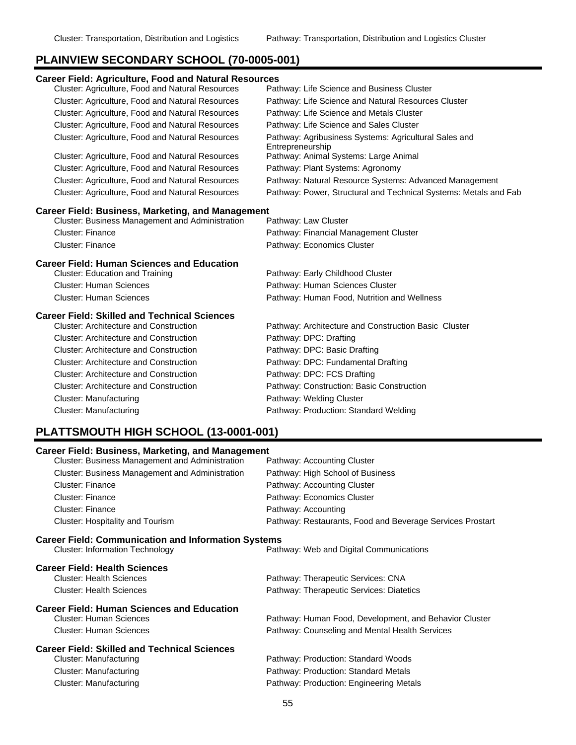# **PLAINVIEW SECONDARY SCHOOL (70-0005-001)**

| <b>Career Field: Agriculture, Food and Natural Resources</b> |                                                                           |
|--------------------------------------------------------------|---------------------------------------------------------------------------|
| Cluster: Agriculture, Food and Natural Resources             | Pathway: Life Science and Business Cluster                                |
| Cluster: Agriculture, Food and Natural Resources             | Pathway: Life Science and Natural Resources Cluster                       |
| Cluster: Agriculture, Food and Natural Resources             | Pathway: Life Science and Metals Cluster                                  |
| Cluster: Agriculture, Food and Natural Resources             | Pathway: Life Science and Sales Cluster                                   |
| Cluster: Agriculture, Food and Natural Resources             | Pathway: Agribusiness Systems: Agricultural Sales and<br>Entrepreneurship |
| Cluster: Agriculture, Food and Natural Resources             | Pathway: Animal Systems: Large Animal                                     |
| Cluster: Agriculture, Food and Natural Resources             | Pathway: Plant Systems: Agronomy                                          |
| Cluster: Agriculture, Food and Natural Resources             | Pathway: Natural Resource Systems: Advanced Management                    |
| Cluster: Agriculture, Food and Natural Resources             | Pathway: Power, Structural and Technical Systems: Metals and Fab          |
| <b>Career Field: Business, Marketing, and Management</b>     |                                                                           |
| <b>Cluster: Business Management and Administration</b>       | Pathway: Law Cluster                                                      |
| Cluster: Finance                                             | Pathway: Financial Management Cluster                                     |
| <b>Cluster: Finance</b>                                      | Pathway: Economics Cluster                                                |
| <b>Career Field: Human Sciences and Education</b>            |                                                                           |
| <b>Cluster: Education and Training</b>                       | Pathway: Early Childhood Cluster                                          |
| <b>Cluster: Human Sciences</b>                               | Pathway: Human Sciences Cluster                                           |
| <b>Cluster: Human Sciences</b>                               | Pathway: Human Food, Nutrition and Wellness                               |
| <b>Career Field: Skilled and Technical Sciences</b>          |                                                                           |
| <b>Cluster: Architecture and Construction</b>                | Pathway: Architecture and Construction Basic Cluster                      |
| <b>Cluster: Architecture and Construction</b>                | Pathway: DPC: Drafting                                                    |
| <b>Cluster: Architecture and Construction</b>                | Pathway: DPC: Basic Drafting                                              |
| <b>Cluster: Architecture and Construction</b>                | Pathway: DPC: Fundamental Drafting                                        |
| <b>Cluster: Architecture and Construction</b>                | Pathway: DPC: FCS Drafting                                                |
| <b>Cluster: Architecture and Construction</b>                | Pathway: Construction: Basic Construction                                 |
| Cluster: Manufacturing                                       | Pathway: Welding Cluster                                                  |
| Cluster: Manufacturing                                       | Pathway: Production: Standard Welding                                     |

# **PLATTSMOUTH HIGH SCHOOL (13-0001-001)**

| <b>Career Field: Business, Marketing, and Management</b>   |                                                           |  |
|------------------------------------------------------------|-----------------------------------------------------------|--|
| <b>Cluster: Business Management and Administration</b>     | Pathway: Accounting Cluster                               |  |
| Cluster: Business Management and Administration            | Pathway: High School of Business                          |  |
| <b>Cluster: Finance</b>                                    | Pathway: Accounting Cluster                               |  |
| <b>Cluster: Finance</b>                                    | Pathway: Economics Cluster                                |  |
| Cluster: Finance                                           | Pathway: Accounting                                       |  |
| Cluster: Hospitality and Tourism                           | Pathway: Restaurants, Food and Beverage Services Prostart |  |
| <b>Career Field: Communication and Information Systems</b> |                                                           |  |
| <b>Cluster: Information Technology</b>                     | Pathway: Web and Digital Communications                   |  |
| <b>Career Field: Health Sciences</b>                       |                                                           |  |
| <b>Cluster: Health Sciences</b>                            | Pathway: Therapeutic Services: CNA                        |  |
| <b>Cluster: Health Sciences</b>                            | Pathway: Therapeutic Services: Diatetics                  |  |
| <b>Career Field: Human Sciences and Education</b>          |                                                           |  |
| <b>Cluster: Human Sciences</b>                             | Pathway: Human Food, Development, and Behavior Cluster    |  |
| <b>Cluster: Human Sciences</b>                             | Pathway: Counseling and Mental Health Services            |  |
| <b>Career Field: Skilled and Technical Sciences</b>        |                                                           |  |
| Cluster: Manufacturing                                     | Pathway: Production: Standard Woods                       |  |
| Cluster: Manufacturing                                     | Pathway: Production: Standard Metals                      |  |
| Cluster: Manufacturing                                     | Pathway: Production: Engineering Metals                   |  |
|                                                            |                                                           |  |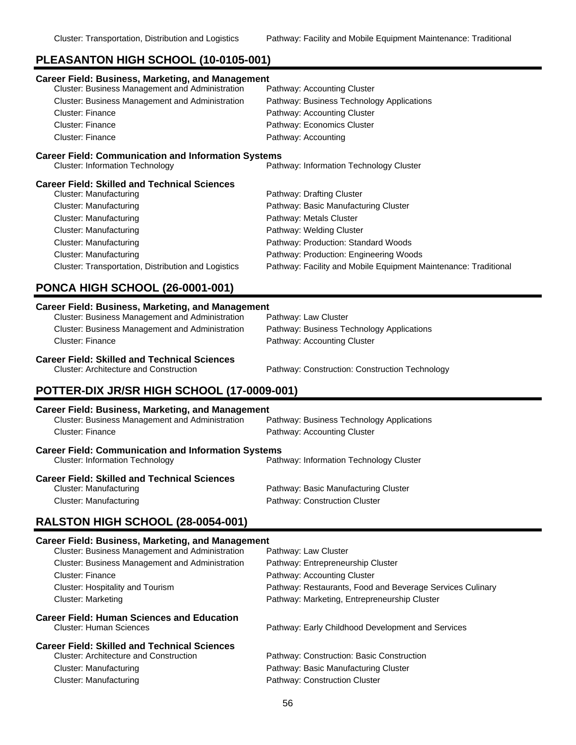### **PLEASANTON HIGH SCHOOL (10-0105-001)**

| Career Field: Business, Marketing, and Management          |                                                                 |
|------------------------------------------------------------|-----------------------------------------------------------------|
| Cluster: Business Management and Administration            | Pathway: Accounting Cluster                                     |
| <b>Cluster: Business Management and Administration</b>     | Pathway: Business Technology Applications                       |
| Cluster: Finance                                           | Pathway: Accounting Cluster                                     |
| <b>Cluster: Finance</b>                                    | Pathway: Economics Cluster                                      |
| Cluster: Finance                                           | Pathway: Accounting                                             |
| <b>Career Field: Communication and Information Systems</b> |                                                                 |
| <b>Cluster: Information Technology</b>                     | Pathway: Information Technology Cluster                         |
| Career Field: Skilled and Technical Sciences               |                                                                 |
| Cluster: Manufacturing                                     | Pathway: Drafting Cluster                                       |
| Cluster: Manufacturing                                     | Pathway: Basic Manufacturing Cluster                            |
| Cluster: Manufacturing                                     | Pathway: Metals Cluster                                         |
| Cluster: Manufacturing                                     | Pathway: Welding Cluster                                        |
| Cluster: Manufacturing                                     | Pathway: Production: Standard Woods                             |
| Cluster: Manufacturing                                     | Pathway: Production: Engineering Woods                          |
| Cluster: Transportation, Distribution and Logistics        | Pathway: Facility and Mobile Equipment Maintenance: Traditional |

# **PONCA HIGH SCHOOL (26-0001-001)**

# **Career Field: Business, Marketing, and Management** Cluster: Business Management and Administration Cluster: Business Management and Administration Pathway: Business Technology Applications Cluster: Finance **Pathway: Accounting Cluster Career Field: Skilled and Technical Sciences** Cluster: Architecture and Construction Pathway: Construction: Construction Technology

# **POTTER-DIX JR/SR HIGH SCHOOL (17-0009-001)**

| <b>Career Field: Business, Marketing, and Management</b><br>Cluster: Business Management and Administration<br>Cluster: Finance | Pathway: Business Technology Applications<br>Pathway: Accounting Cluster |
|---------------------------------------------------------------------------------------------------------------------------------|--------------------------------------------------------------------------|
| <b>Career Field: Communication and Information Systems</b><br><b>Cluster: Information Technology</b>                            | Pathway: Information Technology Cluster                                  |
| <b>Career Field: Skilled and Technical Sciences</b><br>Cluster: Manufacturing<br>Cluster: Manufacturing                         | Pathway: Basic Manufacturing Cluster<br>Pathway: Construction Cluster    |

#### **RALSTON HIGH SCHOOL (28-0054-001)**

#### **Career Field: Business, Marketing, and Management**

| Pathway: Restaurants, Food and Beverage Services Culinary |
|-----------------------------------------------------------|
|                                                           |
|                                                           |
|                                                           |
|                                                           |
|                                                           |
|                                                           |
|                                                           |
|                                                           |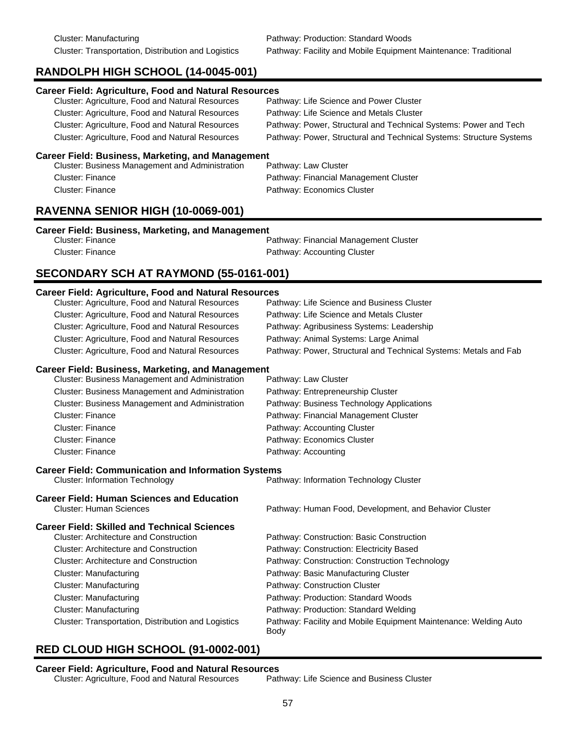Cluster: Transportation, Distribution and Logistics Pathway: Facility and Mobile Equipment Maintenance: Traditional

# **RANDOLPH HIGH SCHOOL (14-0045-001)**

| <b>Career Field: Agriculture, Food and Natural Resources</b> |                                                                     |
|--------------------------------------------------------------|---------------------------------------------------------------------|
| Cluster: Agriculture, Food and Natural Resources             | Pathway: Life Science and Power Cluster                             |
| Cluster: Agriculture, Food and Natural Resources             | Pathway: Life Science and Metals Cluster                            |
| Cluster: Agriculture, Food and Natural Resources             | Pathway: Power, Structural and Technical Systems: Power and Tech    |
| <b>Cluster: Agriculture, Food and Natural Resources</b>      | Pathway: Power, Structural and Technical Systems: Structure Systems |
| <b>Career Field: Business, Marketing, and Management</b>     |                                                                     |
| Cluster: Business Management and Administration              | Pathway: Law Cluster                                                |
| <b>Cluster: Finance</b>                                      | Pathway: Financial Management Cluster                               |
| <b>Cluster: Finance</b>                                      | Pathway: Economics Cluster                                          |
|                                                              |                                                                     |

# **RAVENNA SENIOR HIGH (10-0069-001)**

#### **Career Field: Business, Marketing, and Management**

| Cluster: Finance | Pathway: Financial Management Cluster |
|------------------|---------------------------------------|
| Cluster: Finance | Pathway: Accounting Cluster           |

# **SECONDARY SCH AT RAYMOND (55-0161-001)**

#### **Career Field: Agriculture, Food and Natural Resources**

| Cluster: Agriculture, Food and Natural Resources           | Pathway: Life Science and Business Cluster                               |
|------------------------------------------------------------|--------------------------------------------------------------------------|
| Cluster: Agriculture, Food and Natural Resources           | Pathway: Life Science and Metals Cluster                                 |
| Cluster: Agriculture, Food and Natural Resources           | Pathway: Agribusiness Systems: Leadership                                |
| Cluster: Agriculture, Food and Natural Resources           | Pathway: Animal Systems: Large Animal                                    |
| Cluster: Agriculture, Food and Natural Resources           | Pathway: Power, Structural and Technical Systems: Metals and Fab         |
| <b>Career Field: Business, Marketing, and Management</b>   |                                                                          |
| <b>Cluster: Business Management and Administration</b>     | Pathway: Law Cluster                                                     |
| Cluster: Business Management and Administration            | Pathway: Entrepreneurship Cluster                                        |
| <b>Cluster: Business Management and Administration</b>     | Pathway: Business Technology Applications                                |
| <b>Cluster: Finance</b>                                    | Pathway: Financial Management Cluster                                    |
| <b>Cluster: Finance</b>                                    | Pathway: Accounting Cluster                                              |
| <b>Cluster: Finance</b>                                    | Pathway: Economics Cluster                                               |
| <b>Cluster: Finance</b>                                    | Pathway: Accounting                                                      |
| <b>Career Field: Communication and Information Systems</b> |                                                                          |
| <b>Cluster: Information Technology</b>                     | Pathway: Information Technology Cluster                                  |
| <b>Career Field: Human Sciences and Education</b>          |                                                                          |
| <b>Cluster: Human Sciences</b>                             | Pathway: Human Food, Development, and Behavior Cluster                   |
| <b>Career Field: Skilled and Technical Sciences</b>        |                                                                          |
| <b>Cluster: Architecture and Construction</b>              | Pathway: Construction: Basic Construction                                |
| <b>Cluster: Architecture and Construction</b>              | Pathway: Construction: Electricity Based                                 |
| <b>Cluster: Architecture and Construction</b>              | Pathway: Construction: Construction Technology                           |
| <b>Cluster: Manufacturing</b>                              | Pathway: Basic Manufacturing Cluster                                     |
| <b>Cluster: Manufacturing</b>                              | Pathway: Construction Cluster                                            |
| <b>Cluster: Manufacturing</b>                              | Pathway: Production: Standard Woods                                      |
| <b>Cluster: Manufacturing</b>                              | Pathway: Production: Standard Welding                                    |
| Cluster: Transportation, Distribution and Logistics        | Pathway: Facility and Mobile Equipment Maintenance: Welding Auto<br>Body |

# **RED CLOUD HIGH SCHOOL (91-0002-001)**

**Career Field: Agriculture, Food and Natural Resources** Cluster: Agriculture, Food and Natural Resources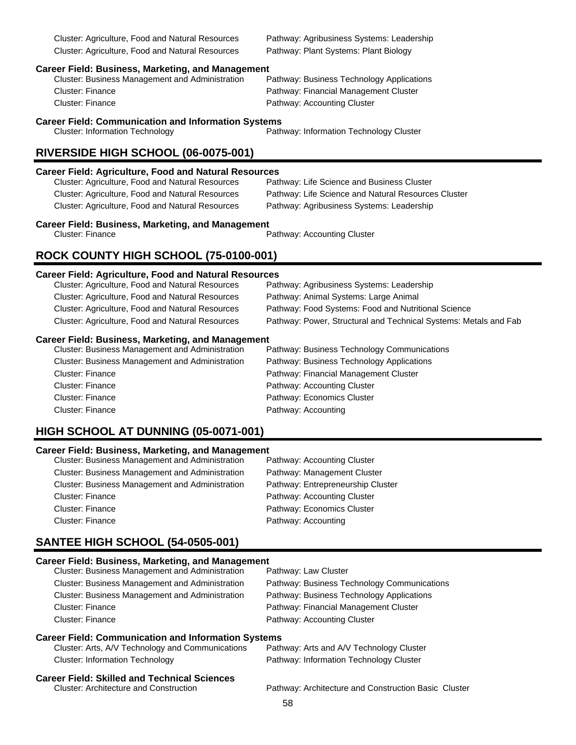Cluster: Agriculture, Food and Natural Resources Pathway: Agribusiness Systems: Leadership Cluster: Agriculture, Food and Natural Resources Pathway: Plant Systems: Plant Biology

# **Career Field: Business, Marketing, and Management**

Cluster: Business Management and Administration Cluster: Finance **Pathway: Financial Management Cluster** Pathway: Financial Management Cluster Cluster: Finance **Pathway: Accounting Cluster** 

#### **Career Field: Communication and Information Systems**

Cluster: Information Technology Pathway: Information Technology Cluster

# **RIVERSIDE HIGH SCHOOL (06-0075-001)**

#### **Career Field: Agriculture, Food and Natural Resources**

| Cluster: Agriculture, Food and Natural Resources | Pathway: Life Science and Business Cluster          |
|--------------------------------------------------|-----------------------------------------------------|
| Cluster: Agriculture, Food and Natural Resources | Pathway: Life Science and Natural Resources Cluster |
| Cluster: Agriculture, Food and Natural Resources | Pathway: Agribusiness Systems: Leadership           |

# **Career Field: Business, Marketing, and Management**<br>Cluster: Finance

Pathway: Accounting Cluster

# **ROCK COUNTY HIGH SCHOOL (75-0100-001)**

# **Career Field: Agriculture, Food and Natural Resources**

| Cluster: Agriculture, Food and Natural Resources         | Pathway: Agribusiness Systems: Leadership                        |
|----------------------------------------------------------|------------------------------------------------------------------|
| Cluster: Agriculture, Food and Natural Resources         | Pathway: Animal Systems: Large Animal                            |
| Cluster: Agriculture, Food and Natural Resources         | Pathway: Food Systems: Food and Nutritional Science              |
| Cluster: Agriculture, Food and Natural Resources         | Pathway: Power, Structural and Technical Systems: Metals and Fab |
| <b>Career Field: Business, Marketing, and Management</b> |                                                                  |
| Cluster: Business Management and Administration          | Pathway: Business Technology Communications                      |

| Pathway: Business Technology Communications |
|---------------------------------------------|
| Pathway: Business Technology Applications   |
| Pathway: Financial Management Cluster       |
| Pathway: Accounting Cluster                 |
| Pathway: Economics Cluster                  |
| Pathway: Accounting                         |
|                                             |

# **HIGH SCHOOL AT DUNNING (05-0071-001)**

#### **Career Field: Business, Marketing, and Management**

| <b>Cluster: Business Management and Administration</b> | Pathway: Accounting Cluster       |
|--------------------------------------------------------|-----------------------------------|
| <b>Cluster: Business Management and Administration</b> | Pathway: Management Cluster       |
| <b>Cluster: Business Management and Administration</b> | Pathway: Entrepreneurship Cluster |
| Cluster: Finance                                       | Pathway: Accounting Cluster       |
| <b>Cluster: Finance</b>                                | Pathway: Economics Cluster        |
| <b>Cluster: Finance</b>                                | Pathway: Accounting               |

# **SANTEE HIGH SCHOOL (54-0505-001)**

| <b>Career Field: Business, Marketing, and Management</b><br>Cluster: Business Management and Administration | Pathway: Law Cluster                                 |
|-------------------------------------------------------------------------------------------------------------|------------------------------------------------------|
| Cluster: Business Management and Administration                                                             | Pathway: Business Technology Communications          |
| <b>Cluster: Business Management and Administration</b>                                                      | Pathway: Business Technology Applications            |
| Cluster: Finance                                                                                            | Pathway: Financial Management Cluster                |
| Cluster: Finance                                                                                            | Pathway: Accounting Cluster                          |
| <b>Career Field: Communication and Information Systems</b>                                                  |                                                      |
| Cluster: Arts, A/V Technology and Communications                                                            | Pathway: Arts and A/V Technology Cluster             |
| <b>Cluster: Information Technology</b>                                                                      | Pathway: Information Technology Cluster              |
| <b>Career Field: Skilled and Technical Sciences</b><br><b>Cluster: Architecture and Construction</b>        | Pathway: Architecture and Construction Basic Cluster |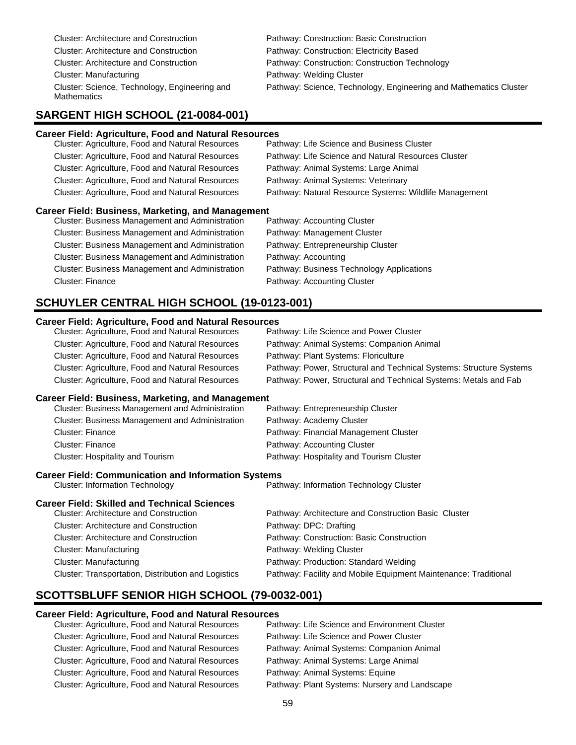| Cluster: Architecture and Construction                              |
|---------------------------------------------------------------------|
| <b>Cluster: Architecture and Construction</b>                       |
| <b>Cluster: Architecture and Construction</b>                       |
| Cluster: Manufacturing                                              |
| Cluster: Science, Technology, Engineering and<br><b>Mathematics</b> |

Pathway: Construction: Basic Construction Pathway: Construction: Electricity Based Pathway: Construction: Construction Technology Pathway: Welding Cluster Pathway: Science, Technology, Engineering and Mathematics Cluster

### **SARGENT HIGH SCHOOL (21-0084-001)**

#### **Career Field: Agriculture, Food and Natural Resources** Cluster: Agriculture, Food and Natural Resources Cluster: Agriculture, Food and Natural Resources Pathway: Life Science and Natural Resources Cluster Cluster: Agriculture, Food and Natural Resources Pathway: Animal Systems: Large Animal Cluster: Agriculture, Food and Natural Resources Pathway: Animal Systems: Veterinary Cluster: Agriculture, Food and Natural Resources Pathway: Natural Resource Systems: Wildlife Management

#### **Career Field: Business, Marketing, and Management**

Cluster: Business Management and Administration Pathway: Accounting Cluster Cluster: Business Management and Administration Pathway: Management Cluster Cluster: Business Management and Administration Pathway: Entrepreneurship Cluster Cluster: Business Management and Administration Pathway: Accounting Cluster: Business Management and Administration Pathway: Business Technology Applications Cluster: Finance **Pathway: Accounting Cluster** Pathway: Accounting Cluster

### **SCHUYLER CENTRAL HIGH SCHOOL (19-0123-001)**

#### **Career Field: Agriculture, Food and Natural Resources**

| Cluster: Agriculture, Food and Natural Resources         | Pathway: Life Science and Power Cluster                             |
|----------------------------------------------------------|---------------------------------------------------------------------|
| Cluster: Agriculture, Food and Natural Resources         | Pathway: Animal Systems: Companion Animal                           |
| Cluster: Agriculture, Food and Natural Resources         | Pathway: Plant Systems: Floriculture                                |
| Cluster: Agriculture, Food and Natural Resources         | Pathway: Power, Structural and Technical Systems: Structure Systems |
| Cluster: Agriculture, Food and Natural Resources         | Pathway: Power, Structural and Technical Systems: Metals and Fab    |
| <b>Career Field: Business, Marketing, and Management</b> |                                                                     |
| <b>Cluster: Business Management and Administration</b>   | Pathway: Entrepreneurship Cluster                                   |
| Cluster: Business Management and Administration          | Pathway: Academy Cluster                                            |
| Cluetar: Einance                                         | <b>Dathway: Einancial Management Cluster</b>                        |

| Cluster: Finance                 | Pathway: Financial Management Cluster    |
|----------------------------------|------------------------------------------|
| Cluster: Finance                 | Pathway: Accounting Cluster              |
| Cluster: Hospitality and Tourism | Pathway: Hospitality and Tourism Cluster |

#### **Career Field: Communication and Information Systems**

Cluster: Information Technology Pathway: Information Technology Cluster

# **Career Field: Skilled and Technical Sciences**

| <b>Cluster: Architecture and Construction</b>       | Pathway: Architecture and Construction Basic Cluster            |
|-----------------------------------------------------|-----------------------------------------------------------------|
| <b>Cluster: Architecture and Construction</b>       | Pathway: DPC: Drafting                                          |
| <b>Cluster: Architecture and Construction</b>       | Pathway: Construction: Basic Construction                       |
| Cluster: Manufacturing                              | Pathway: Welding Cluster                                        |
| Cluster: Manufacturing                              | Pathway: Production: Standard Welding                           |
| Cluster: Transportation, Distribution and Logistics | Pathway: Facility and Mobile Equipment Maintenance: Traditional |

# **SCOTTSBLUFF SENIOR HIGH SCHOOL (79-0032-001)**

#### **Career Field: Agriculture, Food and Natural Resources**

| Cluster: Agriculture, Food and Natural Resources        | Pathway: Life Science and Environment Cluster |
|---------------------------------------------------------|-----------------------------------------------|
| Cluster: Agriculture, Food and Natural Resources        | Pathway: Life Science and Power Cluster       |
| <b>Cluster: Agriculture, Food and Natural Resources</b> | Pathway: Animal Systems: Companion Animal     |
| Cluster: Agriculture, Food and Natural Resources        | Pathway: Animal Systems: Large Animal         |
| <b>Cluster: Agriculture, Food and Natural Resources</b> | Pathway: Animal Systems: Equine               |
| Cluster: Agriculture, Food and Natural Resources        | Pathway: Plant Systems: Nursery and Landscape |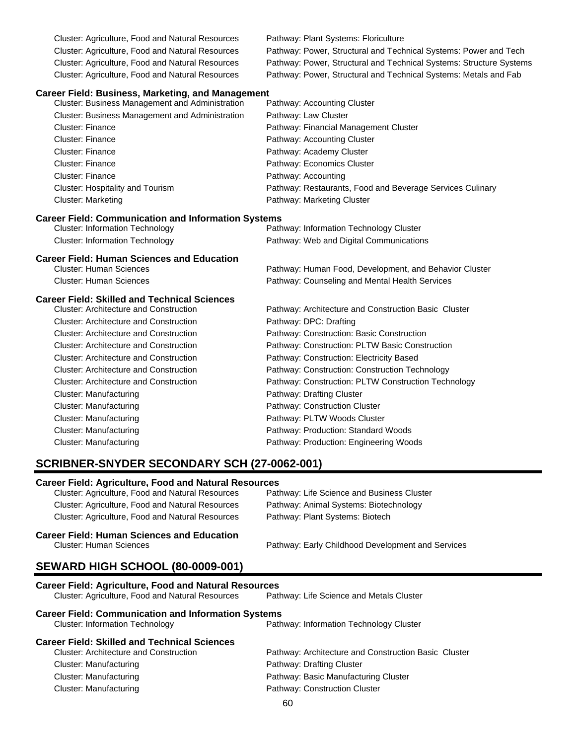Cluster: Agriculture, Food and Natural Resources Pathway: Plant Systems: Floriculture

Cluster: Agriculture, Food and Natural Resources Pathway: Power, Structural and Technical Systems: Power and Tech Cluster: Agriculture, Food and Natural Resources Pathway: Power, Structural and Technical Systems: Structure Systems Cluster: Agriculture, Food and Natural Resources Pathway: Power, Structural and Technical Systems: Metals and Fab

Pathway: Human Food, Development, and Behavior Cluster

#### **Career Field: Business, Marketing, and Management**

| Cluster: Business Management and Administration        | Pathway: Accounting Cluster                               |
|--------------------------------------------------------|-----------------------------------------------------------|
| <b>Cluster: Business Management and Administration</b> | Pathway: Law Cluster                                      |
| <b>Cluster: Finance</b>                                | Pathway: Financial Management Cluster                     |
| Cluster: Finance                                       | Pathway: Accounting Cluster                               |
| Cluster: Finance                                       | Pathway: Academy Cluster                                  |
| <b>Cluster: Finance</b>                                | Pathway: Economics Cluster                                |
| <b>Cluster: Finance</b>                                | Pathway: Accounting                                       |
| Cluster: Hospitality and Tourism                       | Pathway: Restaurants, Food and Beverage Services Culinary |
| <b>Cluster: Marketing</b>                              | Pathway: Marketing Cluster                                |

#### **Career Field: Communication and Information Systems**

Cluster: Information Technology Pathway: Information Technology Cluster Cluster: Information Technology Pathway: Web and Digital Communications

# **Career Field: Human Sciences and Education**

Cluster: Human Sciences Pathway: Counseling and Mental Health Services

#### **Career Field: Skilled and Technical Sciences**

| <b>Cluster: Architecture and Construction</b> | Pathway: Architecture and Construction Basic Cluster |
|-----------------------------------------------|------------------------------------------------------|
| <b>Cluster: Architecture and Construction</b> | Pathway: DPC: Drafting                               |
| <b>Cluster: Architecture and Construction</b> | Pathway: Construction: Basic Construction            |
| <b>Cluster: Architecture and Construction</b> | Pathway: Construction: PLTW Basic Construction       |
| <b>Cluster: Architecture and Construction</b> | Pathway: Construction: Electricity Based             |
| <b>Cluster: Architecture and Construction</b> | Pathway: Construction: Construction Technology       |
| <b>Cluster: Architecture and Construction</b> | Pathway: Construction: PLTW Construction Technology  |
| Cluster: Manufacturing                        | Pathway: Drafting Cluster                            |
| Cluster: Manufacturing                        | Pathway: Construction Cluster                        |
| Cluster: Manufacturing                        | Pathway: PLTW Woods Cluster                          |
| Cluster: Manufacturing                        | Pathway: Production: Standard Woods                  |
| Cluster: Manufacturing                        | Pathway: Production: Engineering Woods               |

#### **SCRIBNER-SNYDER SECONDARY SCH (27-0062-001)**

#### **Career Field: Agriculture, Food and Natural Resources**

| Cluster: Agriculture, Food and Natural Resources        | Pathway: Life Science and Business Cluster |
|---------------------------------------------------------|--------------------------------------------|
| <b>Cluster: Agriculture, Food and Natural Resources</b> | Pathway: Animal Systems: Biotechnology     |
| <b>Cluster: Agriculture, Food and Natural Resources</b> | Pathway: Plant Systems: Biotech            |
|                                                         |                                            |

# **Career Field: Human Sciences and Education**

Pathway: Early Childhood Development and Services

#### **SEWARD HIGH SCHOOL (80-0009-001)**

| <b>Career Field: Agriculture, Food and Natural Resources</b> |                                                      |  |  |
|--------------------------------------------------------------|------------------------------------------------------|--|--|
| Cluster: Agriculture, Food and Natural Resources             | Pathway: Life Science and Metals Cluster             |  |  |
| <b>Career Field: Communication and Information Systems</b>   |                                                      |  |  |
| <b>Cluster: Information Technology</b>                       | Pathway: Information Technology Cluster              |  |  |
| <b>Career Field: Skilled and Technical Sciences</b>          |                                                      |  |  |
| <b>Cluster: Architecture and Construction</b>                | Pathway: Architecture and Construction Basic Cluster |  |  |
| Cluster: Manufacturing                                       | Pathway: Drafting Cluster                            |  |  |
| Cluster: Manufacturing                                       | Pathway: Basic Manufacturing Cluster                 |  |  |
| Cluster: Manufacturing                                       | Pathway: Construction Cluster                        |  |  |
|                                                              |                                                      |  |  |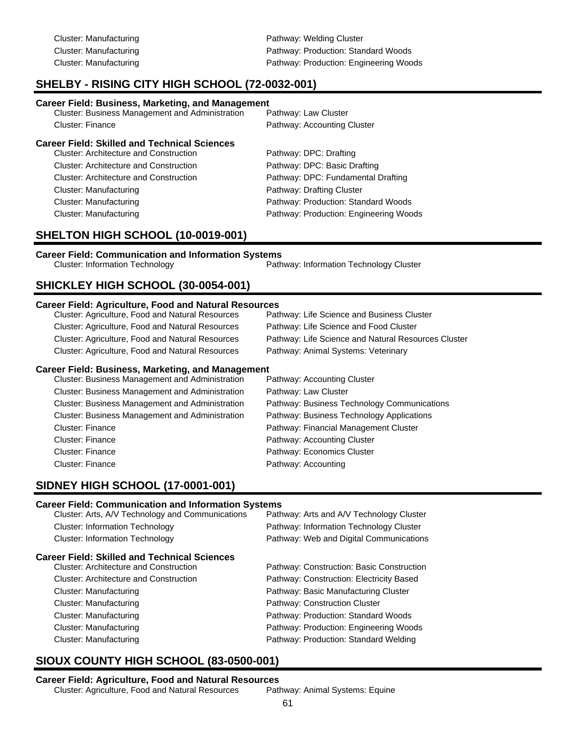Cluster: Manufacturing **Pathway: Welding Cluster** Pathway: Welding Cluster Cluster: Manufacturing extending Pathway: Production: Standard Woods Cluster: Manufacturing Pathway: Production: Engineering Woods

# **SHELBY - RISING CITY HIGH SCHOOL (72-0032-001)**

#### **Career Field: Business, Marketing, and Management**

| <b>Cluster: Business Management and Administration</b> | Pathway: Law Cluster        |
|--------------------------------------------------------|-----------------------------|
| <b>Cluster: Finance</b>                                | Pathway: Accounting Cluster |
| Career Field: Skilled and Technical Sciences           |                             |
| <b>Cluster: Architecture and Construction</b>          | Pathway: DPC: Drafting      |
|                                                        |                             |

| <b>Cluster: Architecture and Construction</b> | Pathway: DPC: Basic Drafting           |
|-----------------------------------------------|----------------------------------------|
| <b>Cluster: Architecture and Construction</b> | Pathway: DPC: Fundamental Drafting     |
| Cluster: Manufacturing                        | Pathway: Drafting Cluster              |
| Cluster: Manufacturing                        | Pathway: Production: Standard Woods    |
| Cluster: Manufacturing                        | Pathway: Production: Engineering Woods |

# **SHELTON HIGH SCHOOL (10-0019-001)**

#### **Career Field: Communication and Information Systems**

Cluster: Information Technology Pathway: Information Technology Cluster

# **SHICKLEY HIGH SCHOOL (30-0054-001)**

#### **Career Field: Agriculture, Food and Natural Resources**

| Cluster: Agriculture, Food and Natural Resources | Pathway: Life Science and Business Cluster          |
|--------------------------------------------------|-----------------------------------------------------|
| Cluster: Agriculture, Food and Natural Resources | Pathway: Life Science and Food Cluster              |
| Cluster: Agriculture, Food and Natural Resources | Pathway: Life Science and Natural Resources Cluster |
| Cluster: Agriculture, Food and Natural Resources | Pathway: Animal Systems: Veterinary                 |
|                                                  |                                                     |

#### **Career Field: Business, Marketing, and Management**

| Cluster: Business Management and Administration        | Pathway: Accounting Cluster                 |
|--------------------------------------------------------|---------------------------------------------|
| <b>Cluster: Business Management and Administration</b> | Pathway: Law Cluster                        |
| <b>Cluster: Business Management and Administration</b> | Pathway: Business Technology Communications |
| Cluster: Business Management and Administration        | Pathway: Business Technology Applications   |
| <b>Cluster: Finance</b>                                | Pathway: Financial Management Cluster       |
| <b>Cluster: Finance</b>                                | Pathway: Accounting Cluster                 |
| <b>Cluster: Finance</b>                                | Pathway: Economics Cluster                  |
| <b>Cluster: Finance</b>                                | Pathway: Accounting                         |
|                                                        |                                             |

# **SIDNEY HIGH SCHOOL (17-0001-001)**

#### **Career Field: Communication and Information Systems**

| Cluster: Arts, A/V Technology and Communications | Pathway: Arts and A/V Technology Cluster  |
|--------------------------------------------------|-------------------------------------------|
| <b>Cluster: Information Technology</b>           | Pathway: Information Technology Cluster   |
| <b>Cluster: Information Technology</b>           | Pathway: Web and Digital Communications   |
| Career Field: Skilled and Technical Sciences     |                                           |
| <b>Cluster: Architecture and Construction</b>    | Pathway: Construction: Basic Construction |
| <b>Cluster: Architecture and Construction</b>    | Pathway: Construction: Electricity Based  |
| Cluster: Manufacturing                           | Pathway: Basic Manufacturing Cluster      |
| Cluster: Manufacturing                           | Pathway: Construction Cluster             |
| Cluster: Manufacturing                           | Pathway: Production: Standard Woods       |
| Cluster: Manufacturing                           | Pathway: Production: Engineering Woods    |
| Cluster: Manufacturing                           | Pathway: Production: Standard Welding     |
|                                                  |                                           |

# **SIOUX COUNTY HIGH SCHOOL (83-0500-001)**

#### **Career Field: Agriculture, Food and Natural Resources**

Cluster: Agriculture, Food and Natural Resources Pathway: Animal Systems: Equine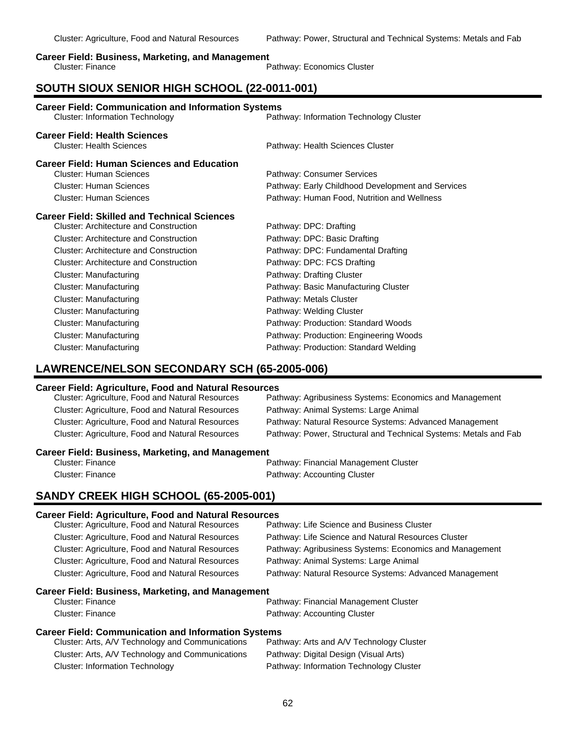#### **Career Field: Business, Marketing, and Management**

|                  | _____ |                            |
|------------------|-------|----------------------------|
| Cluster: Finance |       | Pathway: Economics Cluster |

# **SOUTH SIOUX SENIOR HIGH SCHOOL (22-0011-001)**

| <b>Career Field: Communication and Information Systems</b><br><b>Cluster: Information Technology</b><br>Pathway: Information Technology Cluster |                                                   |  |
|-------------------------------------------------------------------------------------------------------------------------------------------------|---------------------------------------------------|--|
| <b>Career Field: Health Sciences</b><br><b>Cluster: Health Sciences</b>                                                                         | Pathway: Health Sciences Cluster                  |  |
| <b>Career Field: Human Sciences and Education</b>                                                                                               |                                                   |  |
| <b>Cluster: Human Sciences</b>                                                                                                                  | Pathway: Consumer Services                        |  |
| Cluster: Human Sciences                                                                                                                         | Pathway: Early Childhood Development and Services |  |
| <b>Cluster: Human Sciences</b>                                                                                                                  | Pathway: Human Food, Nutrition and Wellness       |  |
| <b>Career Field: Skilled and Technical Sciences</b>                                                                                             |                                                   |  |
| <b>Cluster: Architecture and Construction</b>                                                                                                   | Pathway: DPC: Drafting                            |  |
| <b>Cluster: Architecture and Construction</b>                                                                                                   | Pathway: DPC: Basic Drafting                      |  |
| Cluster: Architecture and Construction                                                                                                          | Pathway: DPC: Fundamental Drafting                |  |
| Cluster: Architecture and Construction                                                                                                          | Pathway: DPC: FCS Drafting                        |  |
| <b>Cluster: Manufacturing</b>                                                                                                                   | Pathway: Drafting Cluster                         |  |
| <b>Cluster: Manufacturing</b>                                                                                                                   | Pathway: Basic Manufacturing Cluster              |  |
| <b>Cluster: Manufacturing</b>                                                                                                                   | Pathway: Metals Cluster                           |  |
| Cluster: Manufacturing                                                                                                                          | Pathway: Welding Cluster                          |  |
| <b>Cluster: Manufacturing</b>                                                                                                                   | Pathway: Production: Standard Woods               |  |
| Cluster: Manufacturing                                                                                                                          | Pathway: Production: Engineering Woods            |  |
| Cluster: Manufacturing                                                                                                                          | Pathway: Production: Standard Welding             |  |

# **LAWRENCE/NELSON SECONDARY SCH (65-2005-006)**

#### **Career Field: Agriculture, Food and Natural Resources**

| Cluster: Agriculture, Food and Natural Resources         | Pathway: Agribusiness Systems: Economics and Management          |  |
|----------------------------------------------------------|------------------------------------------------------------------|--|
| Cluster: Agriculture, Food and Natural Resources         | Pathway: Animal Systems: Large Animal                            |  |
| Cluster: Agriculture, Food and Natural Resources         | Pathway: Natural Resource Systems: Advanced Management           |  |
| Cluster: Agriculture, Food and Natural Resources         | Pathway: Power, Structural and Technical Systems: Metals and Fab |  |
| <b>Career Field: Business, Marketing, and Management</b> |                                                                  |  |
| <b>Cluster: Finance</b>                                  | Pathway: Financial Management Cluster                            |  |
| Cluster: Finance                                         | Pathway: Accounting Cluster                                      |  |
|                                                          |                                                                  |  |

# **SANDY CREEK HIGH SCHOOL (65-2005-001)**

#### **Career Field: Agriculture, Food and Natural Resources**

| Cluster: Agriculture, Food and Natural Resources           | Pathway: Life Science and Business Cluster              |  |  |
|------------------------------------------------------------|---------------------------------------------------------|--|--|
| Cluster: Agriculture, Food and Natural Resources           | Pathway: Life Science and Natural Resources Cluster     |  |  |
| Cluster: Agriculture, Food and Natural Resources           | Pathway: Agribusiness Systems: Economics and Management |  |  |
| <b>Cluster: Agriculture, Food and Natural Resources</b>    | Pathway: Animal Systems: Large Animal                   |  |  |
| Cluster: Agriculture, Food and Natural Resources           | Pathway: Natural Resource Systems: Advanced Management  |  |  |
| <b>Career Field: Business, Marketing, and Management</b>   |                                                         |  |  |
| Cluster: Finance                                           | Pathway: Financial Management Cluster                   |  |  |
| Cluster: Finance                                           | Pathway: Accounting Cluster                             |  |  |
| <b>Career Field: Communication and Information Systems</b> |                                                         |  |  |
| Cluster: Arts, A/V Technology and Communications           | Pathway: Arts and A/V Technology Cluster                |  |  |
| Cluster: Arts, A/V Technology and Communications           | Pathway: Digital Design (Visual Arts)                   |  |  |
| <b>Cluster: Information Technology</b>                     | Pathway: Information Technology Cluster                 |  |  |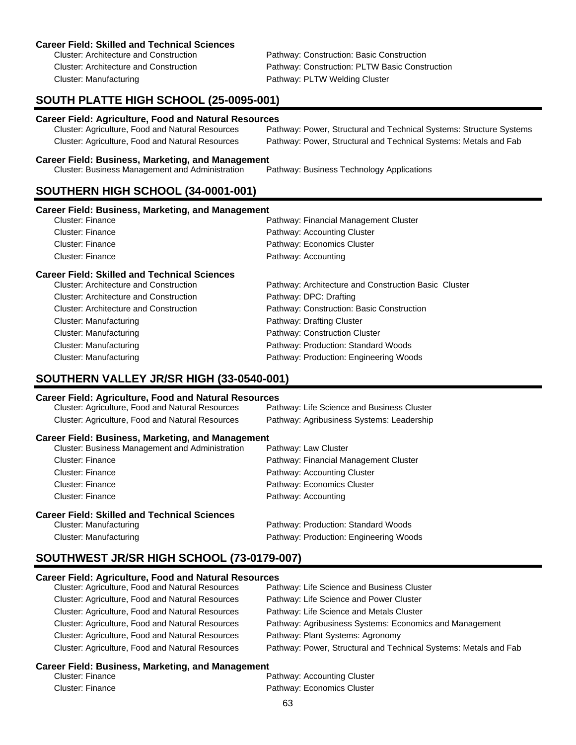#### **Career Field: Skilled and Technical Sciences**

Cluster: Manufacturing **Pathway: PLTW Welding Cluster** Pathway: PLTW Welding Cluster

Cluster: Architecture and Construction Pathway: Construction: Basic Construction Cluster: Architecture and Construction Pathway: Construction: PLTW Basic Construction

# **SOUTH PLATTE HIGH SCHOOL (25-0095-001)**

#### **Career Field: Agriculture, Food and Natural Resources**

| Cluster: Agriculture, Food and Natural Resources | Pathway: Power, Structural and Technical Systems: Structure Systems |
|--------------------------------------------------|---------------------------------------------------------------------|
| Cluster: Agriculture, Food and Natural Resources | Pathway: Power, Structural and Technical Systems: Metals and Fab    |

#### **Career Field: Business, Marketing, and Management**

Cluster: Business Management and Administration Pathway: Business Technology Applications

# **SOUTHERN HIGH SCHOOL (34-0001-001)**

#### **Career Field: Business, Marketing, and Management**

| <b>Career Field: Skilled and Technical Sciences</b> |                                       |
|-----------------------------------------------------|---------------------------------------|
| Cluster: Finance                                    | Pathway: Accounting                   |
| Cluster: Finance                                    | Pathway: Economics Cluster            |
| Cluster: Finance                                    | Pathway: Accounting Cluster           |
| Cluster: Finance                                    | Pathway: Financial Management Cluster |

### Cluster: Architecture and Construction Pathway: Architecture and Construction Basic Cluster Cluster: Architecture and Construction Pathway: DPC: Drafting Cluster: Architecture and Construction Pathway: Construction: Basic Construction Cluster: Manufacturing **Pathway: Drafting Cluster** Pathway: Drafting Cluster Cluster: Manufacturing example and the Pathway: Construction Cluster Cluster: Manufacturing Pathway: Production: Standard Woods Cluster: Manufacturing Pathway: Production: Engineering Woods

# **SOUTHERN VALLEY JR/SR HIGH (33-0540-001)**

#### **Career Field: Agriculture, Food and Natural Resources**

| Cluster: Agriculture, Food and Natural Resources         | Pathway: Life Science and Business Cluster |
|----------------------------------------------------------|--------------------------------------------|
| Cluster: Agriculture, Food and Natural Resources         | Pathway: Agribusiness Systems: Leadership  |
| <b>Career Field: Business, Marketing, and Management</b> |                                            |
| Cluster: Business Management and Administration          | Pathway: Law Cluster                       |
| Cluster: Finance                                         | Pathway: Financial Management Cluster      |
| Cluster: Finance                                         | Pathway: Accounting Cluster                |
| Cluster: Finance                                         | Pathway: Economics Cluster                 |
| Cluster: Finance                                         | Pathway: Accounting                        |
| Career Field: Skilled and Technical Sciences             |                                            |
| Cluster: Manufacturing                                   | Pathway: Production: Standard Woods        |
| Cluster: Manufacturing                                   | Pathway: Production: Engineering Woods     |

# **SOUTHWEST JR/SR HIGH SCHOOL (73-0179-007)**

#### **Career Field: Agriculture, Food and Natural Resources**

| Cluster: Agriculture, Food and Natural Resources | Pathway: Life Science and Business Cluster                       |
|--------------------------------------------------|------------------------------------------------------------------|
| Cluster: Agriculture, Food and Natural Resources | Pathway: Life Science and Power Cluster                          |
| Cluster: Agriculture, Food and Natural Resources | Pathway: Life Science and Metals Cluster                         |
| Cluster: Agriculture, Food and Natural Resources | Pathway: Agribusiness Systems: Economics and Management          |
| Cluster: Agriculture, Food and Natural Resources | Pathway: Plant Systems: Agronomy                                 |
| Cluster: Agriculture, Food and Natural Resources | Pathway: Power, Structural and Technical Systems: Metals and Fab |

#### **Career Field: Business, Marketing, and Management**

| Cluster: Finance | Pathway: Accounting Cluster |
|------------------|-----------------------------|
| Cluster: Finance | Pathway: Economics Cluster  |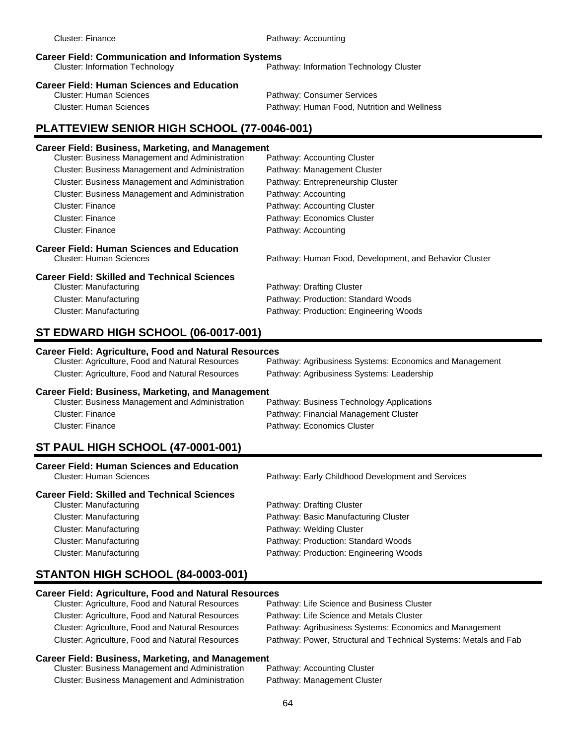| <b>Cluster: Finance</b>                                                                                                                         | Pathway: Accounting                                     |  |  |
|-------------------------------------------------------------------------------------------------------------------------------------------------|---------------------------------------------------------|--|--|
| <b>Career Field: Communication and Information Systems</b><br><b>Cluster: Information Technology</b><br>Pathway: Information Technology Cluster |                                                         |  |  |
| <b>Career Field: Human Sciences and Education</b>                                                                                               |                                                         |  |  |
| <b>Cluster: Human Sciences</b>                                                                                                                  | Pathway: Consumer Services                              |  |  |
| <b>Cluster: Human Sciences</b>                                                                                                                  | Pathway: Human Food, Nutrition and Wellness             |  |  |
| PLATTEVIEW SENIOR HIGH SCHOOL (77-0046-001)                                                                                                     |                                                         |  |  |
| <b>Career Field: Business, Marketing, and Management</b>                                                                                        |                                                         |  |  |
| Cluster: Business Management and Administration                                                                                                 | Pathway: Accounting Cluster                             |  |  |
| Cluster: Business Management and Administration                                                                                                 | Pathway: Management Cluster                             |  |  |
| Cluster: Business Management and Administration                                                                                                 | Pathway: Entrepreneurship Cluster                       |  |  |
| Cluster: Business Management and Administration                                                                                                 | Pathway: Accounting                                     |  |  |
| <b>Cluster: Finance</b>                                                                                                                         | Pathway: Accounting Cluster                             |  |  |
| <b>Cluster: Finance</b>                                                                                                                         | Pathway: Economics Cluster                              |  |  |
| <b>Cluster: Finance</b>                                                                                                                         | Pathway: Accounting                                     |  |  |
| <b>Career Field: Human Sciences and Education</b>                                                                                               |                                                         |  |  |
| <b>Cluster: Human Sciences</b>                                                                                                                  | Pathway: Human Food, Development, and Behavior Cluster  |  |  |
| <b>Career Field: Skilled and Technical Sciences</b>                                                                                             |                                                         |  |  |
| <b>Cluster: Manufacturing</b>                                                                                                                   | Pathway: Drafting Cluster                               |  |  |
| <b>Cluster: Manufacturing</b>                                                                                                                   | Pathway: Production: Standard Woods                     |  |  |
| <b>Cluster: Manufacturing</b>                                                                                                                   | Pathway: Production: Engineering Woods                  |  |  |
| ST EDWARD HIGH SCHOOL (06-0017-001)                                                                                                             |                                                         |  |  |
| <b>Career Field: Agriculture, Food and Natural Resources</b>                                                                                    |                                                         |  |  |
|                                                                                                                                                 |                                                         |  |  |
| Cluster: Agriculture, Food and Natural Resources                                                                                                | Pathway: Agribusiness Systems: Economics and Management |  |  |
| Cluster: Agriculture, Food and Natural Resources                                                                                                | Pathway: Agribusiness Systems: Leadership               |  |  |
|                                                                                                                                                 |                                                         |  |  |
| <b>Career Field: Business, Marketing, and Management</b><br>Cluster: Business Management and Administration                                     | Pathway: Business Technology Applications               |  |  |
| <b>Cluster: Finance</b>                                                                                                                         | Pathway: Financial Management Cluster                   |  |  |
| <b>Cluster: Finance</b>                                                                                                                         | Pathway: Economics Cluster                              |  |  |
|                                                                                                                                                 |                                                         |  |  |
| <b>ST PAUL HIGH SCHOOL (47-0001-001)</b>                                                                                                        |                                                         |  |  |
| <b>Career Field: Human Sciences and Education</b><br><b>Cluster: Human Sciences</b>                                                             | Pathway: Early Childhood Development and Services       |  |  |
| <b>Career Field: Skilled and Technical Sciences</b>                                                                                             |                                                         |  |  |
| <b>Cluster: Manufacturing</b>                                                                                                                   | Pathway: Drafting Cluster                               |  |  |
| <b>Cluster: Manufacturing</b>                                                                                                                   | Pathway: Basic Manufacturing Cluster                    |  |  |
| <b>Cluster: Manufacturing</b>                                                                                                                   | Pathway: Welding Cluster                                |  |  |
| <b>Cluster: Manufacturing</b>                                                                                                                   | Pathway: Production: Standard Woods                     |  |  |
| <b>Cluster: Manufacturing</b>                                                                                                                   | Pathway: Production: Engineering Woods                  |  |  |
| STANTON HIGH SCHOOL (84-0003-001)                                                                                                               |                                                         |  |  |
|                                                                                                                                                 |                                                         |  |  |
| <b>Career Field: Agriculture, Food and Natural Resources</b><br>Cluster: Agriculture, Food and Natural Resources                                | Pathway: Life Science and Business Cluster              |  |  |
| Cluster: Agriculture, Food and Natural Resources                                                                                                | Pathway: Life Science and Metals Cluster                |  |  |

Cluster: Agriculture, Food and Natural Resources Pathway: Power, Structural and Technical Systems: Metals and Fab **Career Field: Business, Marketing, and Management**

| Cluster: Business Management and Administration | Pathway: Accounting Cluster |
|-------------------------------------------------|-----------------------------|
| Cluster: Business Management and Administration | Pathway: Management Cluster |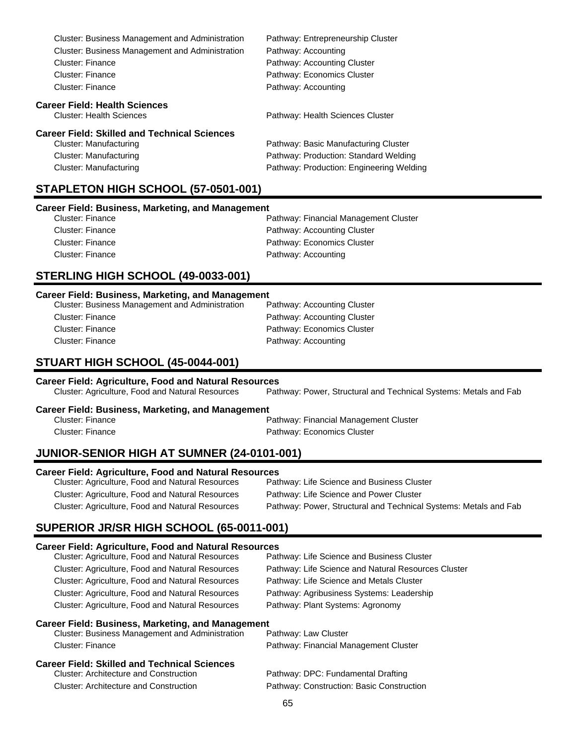| <b>Cluster: Business Management and Administration</b> | Pathway: Entrepreneurship Cluster        |
|--------------------------------------------------------|------------------------------------------|
| <b>Cluster: Business Management and Administration</b> | Pathway: Accounting                      |
| Cluster: Finance                                       | Pathway: Accounting Cluster              |
| Cluster: Finance                                       | Pathway: Economics Cluster               |
| Cluster: Finance                                       | Pathway: Accounting                      |
| <b>Career Field: Health Sciences</b>                   |                                          |
| <b>Cluster: Health Sciences</b>                        | Pathway: Health Sciences Cluster         |
| Career Field: Skilled and Technical Sciences           |                                          |
| Cluster: Manufacturing                                 | Pathway: Basic Manufacturing Cluster     |
| Cluster: Manufacturing                                 | Pathway: Production: Standard Welding    |
| Cluster: Manufacturing                                 | Pathway: Production: Engineering Welding |
|                                                        |                                          |

# **STAPLETON HIGH SCHOOL (57-0501-001)**

#### **Career Field: Business, Marketing, and Management**

| Cluster: Finance | Pathway: Financial Management Cluster |
|------------------|---------------------------------------|
| Cluster: Finance | Pathway: Accounting Cluster           |
| Cluster: Finance | Pathway: Economics Cluster            |
| Cluster: Finance | Pathway: Accounting                   |
|                  |                                       |

### **STERLING HIGH SCHOOL (49-0033-001)**

#### **Career Field: Business, Marketing, and Management**

| <b>Cluster: Business Management and Administration</b> | Pathway: Accounting Cluster |
|--------------------------------------------------------|-----------------------------|
| Cluster: Finance                                       | Pathway: Accounting Cluster |
| Cluster: Finance                                       | Pathway: Economics Cluster  |
| Cluster: Finance                                       | Pathway: Accounting         |
|                                                        |                             |

# **STUART HIGH SCHOOL (45-0044-001)**

| <b>Career Field: Agriculture, Food and Natural Resources</b> |                                                                  |  |  |
|--------------------------------------------------------------|------------------------------------------------------------------|--|--|
| Cluster: Agriculture, Food and Natural Resources             | Pathway: Power, Structural and Technical Systems: Metals and Fab |  |  |

#### **Career Field: Business, Marketing, and Management**

| Cluster: Finance | Pathway: Financial Management Cluster |
|------------------|---------------------------------------|
| Cluster: Finance | Pathway: Economics Cluster            |

# **JUNIOR-SENIOR HIGH AT SUMNER (24-0101-001)**

#### **Career Field: Agriculture, Food and Natural Resources**

| Cluster: Agriculture, Food and Natural Resources | Pathway: Life Science and Business Cluster                       |
|--------------------------------------------------|------------------------------------------------------------------|
| Cluster: Agriculture, Food and Natural Resources | Pathway: Life Science and Power Cluster                          |
| Cluster: Agriculture, Food and Natural Resources | Pathway: Power, Structural and Technical Systems: Metals and Fab |

# **SUPERIOR JR/SR HIGH SCHOOL (65-0011-001)**

#### **Career Field: Agriculture, Food and Natural Resources**

| Cluster: Agriculture, Food and Natural Resources         | Pathway: Life Science and Business Cluster          |  |
|----------------------------------------------------------|-----------------------------------------------------|--|
| Cluster: Agriculture, Food and Natural Resources         | Pathway: Life Science and Natural Resources Cluster |  |
| Cluster: Agriculture, Food and Natural Resources         | Pathway: Life Science and Metals Cluster            |  |
| Cluster: Agriculture, Food and Natural Resources         | Pathway: Agribusiness Systems: Leadership           |  |
| Cluster: Agriculture, Food and Natural Resources         | Pathway: Plant Systems: Agronomy                    |  |
| <b>Career Field: Business, Marketing, and Management</b> |                                                     |  |
| Cluster: Business Management and Administration          | Pathway: Law Cluster                                |  |
| Cluster: Finance                                         | Pathway: Financial Management Cluster               |  |
| Career Field: Skilled and Technical Sciences             |                                                     |  |
| <b>Cluster: Architecture and Construction</b>            | Pathway: DPC: Fundamental Drafting                  |  |
| <b>Cluster: Architecture and Construction</b>            | Pathway: Construction: Basic Construction           |  |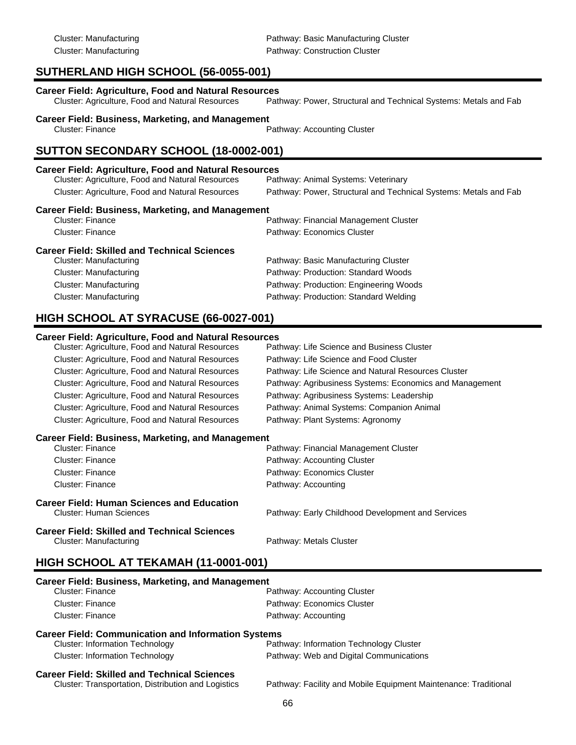# **SUTHERLAND HIGH SCHOOL (56-0055-001)**

| <b>Career Field: Agriculture, Food and Natural Resources</b> |                                                                  |
|--------------------------------------------------------------|------------------------------------------------------------------|
| Cluster: Agriculture, Food and Natural Resources             | Pathway: Power, Structural and Technical Systems: Metals and Fab |

**Career Field: Business, Marketing, and Management**<br>Cluster: Finance

Pathway: Accounting Cluster

# **SUTTON SECONDARY SCHOOL (18-0002-001)**

#### **Career Field: Agriculture, Food and Natural Resources**

| Cluster: Agriculture, Food and Natural Resources | Pathway: Animal Systems: Veterinary                              |
|--------------------------------------------------|------------------------------------------------------------------|
| Cluster: Agriculture, Food and Natural Resources | Pathway: Power, Structural and Technical Systems: Metals and Fab |

#### **Career Field: Business, Marketing, and Management**

| Cluster: Finance                             | Pathway: Financial Management Cluster  |
|----------------------------------------------|----------------------------------------|
| Cluster: Finance                             | Pathway: Economics Cluster             |
| Career Field: Skilled and Technical Sciences |                                        |
| Cluster: Manufacturing                       | Pathway: Basic Manufacturing Cluster   |
| Cluster: Manufacturing                       | Pathway: Production: Standard Woods    |
| Cluster: Manufacturing                       | Pathway: Production: Engineering Woods |

Cluster: Manufacturing Pathway: Production: Standard Welding

# **HIGH SCHOOL AT SYRACUSE (66-0027-001)**

# **Career Field: Agriculture, Food and Natural Resources** Cluster: Agriculture, Food and Natural Resources Cluster: Agriculture, Food and Natural Resources Pathway: Life Science and Food Cluster Cluster: Agriculture, Food and Natural Resources Pathway: Life Science and Natural Resources Cluster Cluster: Agriculture, Food and Natural Resources Pathway: Agribusiness Systems: Economics and Management Cluster: Agriculture, Food and Natural Resources Pathway: Agribusiness Systems: Leadership Cluster: Agriculture, Food and Natural Resources Pathway: Animal Systems: Companion Animal Cluster: Agriculture, Food and Natural Resources Pathway: Plant Systems: Agronomy **Career Field: Business, Marketing, and Management** Pathway: Financial Management Cluster Cluster: Finance **Pathway: Accounting Cluster** Cluster: Finance Pathway: Economics Cluster Cluster: Finance **Pathway: Accounting Career Field: Human Sciences and Education** Pathway: Early Childhood Development and Services

#### **Career Field: Skilled and Technical Sciences** Cluster: Manufacturing **Pathway: Metals Cluster** Pathway: Metals Cluster

# **HIGH SCHOOL AT TEKAMAH (11-0001-001)**

| Career Field: Business, Marketing, and Management          |                                                                 |
|------------------------------------------------------------|-----------------------------------------------------------------|
| <b>Cluster: Finance</b>                                    | Pathway: Accounting Cluster                                     |
| Cluster: Finance                                           | Pathway: Economics Cluster                                      |
| Cluster: Finance                                           | Pathway: Accounting                                             |
| <b>Career Field: Communication and Information Systems</b> |                                                                 |
| <b>Cluster: Information Technology</b>                     | Pathway: Information Technology Cluster                         |
| <b>Cluster: Information Technology</b>                     | Pathway: Web and Digital Communications                         |
| <b>Career Field: Skilled and Technical Sciences</b>        |                                                                 |
| Cluster: Transportation. Distribution and Logistics        | Pathway: Facility and Mobile Equipment Maintenance: Traditional |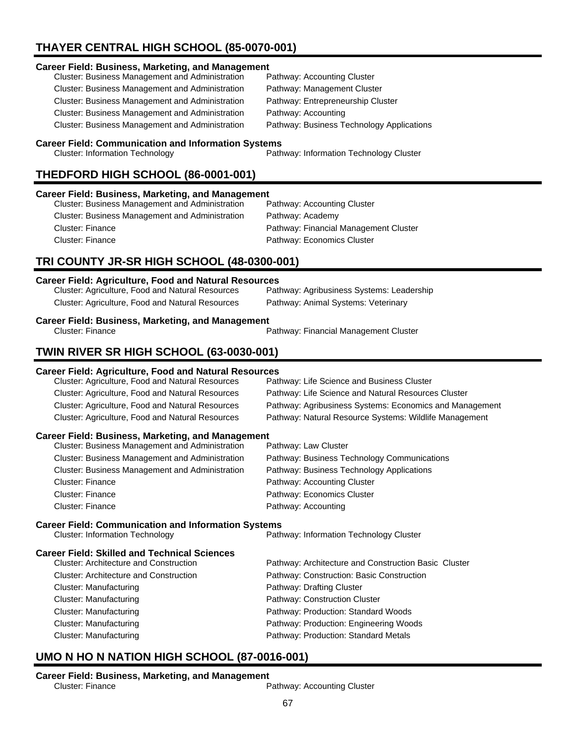# **THAYER CENTRAL HIGH SCHOOL (85-0070-001)**

#### **Career Field: Business, Marketing, and Management**

| <b>Cluster: Business Management and Administration</b> |  |
|--------------------------------------------------------|--|
| Cluster: Business Management and Administration        |  |
| <b>Cluster: Business Management and Administration</b> |  |
| <b>Cluster: Business Management and Administration</b> |  |
| Cluster: Business Management and Administration        |  |

Pathway: Accounting Cluster Pathway: Management Cluster Pathway: Entrepreneurship Cluster Pathway: Accounting Pathway: Business Technology Applications

#### **Career Field: Communication and Information Systems**

Cluster: Information Technology Pathway: Information Technology Cluster

# **THEDFORD HIGH SCHOOL (86-0001-001)**

#### **Career Field: Business, Marketing, and Management**

| Pathway: Accounting Cluster           |
|---------------------------------------|
| Pathway: Academy                      |
| Pathway: Financial Management Cluster |
| Pathway: Economics Cluster            |
|                                       |

# **TRI COUNTY JR-SR HIGH SCHOOL (48-0300-001)**

| <b>Career Field: Agriculture, Food and Natural Resources</b>                                                                 |                                                         |  |
|------------------------------------------------------------------------------------------------------------------------------|---------------------------------------------------------|--|
| Cluster: Agriculture, Food and Natural Resources                                                                             | Pathway: Agribusiness Systems: Leadership               |  |
| Cluster: Agriculture, Food and Natural Resources                                                                             | Pathway: Animal Systems: Veterinary                     |  |
| <b>Career Field: Business, Marketing, and Management</b><br><b>Cluster: Finance</b><br>Pathway: Financial Management Cluster |                                                         |  |
| TWIN RIVER SR HIGH SCHOOL (63-0030-001)                                                                                      |                                                         |  |
| Career Field: Agriculture, Food and Natural Resources                                                                        |                                                         |  |
| Cluster: Agriculture, Food and Natural Resources                                                                             | Pathway: Life Science and Business Cluster              |  |
| Cluster: Agriculture, Food and Natural Resources                                                                             | Pathway: Life Science and Natural Resources Cluster     |  |
| Cluster: Agriculture, Food and Natural Resources                                                                             | Pathway: Agribusiness Systems: Economics and Management |  |
| Cluster: Agriculture, Food and Natural Resources                                                                             | Pathway: Natural Resource Systems: Wildlife Management  |  |
| <b>Career Field: Business, Marketing, and Management</b><br>Cluster: Business Management and Administration                  | Pathway: Law Cluster                                    |  |
| Cluster: Business Management and Administration                                                                              | Pathway: Business Technology Communications             |  |
| Cluster: Business Management and Administration                                                                              | Pathway: Business Technology Applications               |  |
| <b>Cluster: Finance</b>                                                                                                      | Pathway: Accounting Cluster                             |  |
| <b>Cluster: Finance</b>                                                                                                      | Pathway: Economics Cluster                              |  |
| <b>Cluster: Finance</b>                                                                                                      | Pathway: Accounting                                     |  |
| <b>Career Field: Communication and Information Systems</b>                                                                   |                                                         |  |
| <b>Cluster: Information Technology</b>                                                                                       | Pathway: Information Technology Cluster                 |  |
| <b>Career Field: Skilled and Technical Sciences</b>                                                                          |                                                         |  |
| <b>Cluster: Architecture and Construction</b>                                                                                | Pathway: Architecture and Construction Basic Cluster    |  |
| <b>Cluster: Architecture and Construction</b>                                                                                | Pathway: Construction: Basic Construction               |  |
| <b>Cluster: Manufacturing</b>                                                                                                | Pathway: Drafting Cluster                               |  |
| Cluster: Manufacturing                                                                                                       | Pathway: Construction Cluster                           |  |
| <b>Cluster: Manufacturing</b>                                                                                                | Pathway: Production: Standard Woods                     |  |
| <b>Cluster: Manufacturing</b>                                                                                                | Pathway: Production: Engineering Woods                  |  |
| <b>Cluster: Manufacturing</b>                                                                                                | Pathway: Production: Standard Metals                    |  |
|                                                                                                                              |                                                         |  |

# **UMO N HO N NATION HIGH SCHOOL (87-0016-001)**

# **Career Field: Business, Marketing, and Management**<br>Cluster: Finance

Pathway: Accounting Cluster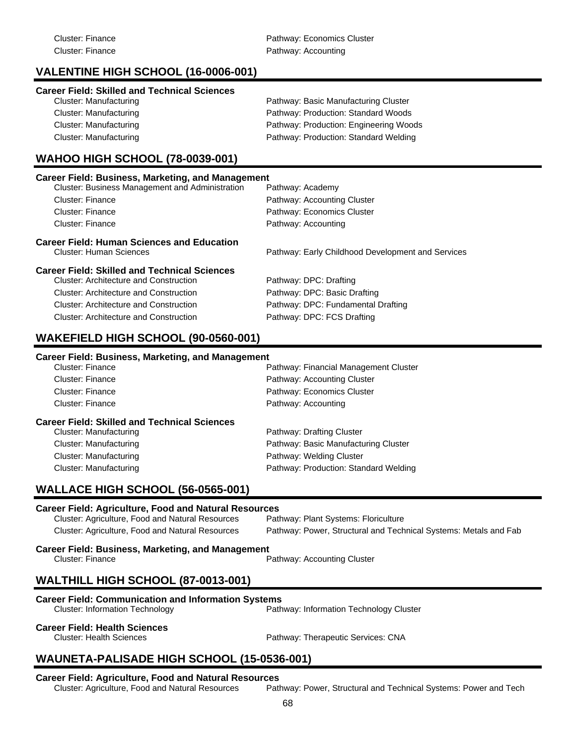# **VALENTINE HIGH SCHOOL (16-0006-001)**

### **Career Field: Skilled and Technical Sciences**

| Cluster: Manufacturing | Pathway: Basic Manufacturing Cluster   |
|------------------------|----------------------------------------|
| Cluster: Manufacturing | Pathway: Production: Standard Woods    |
| Cluster: Manufacturing | Pathway: Production: Engineering Woods |
| Cluster: Manufacturing | Pathway: Production: Standard Welding  |

# **WAHOO HIGH SCHOOL (78-0039-001)**

| Career Field: Business, Marketing, and Management                     |                                                   |  |
|-----------------------------------------------------------------------|---------------------------------------------------|--|
| <b>Cluster: Business Management and Administration</b>                | Pathway: Academy                                  |  |
| Cluster: Finance                                                      | Pathway: Accounting Cluster                       |  |
| Cluster: Finance                                                      | Pathway: Economics Cluster                        |  |
| Cluster: Finance                                                      | Pathway: Accounting                               |  |
| Career Field: Human Sciences and Education<br>Cluster: Human Sciences | Pathway: Early Childhood Development and Services |  |
| Career Field: Skilled and Technical Sciences                          |                                                   |  |
| Cluster: Architecture and Construction                                | Pathway: DPC: Drafting                            |  |
| Cluster: Architecture and Construction                                | Pathway: DPC: Basic Drafting                      |  |
| <b>Cluster: Architecture and Construction</b>                         | Pathway: DPC: Fundamental Drafting                |  |
| Cluster: Architecture and Construction                                | Pathway: DPC: FCS Drafting                        |  |

# **WAKEFIELD HIGH SCHOOL (90-0560-001)**

#### **Career Field: Business, Marketing, and Management**

| <b>Cluster: Finance</b>                             | Pathway: Financial Management Cluster |
|-----------------------------------------------------|---------------------------------------|
| Cluster: Finance                                    | Pathway: Accounting Cluster           |
| Cluster: Finance                                    | Pathway: Economics Cluster            |
| Cluster: Finance                                    | Pathway: Accounting                   |
| <b>Career Field: Skilled and Technical Sciences</b> |                                       |
| Cluster: Manufacturing                              | Pathway: Drafting Cluster             |
| Cluster: Manufacturing                              | Pathway: Basic Manufacturing Cluster  |
| Cluster: Manufacturing                              | Pathway: Welding Cluster              |
| Cluster: Manufacturing                              | Pathway: Production: Standard Welding |

# **WALLACE HIGH SCHOOL (56-0565-001)**

#### **Career Field: Agriculture, Food and Natural Resources** Cluster: Agriculture, Food and Natural Resources Cluster: Agriculture, Food and Natural Resources Pathway: Power, Structural and Technical Systems: Metals and Fab

# **Career Field: Business, Marketing, and Management**<br>Cluster: Finance

Pathway: Accounting Cluster

# **WALTHILL HIGH SCHOOL (87-0013-001)**

#### **Career Field: Communication and Information Systems**

Cluster: Information Technology Pathway: Information Technology Cluster

#### **Career Field: Health Sciences**

Cluster: Health Sciences Pathway: Therapeutic Services: CNA

# **WAUNETA-PALISADE HIGH SCHOOL (15-0536-001)**

**Career Field: Agriculture, Food and Natural Resources** Pathway: Power, Structural and Technical Systems: Power and Tech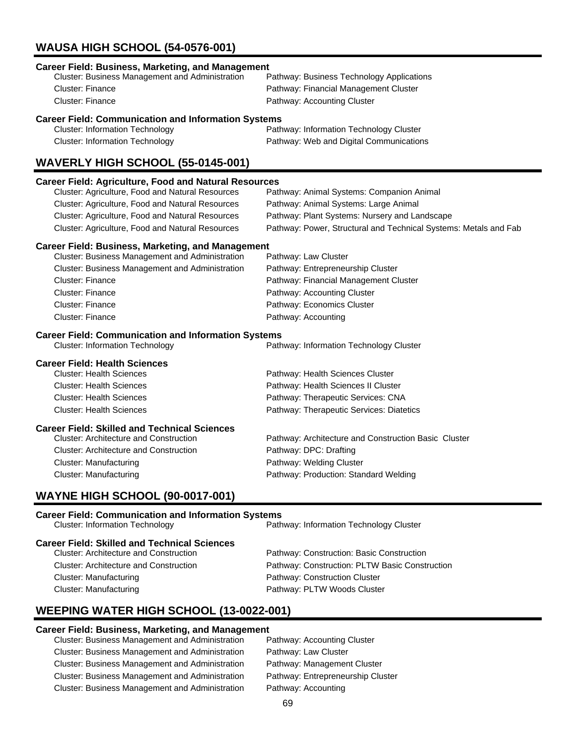# **WAUSA HIGH SCHOOL (54-0576-001)**

| <b>Career Field: Business, Marketing, and Management</b><br>Cluster: Business Management and Administration<br><b>Cluster: Finance</b><br>Cluster: Finance | Pathway: Business Technology Applications<br>Pathway: Financial Management Cluster<br>Pathway: Accounting Cluster |  |
|------------------------------------------------------------------------------------------------------------------------------------------------------------|-------------------------------------------------------------------------------------------------------------------|--|
|                                                                                                                                                            |                                                                                                                   |  |
| <b>Career Field: Communication and Information Systems</b><br><b>Cluster: Information Technology</b><br><b>Cluster: Information Technology</b>             | Pathway: Information Technology Cluster<br>Pathway: Web and Digital Communications                                |  |
| WAVERLY HIGH SCHOOL (55-0145-001)                                                                                                                          |                                                                                                                   |  |
|                                                                                                                                                            |                                                                                                                   |  |
| <b>Career Field: Agriculture, Food and Natural Resources</b>                                                                                               |                                                                                                                   |  |
| Cluster: Agriculture, Food and Natural Resources                                                                                                           | Pathway: Animal Systems: Companion Animal                                                                         |  |
| Cluster: Agriculture, Food and Natural Resources                                                                                                           | Pathway: Animal Systems: Large Animal                                                                             |  |
| Cluster: Agriculture, Food and Natural Resources                                                                                                           | Pathway: Plant Systems: Nursery and Landscape                                                                     |  |
| Cluster: Agriculture, Food and Natural Resources                                                                                                           | Pathway: Power, Structural and Technical Systems: Metals and Fab                                                  |  |
| <b>Career Field: Business, Marketing, and Management</b>                                                                                                   |                                                                                                                   |  |
| Cluster: Business Management and Administration                                                                                                            | Pathway: Law Cluster                                                                                              |  |
| Cluster: Business Management and Administration                                                                                                            | Pathway: Entrepreneurship Cluster                                                                                 |  |
| <b>Cluster: Finance</b>                                                                                                                                    | Pathway: Financial Management Cluster                                                                             |  |
| <b>Cluster: Finance</b>                                                                                                                                    | Pathway: Accounting Cluster                                                                                       |  |
| <b>Cluster: Finance</b>                                                                                                                                    | Pathway: Economics Cluster                                                                                        |  |
| <b>Cluster: Finance</b>                                                                                                                                    | Pathway: Accounting                                                                                               |  |
|                                                                                                                                                            |                                                                                                                   |  |
| <b>Career Field: Communication and Information Systems</b>                                                                                                 |                                                                                                                   |  |
| <b>Cluster: Information Technology</b>                                                                                                                     | Pathway: Information Technology Cluster                                                                           |  |
| <b>Career Field: Health Sciences</b>                                                                                                                       |                                                                                                                   |  |
| <b>Cluster: Health Sciences</b>                                                                                                                            | Pathway: Health Sciences Cluster                                                                                  |  |
| <b>Cluster: Health Sciences</b>                                                                                                                            | Pathway: Health Sciences II Cluster                                                                               |  |
| <b>Cluster: Health Sciences</b>                                                                                                                            | Pathway: Therapeutic Services: CNA                                                                                |  |
| <b>Cluster: Health Sciences</b>                                                                                                                            | Pathway: Therapeutic Services: Diatetics                                                                          |  |
|                                                                                                                                                            |                                                                                                                   |  |
| <b>Career Field: Skilled and Technical Sciences</b>                                                                                                        |                                                                                                                   |  |
| <b>Cluster: Architecture and Construction</b>                                                                                                              | Pathway: Architecture and Construction Basic Cluster                                                              |  |
| <b>Cluster: Architecture and Construction</b>                                                                                                              | Pathway: DPC: Drafting                                                                                            |  |
| <b>Cluster: Manufacturing</b>                                                                                                                              | Pathway: Welding Cluster                                                                                          |  |
| <b>Cluster: Manufacturing</b>                                                                                                                              | Pathway: Production: Standard Welding                                                                             |  |
| <b>WAYNE HIGH SCHOOL (90-0017-001)</b>                                                                                                                     |                                                                                                                   |  |
| <b>Career Field: Communication and Information Systems</b><br><b>Cluster: Information Technology</b>                                                       | Pathway: Information Technology Cluster                                                                           |  |
| <b>Career Field: Skilled and Technical Sciences</b><br><b>Cluster: Architecture and Construction</b>                                                       | Pathway: Construction: Basic Construction                                                                         |  |

Cluster: Manufacturing **Pathway: Construction Cluster** Cluster: Manufacturing **Pathway: PLTW Woods Cluster** Pathway: PLTW Woods Cluster

Cluster: Architecture and Construction Pathway: Construction: PLTW Basic Construction

# **WEEPING WATER HIGH SCHOOL (13-0022-001)**

# **Career Field: Business, Marketing, and Management**

Cluster: Business Management and Administration Cluster: Business Management and Administration Pathway: Law Cluster Cluster: Business Management and Administration Pathway: Management Cluster Cluster: Business Management and Administration Pathway: Entrepreneurship Cluster Cluster: Business Management and Administration Pathway: Accounting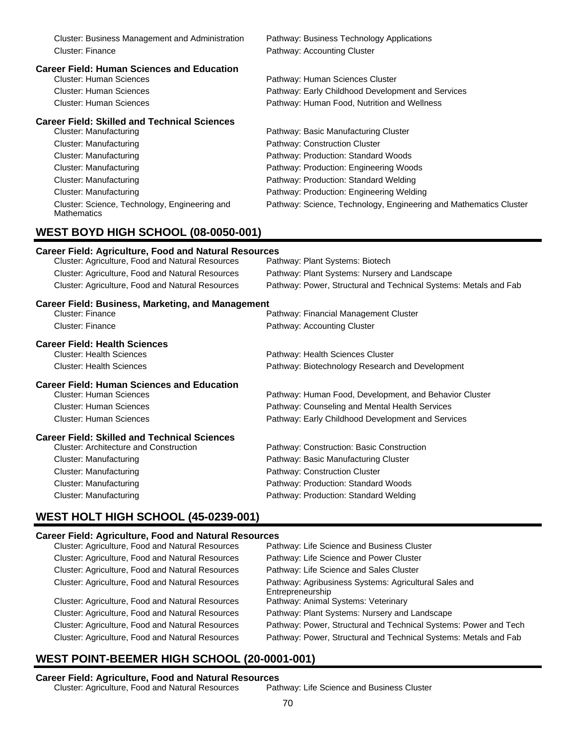| Cluster: Business Management and Administration                     | Pathway: Business Technology Applications                         |
|---------------------------------------------------------------------|-------------------------------------------------------------------|
| <b>Cluster: Finance</b>                                             | Pathway: Accounting Cluster                                       |
| <b>Career Field: Human Sciences and Education</b>                   |                                                                   |
| <b>Cluster: Human Sciences</b>                                      | Pathway: Human Sciences Cluster                                   |
| <b>Cluster: Human Sciences</b>                                      | Pathway: Early Childhood Development and Services                 |
| <b>Cluster: Human Sciences</b>                                      | Pathway: Human Food, Nutrition and Wellness                       |
| <b>Career Field: Skilled and Technical Sciences</b>                 |                                                                   |
| <b>Cluster: Manufacturing</b>                                       | Pathway: Basic Manufacturing Cluster                              |
| <b>Cluster: Manufacturing</b>                                       | Pathway: Construction Cluster                                     |
| <b>Cluster: Manufacturing</b>                                       | Pathway: Production: Standard Woods                               |
| <b>Cluster: Manufacturing</b>                                       | Pathway: Production: Engineering Woods                            |
| <b>Cluster: Manufacturing</b>                                       | Pathway: Production: Standard Welding                             |
| <b>Cluster: Manufacturing</b>                                       | Pathway: Production: Engineering Welding                          |
| Cluster: Science, Technology, Engineering and<br><b>Mathematics</b> | Pathway: Science, Technology, Engineering and Mathematics Cluster |
| <b>WEST BOYD HIGH SCHOOL (08-0050-001)</b>                          |                                                                   |
| <b>Career Field: Agriculture, Food and Natural Resources</b>        |                                                                   |
| Cluster: Agriculture, Food and Natural Resources                    | Pathway: Plant Systems: Biotech                                   |
| Cluster: Agriculture, Food and Natural Resources                    | Pathway: Plant Systems: Nursery and Landscape                     |
| Cluster: Agriculture, Food and Natural Resources                    | Pathway: Power, Structural and Technical Systems: Metals and Fab  |
| <b>Career Field: Business, Marketing, and Management</b>            |                                                                   |
| <b>Cluster: Finance</b>                                             | Pathway: Financial Management Cluster                             |
| <b>Cluster: Finance</b>                                             | Pathway: Accounting Cluster                                       |
| <b>Career Field: Health Sciences</b>                                |                                                                   |
| <b>Cluster: Health Sciences</b>                                     | Pathway: Health Sciences Cluster                                  |
| <b>Cluster: Health Sciences</b>                                     | Pathway: Biotechnology Research and Development                   |
| <b>Career Field: Human Sciences and Education</b>                   |                                                                   |
| <b>Cluster: Human Sciences</b>                                      | Pathway: Human Food, Development, and Behavior Cluster            |
| <b>Cluster: Human Sciences</b>                                      | Pathway: Counseling and Mental Health Services                    |
| <b>Cluster: Human Sciences</b>                                      | Pathway: Early Childhood Development and Services                 |
| <b>Career Field: Skilled and Technical Sciences</b>                 |                                                                   |
| <b>Cluster: Architecture and Construction</b>                       | Pathway: Construction: Basic Construction                         |
| <b>Cluster: Manufacturing</b>                                       | Pathway: Basic Manufacturing Cluster                              |
| <b>Cluster: Manufacturing</b>                                       | Pathway: Construction Cluster                                     |
| <b>Cluster: Manufacturing</b>                                       | Pathway: Production: Standard Woods                               |
| <b>Cluster: Manufacturing</b>                                       | Pathway: Production: Standard Welding                             |
| <b>WEST HOLT HIGH SCHOOL (45-0239-001)</b>                          |                                                                   |

# **Career Field: Agriculture, Food and Natural Resources**

| Cluster: Agriculture, Food and Natural Resources | Pathway: Life Science and Business Cluster                                |
|--------------------------------------------------|---------------------------------------------------------------------------|
| Cluster: Agriculture, Food and Natural Resources | Pathway: Life Science and Power Cluster                                   |
| Cluster: Agriculture, Food and Natural Resources | Pathway: Life Science and Sales Cluster                                   |
| Cluster: Agriculture, Food and Natural Resources | Pathway: Agribusiness Systems: Agricultural Sales and<br>Entrepreneurship |
| Cluster: Agriculture, Food and Natural Resources | Pathway: Animal Systems: Veterinary                                       |
| Cluster: Agriculture, Food and Natural Resources | Pathway: Plant Systems: Nursery and Landscape                             |
| Cluster: Agriculture, Food and Natural Resources | Pathway: Power, Structural and Technical Systems: Power and Tech          |
| Cluster: Agriculture, Food and Natural Resources | Pathway: Power, Structural and Technical Systems: Metals and Fab          |
|                                                  |                                                                           |

# **WEST POINT-BEEMER HIGH SCHOOL (20-0001-001)**

# **Career Field: Agriculture, Food and Natural Resources**

Cluster: Agriculture, Food and Natural Resources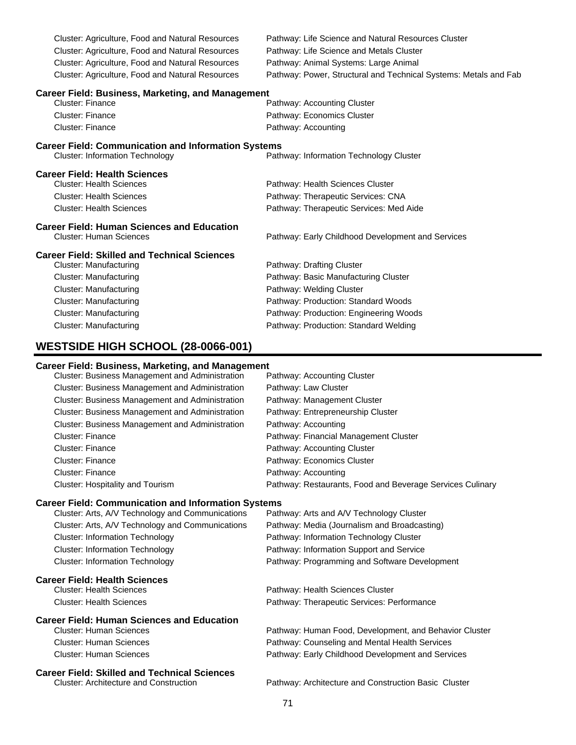| <b>Cluster: Agriculture, Food and Natural Resources</b>    | Pathway: Life Science and Natural Resources Cluster              |  |
|------------------------------------------------------------|------------------------------------------------------------------|--|
| Cluster: Agriculture, Food and Natural Resources           | Pathway: Life Science and Metals Cluster                         |  |
| <b>Cluster: Agriculture, Food and Natural Resources</b>    | Pathway: Animal Systems: Large Animal                            |  |
| <b>Cluster: Agriculture, Food and Natural Resources</b>    | Pathway: Power, Structural and Technical Systems: Metals and Fab |  |
| <b>Career Field: Business, Marketing, and Management</b>   |                                                                  |  |
| <b>Cluster: Finance</b>                                    | Pathway: Accounting Cluster                                      |  |
| <b>Cluster: Finance</b>                                    | Pathway: Economics Cluster                                       |  |
| <b>Cluster: Finance</b>                                    | Pathway: Accounting                                              |  |
| <b>Career Field: Communication and Information Systems</b> |                                                                  |  |
| <b>Cluster: Information Technology</b>                     | Pathway: Information Technology Cluster                          |  |
| <b>Career Field: Health Sciences</b>                       |                                                                  |  |
| <b>Cluster: Health Sciences</b>                            | Pathway: Health Sciences Cluster                                 |  |
| <b>Cluster: Health Sciences</b>                            | Pathway: Therapeutic Services: CNA                               |  |
| <b>Cluster: Health Sciences</b>                            | Pathway: Therapeutic Services: Med Aide                          |  |
| <b>Career Field: Human Sciences and Education</b>          |                                                                  |  |
| <b>Cluster: Human Sciences</b>                             | Pathway: Early Childhood Development and Services                |  |
| <b>Career Field: Skilled and Technical Sciences</b>        |                                                                  |  |
| <b>Cluster: Manufacturing</b>                              | Pathway: Drafting Cluster                                        |  |
| <b>Cluster: Manufacturing</b>                              | Pathway: Basic Manufacturing Cluster                             |  |
| <b>Cluster: Manufacturing</b>                              | Pathway: Welding Cluster                                         |  |
| <b>Cluster: Manufacturing</b>                              | Pathway: Production: Standard Woods                              |  |
| <b>Cluster: Manufacturing</b>                              | Pathway: Production: Engineering Woods                           |  |
| <b>Cluster: Manufacturing</b>                              | Pathway: Production: Standard Welding                            |  |
|                                                            |                                                                  |  |

# **WESTSIDE HIGH SCHOOL (28-0066-001)**

#### **Career Field: Business, Marketing, and Management**

| <b>Cluster: Business Management and Administration</b> | Pathway: Accounting Cluster                               |
|--------------------------------------------------------|-----------------------------------------------------------|
| Cluster: Business Management and Administration        | Pathway: Law Cluster                                      |
| <b>Cluster: Business Management and Administration</b> | Pathway: Management Cluster                               |
| <b>Cluster: Business Management and Administration</b> | Pathway: Entrepreneurship Cluster                         |
| <b>Cluster: Business Management and Administration</b> | Pathway: Accounting                                       |
| <b>Cluster: Finance</b>                                | Pathway: Financial Management Cluster                     |
| <b>Cluster: Finance</b>                                | Pathway: Accounting Cluster                               |
| Cluster: Finance                                       | Pathway: Economics Cluster                                |
| <b>Cluster: Finance</b>                                | Pathway: Accounting                                       |
| Cluster: Hospitality and Tourism                       | Pathway: Restaurants, Food and Beverage Services Culinary |

# **Career Field: Communication and Information Systems**

| Cluster: Arts, A/V Technology and Communications  | Pathway: Arts and A/V Technology Cluster               |
|---------------------------------------------------|--------------------------------------------------------|
| Cluster: Arts, A/V Technology and Communications  | Pathway: Media (Journalism and Broadcasting)           |
| <b>Cluster: Information Technology</b>            | Pathway: Information Technology Cluster                |
| <b>Cluster: Information Technology</b>            | Pathway: Information Support and Service               |
| <b>Cluster: Information Technology</b>            | Pathway: Programming and Software Development          |
| <b>Career Field: Health Sciences</b>              |                                                        |
| <b>Cluster: Health Sciences</b>                   | Pathway: Health Sciences Cluster                       |
| <b>Cluster: Health Sciences</b>                   | Pathway: Therapeutic Services: Performance             |
| <b>Career Field: Human Sciences and Education</b> |                                                        |
| Cluster: Human Sciences                           | Pathway: Human Food, Development, and Behavior Cluster |
| Cluster: Human Sciences                           | Pathway: Counseling and Mental Health Services         |
| Cluster: Human Sciences                           | Pathway: Early Childhood Development and Services      |
|                                                   |                                                        |

# **Career Field: Skilled and Technical Sciences**

Pathway: Architecture and Construction Basic Cluster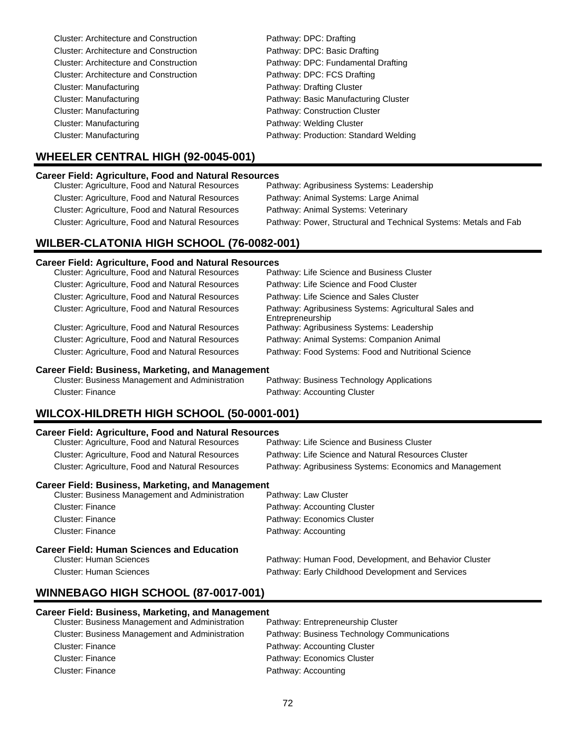| <b>Cluster: Architecture and Construction</b> | Pathway: DPC: Drafting                |
|-----------------------------------------------|---------------------------------------|
| <b>Cluster: Architecture and Construction</b> | Pathway: DPC: Basic Drafting          |
| <b>Cluster: Architecture and Construction</b> | Pathway: DPC: Fundamental Drafting    |
| <b>Cluster: Architecture and Construction</b> | Pathway: DPC: FCS Drafting            |
| Cluster: Manufacturing                        | Pathway: Drafting Cluster             |
| Cluster: Manufacturing                        | Pathway: Basic Manufacturing Cluster  |
| <b>Cluster: Manufacturing</b>                 | Pathway: Construction Cluster         |
| Cluster: Manufacturing                        | Pathway: Welding Cluster              |
| Cluster: Manufacturing                        | Pathway: Production: Standard Welding |

# **WHEELER CENTRAL HIGH (92-0045-001)**

### **Career Field: Agriculture, Food and Natural Resources**

| Cluster: Agriculture, Food and Natural Resources | Pathway: Agribusiness Systems: Leadership                        |
|--------------------------------------------------|------------------------------------------------------------------|
| Cluster: Agriculture, Food and Natural Resources | Pathway: Animal Systems: Large Animal                            |
| Cluster: Agriculture, Food and Natural Resources | Pathway: Animal Systems: Veterinary                              |
| Cluster: Agriculture, Food and Natural Resources | Pathway: Power, Structural and Technical Systems: Metals and Fab |
|                                                  |                                                                  |

# **WILBER-CLATONIA HIGH SCHOOL (76-0082-001)**

#### **Career Field: Agriculture, Food and Natural Resources**

| Pathway: Life Science and Business Cluster                                |
|---------------------------------------------------------------------------|
| Pathway: Life Science and Food Cluster                                    |
| Pathway: Life Science and Sales Cluster                                   |
| Pathway: Agribusiness Systems: Agricultural Sales and<br>Entrepreneurship |
| Pathway: Agribusiness Systems: Leadership                                 |
| Pathway: Animal Systems: Companion Animal                                 |
| Pathway: Food Systems: Food and Nutritional Science                       |
|                                                                           |

**Career Field: Business, Marketing, and Management** Cluster: Business Management and Administration Cluster: Finance **Pathway: Accounting Cluster** 

# **WILCOX-HILDRETH HIGH SCHOOL (50-0001-001)**

| <b>Career Field: Agriculture, Food and Natural Resources</b> |                                                         |  |  |
|--------------------------------------------------------------|---------------------------------------------------------|--|--|
| Cluster: Agriculture, Food and Natural Resources             | Pathway: Life Science and Business Cluster              |  |  |
| Cluster: Agriculture, Food and Natural Resources             | Pathway: Life Science and Natural Resources Cluster     |  |  |
| Cluster: Agriculture, Food and Natural Resources             | Pathway: Agribusiness Systems: Economics and Management |  |  |
| <b>Career Field: Business, Marketing, and Management</b>     |                                                         |  |  |
| Cluster: Business Management and Administration              | Pathway: Law Cluster                                    |  |  |
| Cluster: Finance                                             | Pathway: Accounting Cluster                             |  |  |
| <b>Cluster: Finance</b>                                      | Pathway: Economics Cluster                              |  |  |
| Cluster: Finance                                             | Pathway: Accounting                                     |  |  |
| <b>Career Field: Human Sciences and Education</b>            |                                                         |  |  |
| Cluster: Human Sciences                                      | Pathway: Human Food, Development, and Behavior Cluster  |  |  |

Cluster: Human Sciences Pathway: Early Childhood Development and Services

# **WINNEBAGO HIGH SCHOOL (87-0017-001)**

#### **Career Field: Business, Marketing, and Management**

| Cluster: Business Management and Administration | Pathway: Entrepreneurship Cluster           |
|-------------------------------------------------|---------------------------------------------|
| Cluster: Business Management and Administration | Pathway: Business Technology Communications |
| Cluster: Finance                                | Pathway: Accounting Cluster                 |
| Cluster: Finance                                | Pathway: Economics Cluster                  |
| Cluster: Finance                                | Pathway: Accounting                         |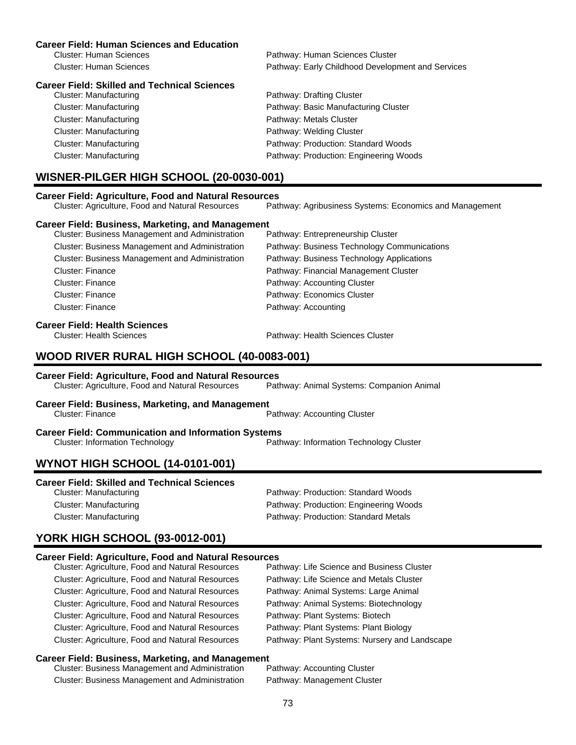#### **Career Field: Human Sciences and Education**

| Cluster: Human Sciences | Pathway: Human Sciences Cluster                   |
|-------------------------|---------------------------------------------------|
| Cluster: Human Sciences | Pathway: Early Childhood Development and Services |

#### **Career Field: Skilled and Technical Sciences**

| Pathway: Drafting Cluster              |
|----------------------------------------|
| Pathway: Basic Manufacturing Cluster   |
| Pathway: Metals Cluster                |
| Pathway: Welding Cluster               |
| Pathway: Production: Standard Woods    |
| Pathway: Production: Engineering Woods |
|                                        |

## **WISNER-PILGER HIGH SCHOOL (20-0030-001)**

| <b>Career Field: Agriculture, Food and Natural Resources</b> |                                                         |
|--------------------------------------------------------------|---------------------------------------------------------|
| Cluster: Agriculture, Food and Natural Resources             | Pathway: Agribusiness Systems: Economics and Management |
| <b>Career Field: Business, Marketing, and Management</b>     |                                                         |
| Cluster: Business Management and Administration              | Pathway: Entrepreneurship Cluster                       |
| <b>Cluster: Business Management and Administration</b>       | Pathway: Business Technology Communications             |
| Cluster: Business Management and Administration              | Pathway: Business Technology Applications               |
|                                                              |                                                         |

Cluster: Finance Pathway: Financial Management Cluster Cluster: Finance **Pathway: Accounting Cluster** Pathway: Accounting Cluster Cluster: Finance **Pathway: Economics Cluster** Cluster: Finance **Pathway: Accounting** 

# **Career Field: Health Sciences**

Pathway: Health Sciences Cluster

## **WOOD RIVER RURAL HIGH SCHOOL (40-0083-001)**

#### **Career Field: Agriculture, Food and Natural Resources**

Cluster: Agriculture, Food and Natural Resources Pathway: Animal Systems: Companion Animal

**Career Field: Business, Marketing, and Management**

Cluster: Finance **Pathway: Accounting Cluster** 

**Career Field: Communication and Information Systems**<br>Cluster: Information Technology Pathway: Information Technology Cluster

## **WYNOT HIGH SCHOOL (14-0101-001)**

| <b>Career Field: Skilled and Technical Sciences</b> |  |  |  |  |
|-----------------------------------------------------|--|--|--|--|
|-----------------------------------------------------|--|--|--|--|

Cluster: Manufacturing Pathway: Production: Standard Woods Cluster: Manufacturing Pathway: Production: Engineering Woods Cluster: Manufacturing extending Pathway: Production: Standard Metals

## **YORK HIGH SCHOOL (93-0012-001)**

## **Career Field: Agriculture, Food and Natural Resources**

| Cluster: Agriculture, Food and Natural Resources | Pathway: Life Science and Business Cluster    |
|--------------------------------------------------|-----------------------------------------------|
| Cluster: Agriculture, Food and Natural Resources | Pathway: Life Science and Metals Cluster      |
| Cluster: Agriculture, Food and Natural Resources | Pathway: Animal Systems: Large Animal         |
| Cluster: Agriculture, Food and Natural Resources | Pathway: Animal Systems: Biotechnology        |
| Cluster: Agriculture, Food and Natural Resources | Pathway: Plant Systems: Biotech               |
| Cluster: Agriculture, Food and Natural Resources | Pathway: Plant Systems: Plant Biology         |
| Cluster: Agriculture, Food and Natural Resources | Pathway: Plant Systems: Nursery and Landscape |
|                                                  |                                               |

#### **Career Field: Business, Marketing, and Management**

| Cluster: Business Management and Administration | Pathway: Accounting Cluster |
|-------------------------------------------------|-----------------------------|
| Cluster: Business Management and Administration | Pathway: Management Cluster |